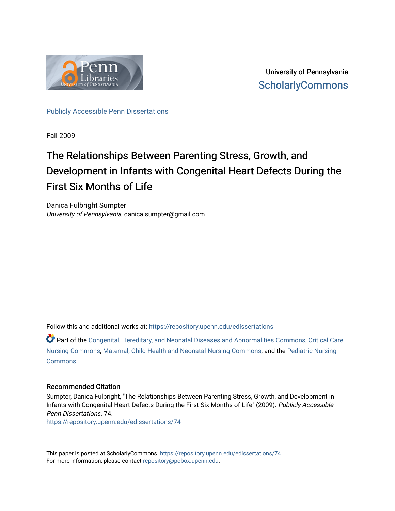

University of Pennsylvania **ScholarlyCommons** 

[Publicly Accessible Penn Dissertations](https://repository.upenn.edu/edissertations)

Fall 2009

## The Relationships Between Parenting Stress, Growth, and Development in Infants with Congenital Heart Defects During the First Six Months of Life

Danica Fulbright Sumpter University of Pennsylvania, danica.sumpter@gmail.com

Follow this and additional works at: [https://repository.upenn.edu/edissertations](https://repository.upenn.edu/edissertations?utm_source=repository.upenn.edu%2Fedissertations%2F74&utm_medium=PDF&utm_campaign=PDFCoverPages) 

Part of the [Congenital, Hereditary, and Neonatal Diseases and Abnormalities Commons,](http://network.bepress.com/hgg/discipline/971?utm_source=repository.upenn.edu%2Fedissertations%2F74&utm_medium=PDF&utm_campaign=PDFCoverPages) [Critical Care](http://network.bepress.com/hgg/discipline/727?utm_source=repository.upenn.edu%2Fedissertations%2F74&utm_medium=PDF&utm_campaign=PDFCoverPages) [Nursing Commons](http://network.bepress.com/hgg/discipline/727?utm_source=repository.upenn.edu%2Fedissertations%2F74&utm_medium=PDF&utm_campaign=PDFCoverPages), [Maternal, Child Health and Neonatal Nursing Commons](http://network.bepress.com/hgg/discipline/721?utm_source=repository.upenn.edu%2Fedissertations%2F74&utm_medium=PDF&utm_campaign=PDFCoverPages), and the [Pediatric Nursing](http://network.bepress.com/hgg/discipline/723?utm_source=repository.upenn.edu%2Fedissertations%2F74&utm_medium=PDF&utm_campaign=PDFCoverPages)  [Commons](http://network.bepress.com/hgg/discipline/723?utm_source=repository.upenn.edu%2Fedissertations%2F74&utm_medium=PDF&utm_campaign=PDFCoverPages)

### Recommended Citation

Sumpter, Danica Fulbright, "The Relationships Between Parenting Stress, Growth, and Development in Infants with Congenital Heart Defects During the First Six Months of Life" (2009). Publicly Accessible Penn Dissertations. 74.

[https://repository.upenn.edu/edissertations/74](https://repository.upenn.edu/edissertations/74?utm_source=repository.upenn.edu%2Fedissertations%2F74&utm_medium=PDF&utm_campaign=PDFCoverPages)

This paper is posted at ScholarlyCommons.<https://repository.upenn.edu/edissertations/74> For more information, please contact [repository@pobox.upenn.edu.](mailto:repository@pobox.upenn.edu)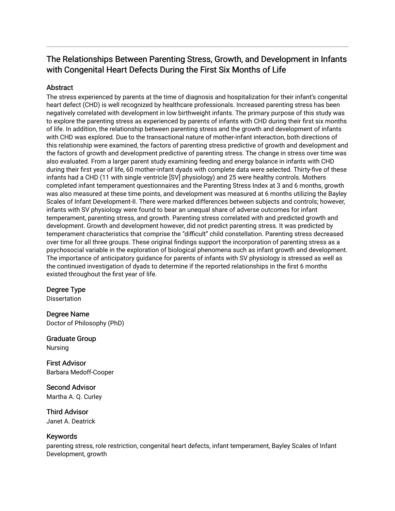## The Relationships Between Parenting Stress, Growth, and Development in Infants with Congenital Heart Defects During the First Six Months of Life

### Abstract

The stress experienced by parents at the time of diagnosis and hospitalization for their infant's congenital heart defect (CHD) is well recognized by healthcare professionals. Increased parenting stress has been negatively correlated with development in low birthweight infants. The primary purpose of this study was to explore the parenting stress as experienced by parents of infants with CHD during their first six months of life. In addition, the relationship between parenting stress and the growth and development of infants with CHD was explored. Due to the transactional nature of mother-infant interaction, both directions of this relationship were examined, the factors of parenting stress predictive of growth and development and the factors of growth and development predictive of parenting stress. The change in stress over time was also evaluated. From a larger parent study examining feeding and energy balance in infants with CHD during their first year of life, 60 mother-infant dyads with complete data were selected. Thirty-five of these infants had a CHD (11 with single ventricle [SV] physiology) and 25 were healthy controls. Mothers completed infant temperament questionnaires and the Parenting Stress Index at 3 and 6 months, growth was also measured at these time points, and development was measured at 6 months utilizing the Bayley Scales of Infant Development-II. There were marked differences between subjects and controls; however, infants with SV physiology were found to bear an unequal share of adverse outcomes for infant temperament, parenting stress, and growth. Parenting stress correlated with and predicted growth and development. Growth and development however, did not predict parenting stress. It was predicted by temperament characteristics that comprise the "difficult" child constellation. Parenting stress decreased over time for all three groups. These original findings support the incorporation of parenting stress as a psychosocial variable in the exploration of biological phenomena such as infant growth and development. The importance of anticipatory guidance for parents of infants with SV physiology is stressed as well as the continued investigation of dyads to determine if the reported relationships in the first 6 months existed throughout the first year of life.

### Degree Type

**Dissertation** 

Degree Name Doctor of Philosophy (PhD)

Graduate Group Nursing

First Advisor Barbara Medoff-Cooper

Second Advisor Martha A. Q. Curley

Third Advisor Janet A. Deatrick

### Keywords

parenting stress, role restriction, congenital heart defects, infant temperament, Bayley Scales of Infant Development, growth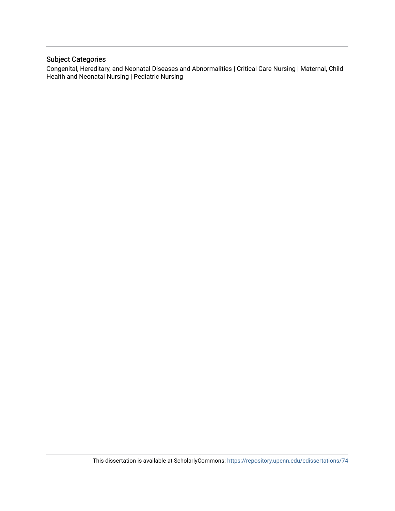### Subject Categories

Congenital, Hereditary, and Neonatal Diseases and Abnormalities | Critical Care Nursing | Maternal, Child Health and Neonatal Nursing | Pediatric Nursing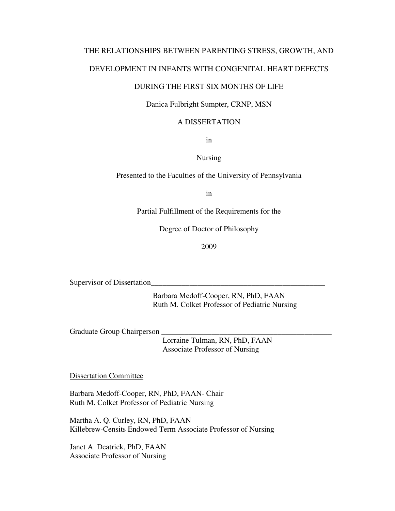## THE RELATIONSHIPS BETWEEN PARENTING STRESS, GROWTH, AND

### DEVELOPMENT IN INFANTS WITH CONGENITAL HEART DEFECTS

### DURING THE FIRST SIX MONTHS OF LIFE

### Danica Fulbright Sumpter, CRNP, MSN

### A DISSERTATION

in

### Nursing

Presented to the Faculties of the University of Pennsylvania

in

Partial Fulfillment of the Requirements for the

Degree of Doctor of Philosophy

2009

Supervisor of Dissertation

 Barbara Medoff-Cooper, RN, PhD, FAAN Ruth M. Colket Professor of Pediatric Nursing

Graduate Group Chairperson

 Lorraine Tulman, RN, PhD, FAAN Associate Professor of Nursing

Dissertation Committee

Barbara Medoff-Cooper, RN, PhD, FAAN- Chair Ruth M. Colket Professor of Pediatric Nursing

Martha A. Q. Curley, RN, PhD, FAAN Killebrew-Censits Endowed Term Associate Professor of Nursing

Janet A. Deatrick, PhD, FAAN Associate Professor of Nursing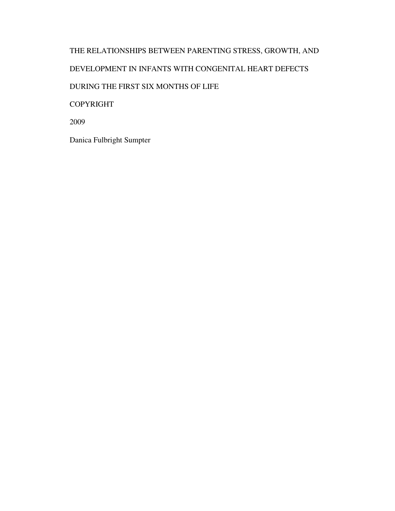## THE RELATIONSHIPS BETWEEN PARENTING STRESS, GROWTH, AND DEVELOPMENT IN INFANTS WITH CONGENITAL HEART DEFECTS DURING THE FIRST SIX MONTHS OF LIFE COPYRIGHT 2009

Danica Fulbright Sumpter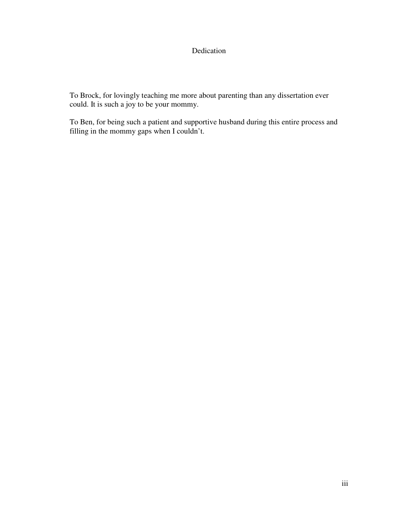### Dedication

To Brock, for lovingly teaching me more about parenting than any dissertation ever could. It is such a joy to be your mommy.

To Ben, for being such a patient and supportive husband during this entire process and filling in the mommy gaps when I couldn't.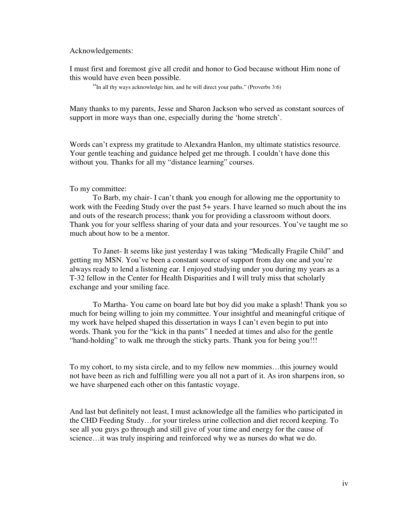Acknowledgements:

I must first and foremost give all credit and honor to God because without Him none of this would have even been possible.

"In all thy ways acknowledge him, and he will direct your paths." (Proverbs 3:6)

Many thanks to my parents, Jesse and Sharon Jackson who served as constant sources of support in more ways than one, especially during the 'home stretch'.

Words can't express my gratitude to Alexandra Hanlon, my ultimate statistics resource. Your gentle teaching and guidance helped get me through. I couldn't have done this without you. Thanks for all my "distance learning" courses.

### To my committee:

 To Barb, my chair- I can't thank you enough for allowing me the opportunity to work with the Feeding Study over the past 5+ years. I have learned so much about the ins and outs of the research process; thank you for providing a classroom without doors. Thank you for your selfless sharing of your data and your resources. You've taught me so much about how to be a mentor.

 To Janet- It seems like just yesterday I was taking "Medically Fragile Child" and getting my MSN. You've been a constant source of support from day one and you're always ready to lend a listening ear. I enjoyed studying under you during my years as a T-32 fellow in the Center for Health Disparities and I will truly miss that scholarly exchange and your smiling face.

 To Martha- You came on board late but boy did you make a splash! Thank you so much for being willing to join my committee. Your insightful and meaningful critique of my work have helped shaped this dissertation in ways I can't even begin to put into words. Thank you for the "kick in tha pants" I needed at times and also for the gentle "hand-holding" to walk me through the sticky parts. Thank you for being you!!!

To my cohort, to my sista circle, and to my fellow new mommies…this journey would not have been as rich and fulfilling were you all not a part of it. As iron sharpens iron, so we have sharpened each other on this fantastic voyage.

And last but definitely not least, I must acknowledge all the families who participated in the CHD Feeding Study…for your tireless urine collection and diet record keeping. To see all you guys go through and still give of your time and energy for the cause of science…it was truly inspiring and reinforced why we as nurses do what we do.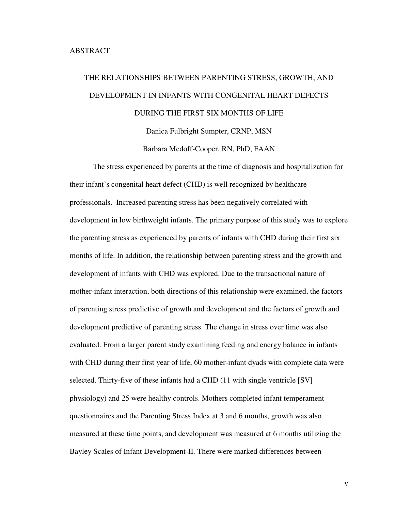# THE RELATIONSHIPS BETWEEN PARENTING STRESS, GROWTH, AND DEVELOPMENT IN INFANTS WITH CONGENITAL HEART DEFECTS DURING THE FIRST SIX MONTHS OF LIFE Danica Fulbright Sumpter, CRNP, MSN

Barbara Medoff-Cooper, RN, PhD, FAAN

The stress experienced by parents at the time of diagnosis and hospitalization for their infant's congenital heart defect (CHD) is well recognized by healthcare professionals. Increased parenting stress has been negatively correlated with development in low birthweight infants. The primary purpose of this study was to explore the parenting stress as experienced by parents of infants with CHD during their first six months of life. In addition, the relationship between parenting stress and the growth and development of infants with CHD was explored. Due to the transactional nature of mother-infant interaction, both directions of this relationship were examined, the factors of parenting stress predictive of growth and development and the factors of growth and development predictive of parenting stress. The change in stress over time was also evaluated. From a larger parent study examining feeding and energy balance in infants with CHD during their first year of life, 60 mother-infant dyads with complete data were selected. Thirty-five of these infants had a CHD (11 with single ventricle [SV] physiology) and 25 were healthy controls. Mothers completed infant temperament questionnaires and the Parenting Stress Index at 3 and 6 months, growth was also measured at these time points, and development was measured at 6 months utilizing the Bayley Scales of Infant Development-II. There were marked differences between

v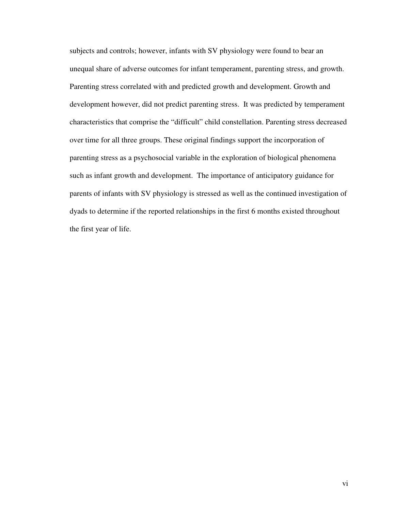subjects and controls; however, infants with SV physiology were found to bear an unequal share of adverse outcomes for infant temperament, parenting stress, and growth. Parenting stress correlated with and predicted growth and development. Growth and development however, did not predict parenting stress. It was predicted by temperament characteristics that comprise the "difficult" child constellation. Parenting stress decreased over time for all three groups. These original findings support the incorporation of parenting stress as a psychosocial variable in the exploration of biological phenomena such as infant growth and development. The importance of anticipatory guidance for parents of infants with SV physiology is stressed as well as the continued investigation of dyads to determine if the reported relationships in the first 6 months existed throughout the first year of life.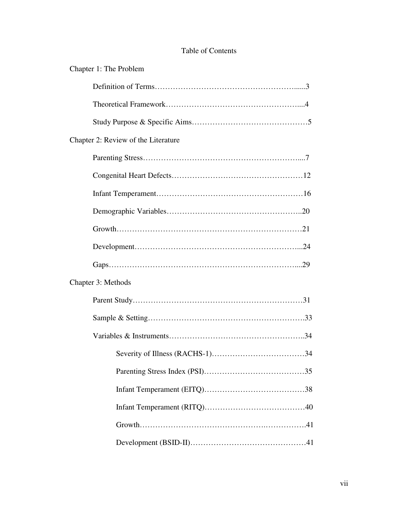### Table of Contents

| Chapter 1: The Problem              |
|-------------------------------------|
|                                     |
|                                     |
|                                     |
| Chapter 2: Review of the Literature |
|                                     |
|                                     |
|                                     |
|                                     |
|                                     |
|                                     |
|                                     |
| Chapter 3: Methods                  |
|                                     |
|                                     |
|                                     |
|                                     |
|                                     |
|                                     |
|                                     |
|                                     |
|                                     |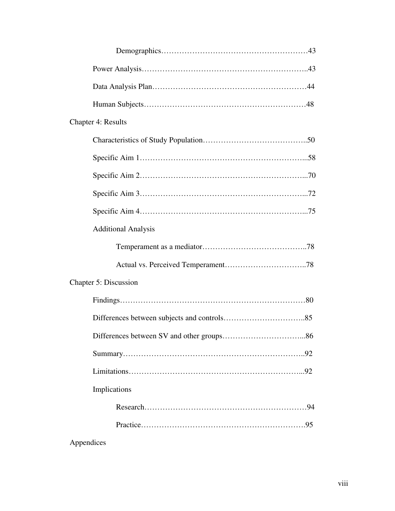| <b>Chapter 4: Results</b>  |
|----------------------------|
|                            |
|                            |
|                            |
|                            |
|                            |
| <b>Additional Analysis</b> |
|                            |
|                            |
| Chapter 5: Discussion      |
|                            |
|                            |
|                            |
|                            |
|                            |
| Implications               |
|                            |
|                            |
|                            |

Appendices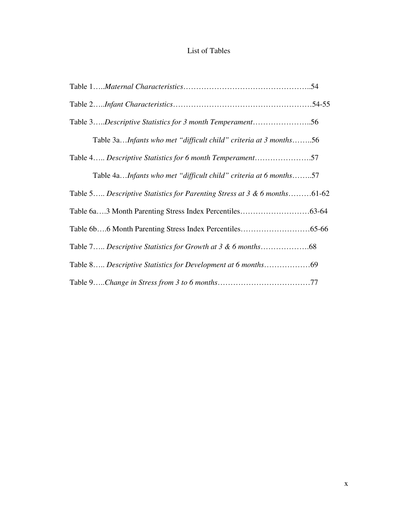## List of Tables

| Table 3Descriptive Statistics for 3 month Temperament56                  |  |
|--------------------------------------------------------------------------|--|
| Table 3aInfants who met "difficult child" criteria at 3 months56         |  |
| Table 4 Descriptive Statistics for 6 month Temperament57                 |  |
| Table 4aInfants who met "difficult child" criteria at 6 months57         |  |
| Table 5 Descriptive Statistics for Parenting Stress at 3 & 6 months61-62 |  |
|                                                                          |  |
|                                                                          |  |
|                                                                          |  |
|                                                                          |  |
|                                                                          |  |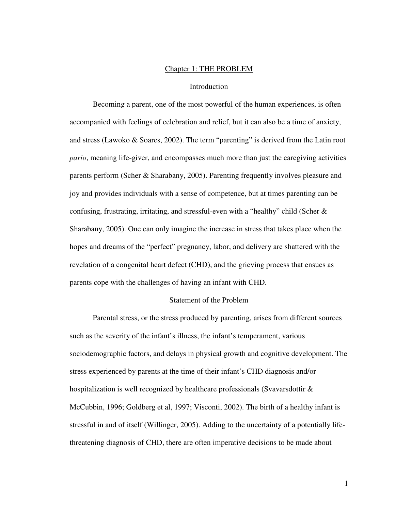### Chapter 1: THE PROBLEM

### Introduction

Becoming a parent, one of the most powerful of the human experiences, is often accompanied with feelings of celebration and relief, but it can also be a time of anxiety, and stress (Lawoko & Soares, 2002). The term "parenting" is derived from the Latin root *pario*, meaning life-giver, and encompasses much more than just the caregiving activities parents perform (Scher & Sharabany, 2005). Parenting frequently involves pleasure and joy and provides individuals with a sense of competence, but at times parenting can be confusing, frustrating, irritating, and stressful-even with a "healthy" child (Scher  $\&$ Sharabany, 2005). One can only imagine the increase in stress that takes place when the hopes and dreams of the "perfect" pregnancy, labor, and delivery are shattered with the revelation of a congenital heart defect (CHD), and the grieving process that ensues as parents cope with the challenges of having an infant with CHD.

### Statement of the Problem

Parental stress, or the stress produced by parenting, arises from different sources such as the severity of the infant's illness, the infant's temperament, various sociodemographic factors, and delays in physical growth and cognitive development. The stress experienced by parents at the time of their infant's CHD diagnosis and/or hospitalization is well recognized by healthcare professionals (Svavarsdottir  $\&$ McCubbin, 1996; Goldberg et al, 1997; Visconti, 2002). The birth of a healthy infant is stressful in and of itself (Willinger, 2005). Adding to the uncertainty of a potentially lifethreatening diagnosis of CHD, there are often imperative decisions to be made about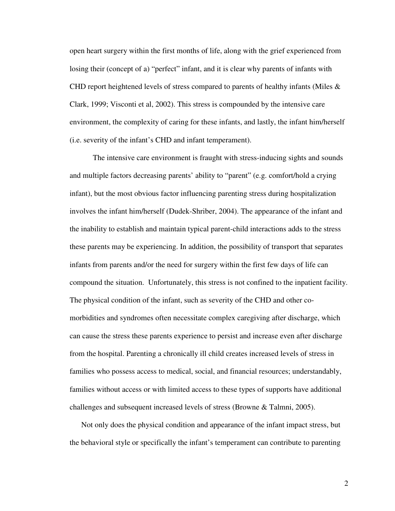open heart surgery within the first months of life, along with the grief experienced from losing their (concept of a) "perfect" infant, and it is clear why parents of infants with CHD report heightened levels of stress compared to parents of healthy infants (Miles & Clark, 1999; Visconti et al, 2002). This stress is compounded by the intensive care environment, the complexity of caring for these infants, and lastly, the infant him/herself (i.e. severity of the infant's CHD and infant temperament).

The intensive care environment is fraught with stress-inducing sights and sounds and multiple factors decreasing parents' ability to "parent" (e.g. comfort/hold a crying infant), but the most obvious factor influencing parenting stress during hospitalization involves the infant him/herself (Dudek-Shriber, 2004). The appearance of the infant and the inability to establish and maintain typical parent-child interactions adds to the stress these parents may be experiencing. In addition, the possibility of transport that separates infants from parents and/or the need for surgery within the first few days of life can compound the situation. Unfortunately, this stress is not confined to the inpatient facility. The physical condition of the infant, such as severity of the CHD and other comorbidities and syndromes often necessitate complex caregiving after discharge, which can cause the stress these parents experience to persist and increase even after discharge from the hospital. Parenting a chronically ill child creates increased levels of stress in families who possess access to medical, social, and financial resources; understandably, families without access or with limited access to these types of supports have additional challenges and subsequent increased levels of stress (Browne & Talmni, 2005).

Not only does the physical condition and appearance of the infant impact stress, but the behavioral style or specifically the infant's temperament can contribute to parenting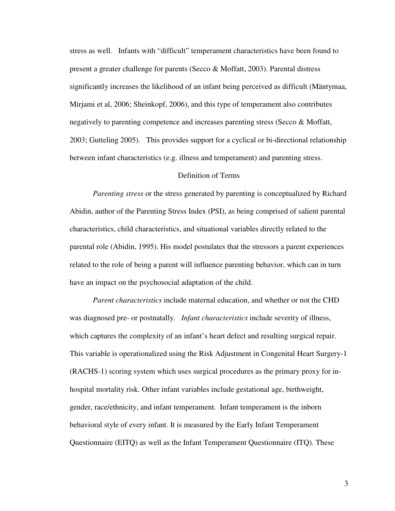stress as well. Infants with "difficult" temperament characteristics have been found to present a greater challenge for parents (Secco & Moffatt, 2003). Parental distress significantly increases the likelihood of an infant being perceived as difficult (Mäntymaa, Mirjami et al, 2006; Sheinkopf, 2006), and this type of temperament also contributes negatively to parenting competence and increases parenting stress (Secco & Moffatt, 2003; Gutteling 2005). This provides support for a cyclical or bi-directional relationship between infant characteristics (e.g. illness and temperament) and parenting stress.

### Definition of Terms

*Parenting stress* or the stress generated by parenting is conceptualized by Richard Abidin, author of the Parenting Stress Index (PSI), as being comprised of salient parental characteristics, child characteristics, and situational variables directly related to the parental role (Abidin, 1995). His model postulates that the stressors a parent experiences related to the role of being a parent will influence parenting behavior, which can in turn have an impact on the psychosocial adaptation of the child.

*Parent characteristics* include maternal education, and whether or not the CHD was diagnosed pre- or postnatally. *Infant characteristics* include severity of illness, which captures the complexity of an infant's heart defect and resulting surgical repair. This variable is operationalized using the Risk Adjustment in Congenital Heart Surgery-1 (RACHS-1) scoring system which uses surgical procedures as the primary proxy for inhospital mortality risk. Other infant variables include gestational age, birthweight, gender, race/ethnicity, and infant temperament. Infant temperament is the inborn behavioral style of every infant. It is measured by the Early Infant Temperament Questionnaire (EITQ) as well as the Infant Temperament Questionnaire (ITQ). These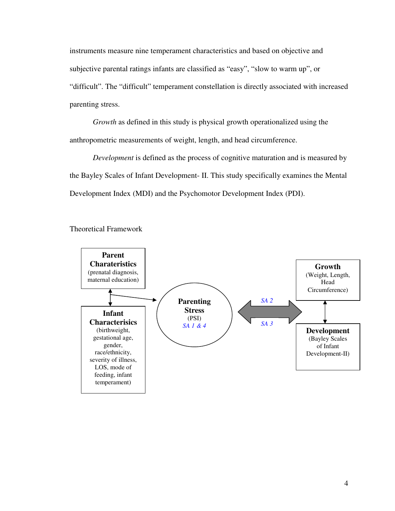instruments measure nine temperament characteristics and based on objective and subjective parental ratings infants are classified as "easy", "slow to warm up", or "difficult". The "difficult" temperament constellation is directly associated with increased parenting stress.

*Growth* as defined in this study is physical growth operationalized using the anthropometric measurements of weight, length, and head circumference.

*Development* is defined as the process of cognitive maturation and is measured by the Bayley Scales of Infant Development- II. This study specifically examines the Mental Development Index (MDI) and the Psychomotor Development Index (PDI).



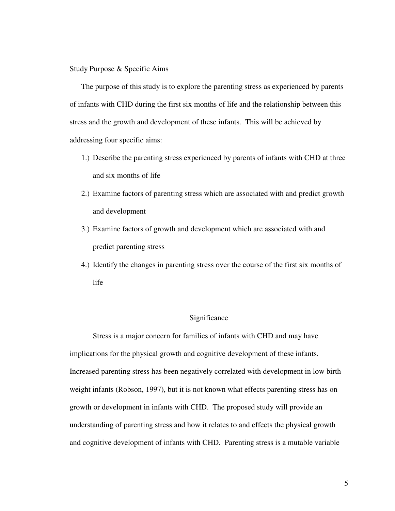Study Purpose & Specific Aims

The purpose of this study is to explore the parenting stress as experienced by parents of infants with CHD during the first six months of life and the relationship between this stress and the growth and development of these infants. This will be achieved by addressing four specific aims:

- 1.) Describe the parenting stress experienced by parents of infants with CHD at three and six months of life
- 2.) Examine factors of parenting stress which are associated with and predict growth and development
- 3.) Examine factors of growth and development which are associated with and predict parenting stress
- 4.) Identify the changes in parenting stress over the course of the first six months of life

### Significance

 Stress is a major concern for families of infants with CHD and may have implications for the physical growth and cognitive development of these infants. Increased parenting stress has been negatively correlated with development in low birth weight infants (Robson, 1997), but it is not known what effects parenting stress has on growth or development in infants with CHD. The proposed study will provide an understanding of parenting stress and how it relates to and effects the physical growth and cognitive development of infants with CHD. Parenting stress is a mutable variable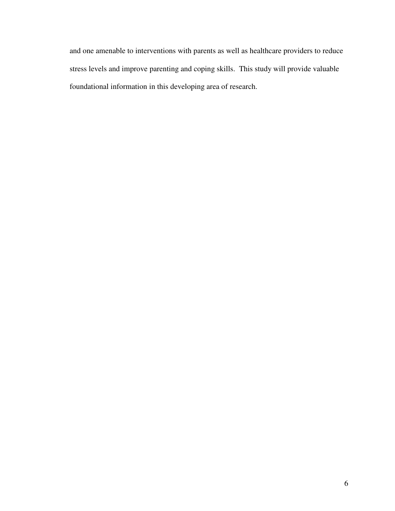and one amenable to interventions with parents as well as healthcare providers to reduce stress levels and improve parenting and coping skills. This study will provide valuable foundational information in this developing area of research.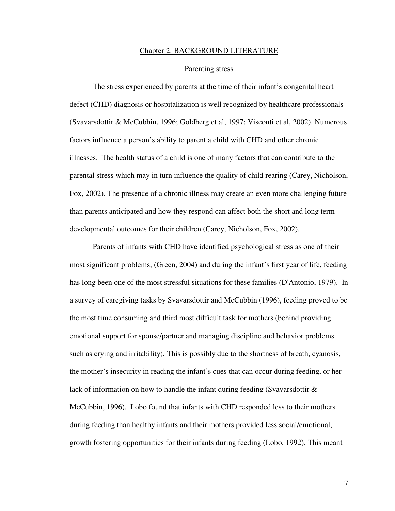#### Chapter 2: BACKGROUND LITERATURE

### Parenting stress

The stress experienced by parents at the time of their infant's congenital heart defect (CHD) diagnosis or hospitalization is well recognized by healthcare professionals (Svavarsdottir & McCubbin, 1996; Goldberg et al, 1997; Visconti et al, 2002). Numerous factors influence a person's ability to parent a child with CHD and other chronic illnesses. The health status of a child is one of many factors that can contribute to the parental stress which may in turn influence the quality of child rearing (Carey, Nicholson, Fox, 2002). The presence of a chronic illness may create an even more challenging future than parents anticipated and how they respond can affect both the short and long term developmental outcomes for their children (Carey, Nicholson, Fox, 2002).

Parents of infants with CHD have identified psychological stress as one of their most significant problems, (Green, 2004) and during the infant's first year of life, feeding has long been one of the most stressful situations for these families (D'Antonio, 1979). In a survey of caregiving tasks by Svavarsdottir and McCubbin (1996), feeding proved to be the most time consuming and third most difficult task for mothers (behind providing emotional support for spouse/partner and managing discipline and behavior problems such as crying and irritability). This is possibly due to the shortness of breath, cyanosis, the mother's insecurity in reading the infant's cues that can occur during feeding, or her lack of information on how to handle the infant during feeding (Svavarsdottir & McCubbin, 1996). Lobo found that infants with CHD responded less to their mothers during feeding than healthy infants and their mothers provided less social/emotional, growth fostering opportunities for their infants during feeding (Lobo, 1992). This meant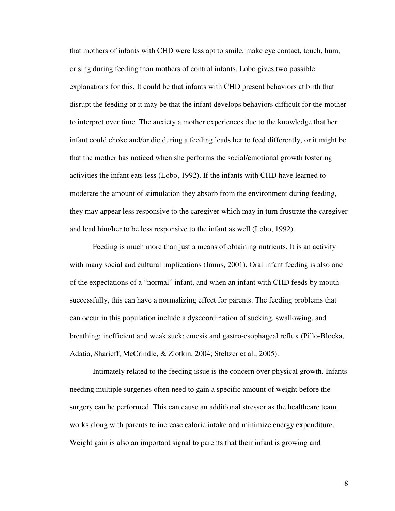that mothers of infants with CHD were less apt to smile, make eye contact, touch, hum, or sing during feeding than mothers of control infants. Lobo gives two possible explanations for this. It could be that infants with CHD present behaviors at birth that disrupt the feeding or it may be that the infant develops behaviors difficult for the mother to interpret over time. The anxiety a mother experiences due to the knowledge that her infant could choke and/or die during a feeding leads her to feed differently, or it might be that the mother has noticed when she performs the social/emotional growth fostering activities the infant eats less (Lobo, 1992). If the infants with CHD have learned to moderate the amount of stimulation they absorb from the environment during feeding, they may appear less responsive to the caregiver which may in turn frustrate the caregiver and lead him/her to be less responsive to the infant as well (Lobo, 1992).

Feeding is much more than just a means of obtaining nutrients. It is an activity with many social and cultural implications (Imms, 2001). Oral infant feeding is also one of the expectations of a "normal" infant, and when an infant with CHD feeds by mouth successfully, this can have a normalizing effect for parents. The feeding problems that can occur in this population include a dyscoordination of sucking, swallowing, and breathing; inefficient and weak suck; emesis and gastro-esophageal reflux (Pillo-Blocka, Adatia, Sharieff, McCrindle, & Zlotkin, 2004; Steltzer et al., 2005).

Intimately related to the feeding issue is the concern over physical growth. Infants needing multiple surgeries often need to gain a specific amount of weight before the surgery can be performed. This can cause an additional stressor as the healthcare team works along with parents to increase caloric intake and minimize energy expenditure. Weight gain is also an important signal to parents that their infant is growing and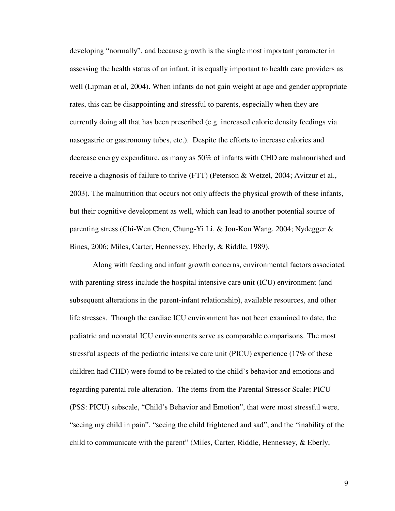developing "normally", and because growth is the single most important parameter in assessing the health status of an infant, it is equally important to health care providers as well (Lipman et al, 2004). When infants do not gain weight at age and gender appropriate rates, this can be disappointing and stressful to parents, especially when they are currently doing all that has been prescribed (e.g. increased caloric density feedings via nasogastric or gastronomy tubes, etc.). Despite the efforts to increase calories and decrease energy expenditure, as many as 50% of infants with CHD are malnourished and receive a diagnosis of failure to thrive (FTT) (Peterson & Wetzel, 2004; Avitzur et al., 2003). The malnutrition that occurs not only affects the physical growth of these infants, but their cognitive development as well, which can lead to another potential source of parenting stress (Chi-Wen Chen, Chung-Yi Li, & Jou-Kou Wang, 2004; Nydegger & Bines, 2006; Miles, Carter, Hennessey, Eberly, & Riddle, 1989).

Along with feeding and infant growth concerns, environmental factors associated with parenting stress include the hospital intensive care unit (ICU) environment (and subsequent alterations in the parent-infant relationship), available resources, and other life stresses. Though the cardiac ICU environment has not been examined to date, the pediatric and neonatal ICU environments serve as comparable comparisons. The most stressful aspects of the pediatric intensive care unit (PICU) experience (17% of these children had CHD) were found to be related to the child's behavior and emotions and regarding parental role alteration. The items from the Parental Stressor Scale: PICU (PSS: PICU) subscale, "Child's Behavior and Emotion", that were most stressful were, "seeing my child in pain", "seeing the child frightened and sad", and the "inability of the child to communicate with the parent" (Miles, Carter, Riddle, Hennessey, & Eberly,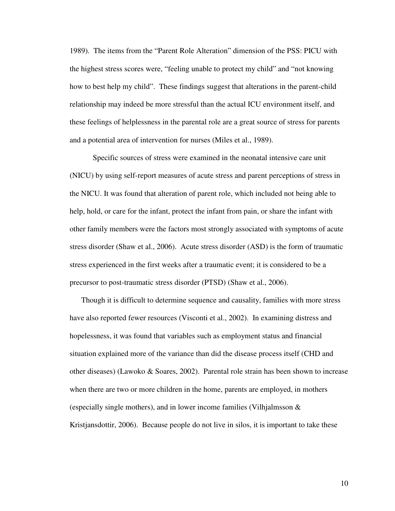1989). The items from the "Parent Role Alteration" dimension of the PSS: PICU with the highest stress scores were, "feeling unable to protect my child" and "not knowing how to best help my child". These findings suggest that alterations in the parent-child relationship may indeed be more stressful than the actual ICU environment itself, and these feelings of helplessness in the parental role are a great source of stress for parents and a potential area of intervention for nurses (Miles et al., 1989).

Specific sources of stress were examined in the neonatal intensive care unit (NICU) by using self-report measures of acute stress and parent perceptions of stress in the NICU. It was found that alteration of parent role, which included not being able to help, hold, or care for the infant, protect the infant from pain, or share the infant with other family members were the factors most strongly associated with symptoms of acute stress disorder (Shaw et al., 2006). Acute stress disorder (ASD) is the form of traumatic stress experienced in the first weeks after a traumatic event; it is considered to be a precursor to post-traumatic stress disorder (PTSD) (Shaw et al., 2006).

Though it is difficult to determine sequence and causality, families with more stress have also reported fewer resources (Visconti et al., 2002). In examining distress and hopelessness, it was found that variables such as employment status and financial situation explained more of the variance than did the disease process itself (CHD and other diseases) (Lawoko & Soares, 2002). Parental role strain has been shown to increase when there are two or more children in the home, parents are employed, in mothers (especially single mothers), and in lower income families (Vilhjalmsson  $\&$ Kristjansdottir, 2006). Because people do not live in silos, it is important to take these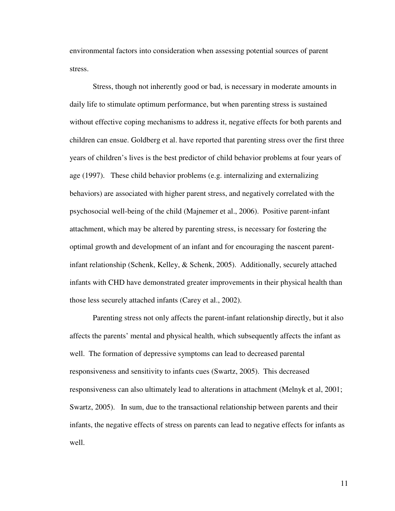environmental factors into consideration when assessing potential sources of parent stress.

Stress, though not inherently good or bad, is necessary in moderate amounts in daily life to stimulate optimum performance, but when parenting stress is sustained without effective coping mechanisms to address it, negative effects for both parents and children can ensue. Goldberg et al. have reported that parenting stress over the first three years of children's lives is the best predictor of child behavior problems at four years of age (1997). These child behavior problems (e.g. internalizing and externalizing behaviors) are associated with higher parent stress, and negatively correlated with the psychosocial well-being of the child (Majnemer et al., 2006). Positive parent-infant attachment, which may be altered by parenting stress, is necessary for fostering the optimal growth and development of an infant and for encouraging the nascent parentinfant relationship (Schenk, Kelley, & Schenk, 2005). Additionally, securely attached infants with CHD have demonstrated greater improvements in their physical health than those less securely attached infants (Carey et al., 2002).

Parenting stress not only affects the parent-infant relationship directly, but it also affects the parents' mental and physical health, which subsequently affects the infant as well. The formation of depressive symptoms can lead to decreased parental responsiveness and sensitivity to infants cues (Swartz, 2005). This decreased responsiveness can also ultimately lead to alterations in attachment (Melnyk et al, 2001; Swartz, 2005). In sum, due to the transactional relationship between parents and their infants, the negative effects of stress on parents can lead to negative effects for infants as well.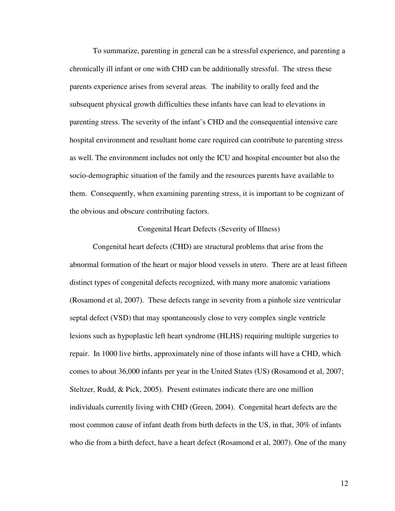To summarize, parenting in general can be a stressful experience, and parenting a chronically ill infant or one with CHD can be additionally stressful. The stress these parents experience arises from several areas. The inability to orally feed and the subsequent physical growth difficulties these infants have can lead to elevations in parenting stress. The severity of the infant's CHD and the consequential intensive care hospital environment and resultant home care required can contribute to parenting stress as well. The environment includes not only the ICU and hospital encounter but also the socio-demographic situation of the family and the resources parents have available to them. Consequently, when examining parenting stress, it is important to be cognizant of the obvious and obscure contributing factors.

### Congenital Heart Defects (Severity of Illness)

Congenital heart defects (CHD) are structural problems that arise from the abnormal formation of the heart or major blood vessels in utero. There are at least fifteen distinct types of congenital defects recognized, with many more anatomic variations (Rosamond et al, 2007). These defects range in severity from a pinhole size ventricular septal defect (VSD) that may spontaneously close to very complex single ventricle lesions such as hypoplastic left heart syndrome (HLHS) requiring multiple surgeries to repair. In 1000 live births, approximately nine of those infants will have a CHD, which comes to about 36,000 infants per year in the United States (US) (Rosamond et al, 2007; Steltzer, Rudd, & Pick, 2005). Present estimates indicate there are one million individuals currently living with CHD (Green, 2004). Congenital heart defects are the most common cause of infant death from birth defects in the US, in that, 30% of infants who die from a birth defect, have a heart defect (Rosamond et al, 2007). One of the many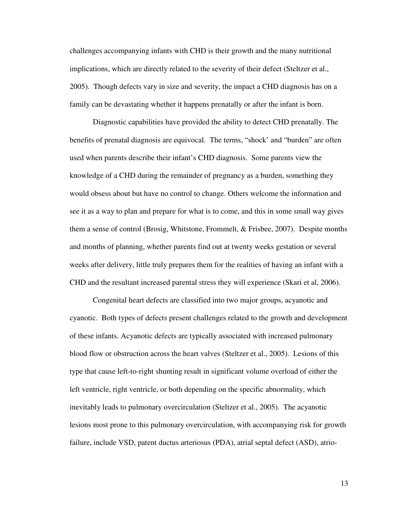challenges accompanying infants with CHD is their growth and the many nutritional implications, which are directly related to the severity of their defect (Steltzer et al., 2005). Though defects vary in size and severity, the impact a CHD diagnosis has on a family can be devastating whether it happens prenatally or after the infant is born.

 Diagnostic capabilities have provided the ability to detect CHD prenatally. The benefits of prenatal diagnosis are equivocal. The terms, "shock' and "burden" are often used when parents describe their infant's CHD diagnosis. Some parents view the knowledge of a CHD during the remainder of pregnancy as a burden, something they would obsess about but have no control to change. Others welcome the information and see it as a way to plan and prepare for what is to come, and this in some small way gives them a sense of control (Brosig, Whitstone, Frommelt, & Frisbee, 2007). Despite months and months of planning, whether parents find out at twenty weeks gestation or several weeks after delivery, little truly prepares them for the realities of having an infant with a CHD and the resultant increased parental stress they will experience (Skari et al, 2006).

Congenital heart defects are classified into two major groups, acyanotic and cyanotic. Both types of defects present challenges related to the growth and development of these infants. Acyanotic defects are typically associated with increased pulmonary blood flow or obstruction across the heart valves (Steltzer et al., 2005). Lesions of this type that cause left-to-right shunting result in significant volume overload of either the left ventricle, right ventricle, or both depending on the specific abnormality, which inevitably leads to pulmonary overcirculation (Steltzer et al., 2005). The acyanotic lesions most prone to this pulmonary overcirculation, with accompanying risk for growth failure, include VSD, patent ductus arteriosus (PDA), atrial septal defect (ASD), atrio-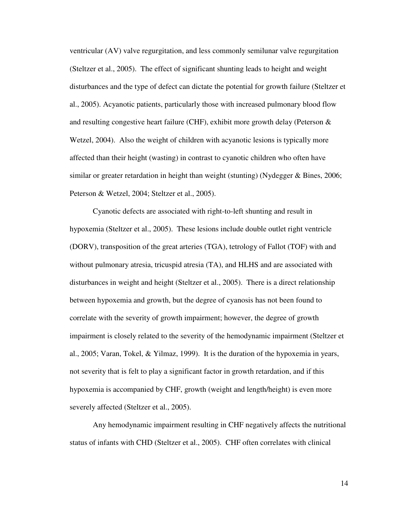ventricular (AV) valve regurgitation, and less commonly semilunar valve regurgitation (Steltzer et al., 2005). The effect of significant shunting leads to height and weight disturbances and the type of defect can dictate the potential for growth failure (Steltzer et al., 2005). Acyanotic patients, particularly those with increased pulmonary blood flow and resulting congestive heart failure (CHF), exhibit more growth delay (Peterson  $\&$ Wetzel, 2004). Also the weight of children with acyanotic lesions is typically more affected than their height (wasting) in contrast to cyanotic children who often have similar or greater retardation in height than weight (stunting) (Nydegger & Bines, 2006; Peterson & Wetzel, 2004; Steltzer et al., 2005).

 Cyanotic defects are associated with right-to-left shunting and result in hypoxemia (Steltzer et al., 2005). These lesions include double outlet right ventricle (DORV), transposition of the great arteries (TGA), tetrology of Fallot (TOF) with and without pulmonary atresia, tricuspid atresia (TA), and HLHS and are associated with disturbances in weight and height (Steltzer et al., 2005). There is a direct relationship between hypoxemia and growth, but the degree of cyanosis has not been found to correlate with the severity of growth impairment; however, the degree of growth impairment is closely related to the severity of the hemodynamic impairment (Steltzer et al., 2005; Varan, Tokel, & Yilmaz, 1999). It is the duration of the hypoxemia in years, not severity that is felt to play a significant factor in growth retardation, and if this hypoxemia is accompanied by CHF, growth (weight and length/height) is even more severely affected (Steltzer et al., 2005).

Any hemodynamic impairment resulting in CHF negatively affects the nutritional status of infants with CHD (Steltzer et al., 2005). CHF often correlates with clinical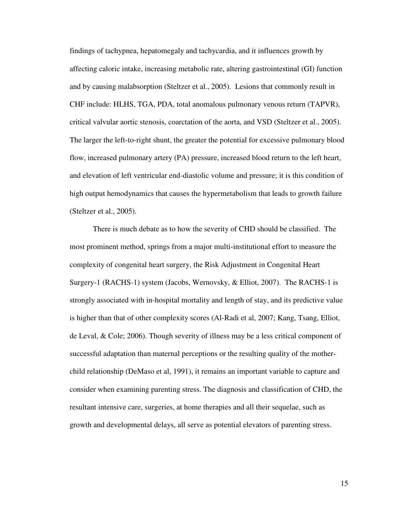findings of tachypnea, hepatomegaly and tachycardia, and it influences growth by affecting caloric intake, increasing metabolic rate, altering gastrointestinal (GI) function and by causing malabsorption (Steltzer et al., 2005). Lesions that commonly result in CHF include: HLHS, TGA, PDA, total anomalous pulmonary venous return (TAPVR), critical valvular aortic stenosis, coarctation of the aorta, and VSD (Steltzer et al., 2005). The larger the left-to-right shunt, the greater the potential for excessive pulmonary blood flow, increased pulmonary artery (PA) pressure, increased blood return to the left heart, and elevation of left ventricular end-diastolic volume and pressure; it is this condition of high output hemodynamics that causes the hypermetabolism that leads to growth failure (Steltzer et al., 2005).

There is much debate as to how the severity of CHD should be classified. The most prominent method, springs from a major multi-institutional effort to measure the complexity of congenital heart surgery, the Risk Adjustment in Congenital Heart Surgery-1 (RACHS-1) system (Jacobs, Wernovsky, & Elliot, 2007). The RACHS-1 is strongly associated with in-hospital mortality and length of stay, and its predictive value is higher than that of other complexity scores (Al-Radi et al, 2007; Kang, Tsang, Elliot, de Leval, & Cole; 2006). Though severity of illness may be a less critical component of successful adaptation than maternal perceptions or the resulting quality of the motherchild relationship (DeMaso et al, 1991), it remains an important variable to capture and consider when examining parenting stress. The diagnosis and classification of CHD, the resultant intensive care, surgeries, at home therapies and all their sequelae, such as growth and developmental delays, all serve as potential elevators of parenting stress.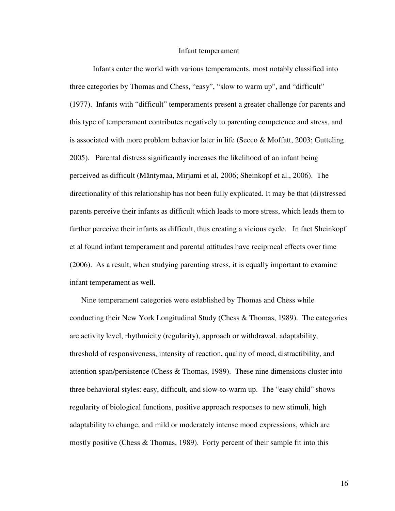#### Infant temperament

 Infants enter the world with various temperaments, most notably classified into three categories by Thomas and Chess, "easy", "slow to warm up", and "difficult" (1977). Infants with "difficult" temperaments present a greater challenge for parents and this type of temperament contributes negatively to parenting competence and stress, and is associated with more problem behavior later in life (Secco  $\&$  Moffatt, 2003; Gutteling 2005). Parental distress significantly increases the likelihood of an infant being perceived as difficult (Mäntymaa, Mirjami et al, 2006; Sheinkopf et al., 2006). The directionality of this relationship has not been fully explicated. It may be that (di)stressed parents perceive their infants as difficult which leads to more stress, which leads them to further perceive their infants as difficult, thus creating a vicious cycle. In fact Sheinkopf et al found infant temperament and parental attitudes have reciprocal effects over time (2006). As a result, when studying parenting stress, it is equally important to examine infant temperament as well.

Nine temperament categories were established by Thomas and Chess while conducting their New York Longitudinal Study (Chess  $&$  Thomas, 1989). The categories are activity level, rhythmicity (regularity), approach or withdrawal, adaptability, threshold of responsiveness, intensity of reaction, quality of mood, distractibility, and attention span/persistence (Chess & Thomas, 1989). These nine dimensions cluster into three behavioral styles: easy, difficult, and slow-to-warm up. The "easy child" shows regularity of biological functions, positive approach responses to new stimuli, high adaptability to change, and mild or moderately intense mood expressions, which are mostly positive (Chess & Thomas, 1989). Forty percent of their sample fit into this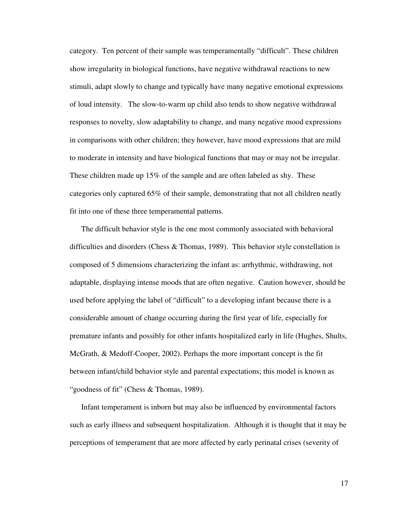category. Ten percent of their sample was temperamentally "difficult". These children show irregularity in biological functions, have negative withdrawal reactions to new stimuli, adapt slowly to change and typically have many negative emotional expressions of loud intensity. The slow-to-warm up child also tends to show negative withdrawal responses to novelty, slow adaptability to change, and many negative mood expressions in comparisons with other children; they however, have mood expressions that are mild to moderate in intensity and have biological functions that may or may not be irregular. These children made up 15% of the sample and are often labeled as shy. These categories only captured 65% of their sample, demonstrating that not all children neatly fit into one of these three temperamental patterns.

The difficult behavior style is the one most commonly associated with behavioral difficulties and disorders (Chess & Thomas, 1989). This behavior style constellation is composed of 5 dimensions characterizing the infant as: arrhythmic, withdrawing, not adaptable, displaying intense moods that are often negative. Caution however, should be used before applying the label of "difficult" to a developing infant because there is a considerable amount of change occurring during the first year of life, especially for premature infants and possibly for other infants hospitalized early in life (Hughes, Shults, McGrath, & Medoff-Cooper, 2002). Perhaps the more important concept is the fit between infant/child behavior style and parental expectations; this model is known as "goodness of fit" (Chess & Thomas, 1989).

Infant temperament is inborn but may also be influenced by environmental factors such as early illness and subsequent hospitalization. Although it is thought that it may be perceptions of temperament that are more affected by early perinatal crises (severity of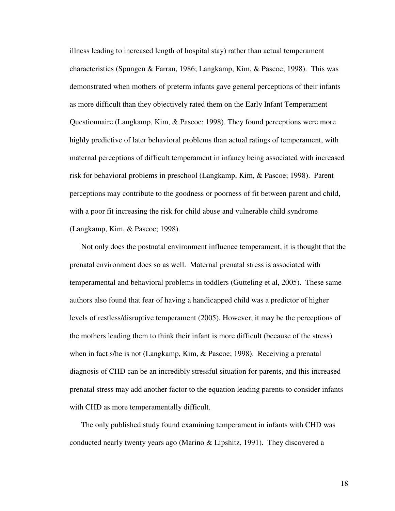illness leading to increased length of hospital stay) rather than actual temperament characteristics (Spungen & Farran, 1986; Langkamp, Kim, & Pascoe; 1998). This was demonstrated when mothers of preterm infants gave general perceptions of their infants as more difficult than they objectively rated them on the Early Infant Temperament Questionnaire (Langkamp, Kim, & Pascoe; 1998). They found perceptions were more highly predictive of later behavioral problems than actual ratings of temperament, with maternal perceptions of difficult temperament in infancy being associated with increased risk for behavioral problems in preschool (Langkamp, Kim, & Pascoe; 1998). Parent perceptions may contribute to the goodness or poorness of fit between parent and child, with a poor fit increasing the risk for child abuse and vulnerable child syndrome (Langkamp, Kim, & Pascoe; 1998).

Not only does the postnatal environment influence temperament, it is thought that the prenatal environment does so as well. Maternal prenatal stress is associated with temperamental and behavioral problems in toddlers (Gutteling et al, 2005). These same authors also found that fear of having a handicapped child was a predictor of higher levels of restless/disruptive temperament (2005). However, it may be the perceptions of the mothers leading them to think their infant is more difficult (because of the stress) when in fact s/he is not (Langkamp, Kim, & Pascoe; 1998). Receiving a prenatal diagnosis of CHD can be an incredibly stressful situation for parents, and this increased prenatal stress may add another factor to the equation leading parents to consider infants with CHD as more temperamentally difficult.

The only published study found examining temperament in infants with CHD was conducted nearly twenty years ago (Marino & Lipshitz, 1991). They discovered a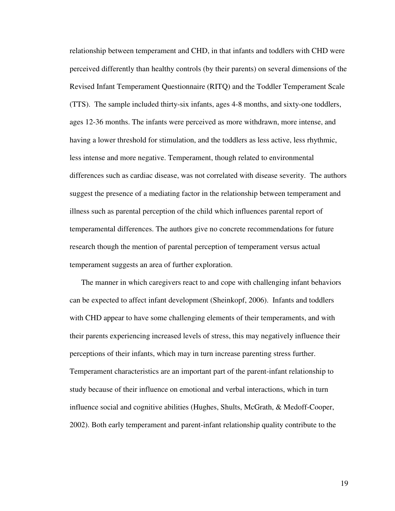relationship between temperament and CHD, in that infants and toddlers with CHD were perceived differently than healthy controls (by their parents) on several dimensions of the Revised Infant Temperament Questionnaire (RITQ) and the Toddler Temperament Scale (TTS). The sample included thirty-six infants, ages 4-8 months, and sixty-one toddlers, ages 12-36 months. The infants were perceived as more withdrawn, more intense, and having a lower threshold for stimulation, and the toddlers as less active, less rhythmic, less intense and more negative. Temperament, though related to environmental differences such as cardiac disease, was not correlated with disease severity. The authors suggest the presence of a mediating factor in the relationship between temperament and illness such as parental perception of the child which influences parental report of temperamental differences. The authors give no concrete recommendations for future research though the mention of parental perception of temperament versus actual temperament suggests an area of further exploration.

The manner in which caregivers react to and cope with challenging infant behaviors can be expected to affect infant development (Sheinkopf, 2006). Infants and toddlers with CHD appear to have some challenging elements of their temperaments, and with their parents experiencing increased levels of stress, this may negatively influence their perceptions of their infants, which may in turn increase parenting stress further. Temperament characteristics are an important part of the parent-infant relationship to study because of their influence on emotional and verbal interactions, which in turn influence social and cognitive abilities (Hughes, Shults, McGrath, & Medoff-Cooper, 2002). Both early temperament and parent-infant relationship quality contribute to the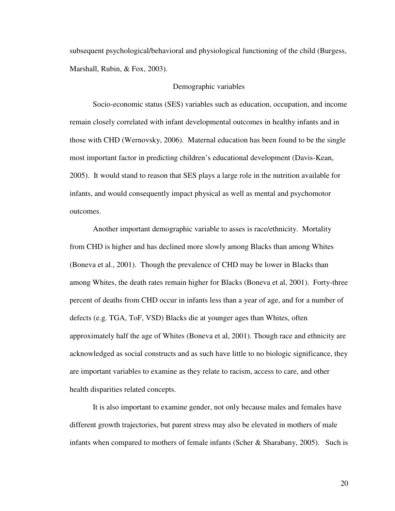subsequent psychological/behavioral and physiological functioning of the child (Burgess, Marshall, Rubin, & Fox, 2003).

### Demographic variables

 Socio-economic status (SES) variables such as education, occupation, and income remain closely correlated with infant developmental outcomes in healthy infants and in those with CHD (Wernovsky, 2006). Maternal education has been found to be the single most important factor in predicting children's educational development (Davis-Kean, 2005). It would stand to reason that SES plays a large role in the nutrition available for infants, and would consequently impact physical as well as mental and psychomotor outcomes.

Another important demographic variable to asses is race/ethnicity. Mortality from CHD is higher and has declined more slowly among Blacks than among Whites (Boneva et al., 2001). Though the prevalence of CHD may be lower in Blacks than among Whites, the death rates remain higher for Blacks (Boneva et al, 2001). Forty-three percent of deaths from CHD occur in infants less than a year of age, and for a number of defects (e.g. TGA, ToF, VSD) Blacks die at younger ages than Whites, often approximately half the age of Whites (Boneva et al, 2001). Though race and ethnicity are acknowledged as social constructs and as such have little to no biologic significance, they are important variables to examine as they relate to racism, access to care, and other health disparities related concepts.

 It is also important to examine gender, not only because males and females have different growth trajectories, but parent stress may also be elevated in mothers of male infants when compared to mothers of female infants (Scher & Sharabany, 2005). Such is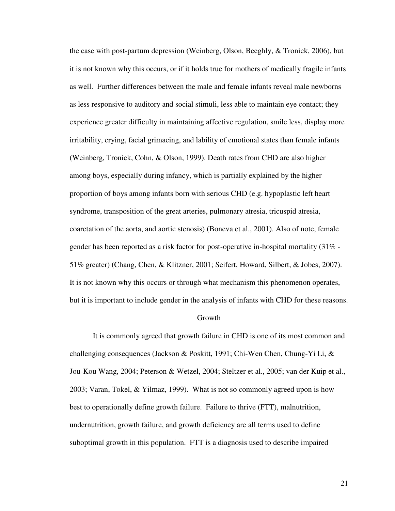the case with post-partum depression (Weinberg, Olson, Beeghly, & Tronick, 2006), but it is not known why this occurs, or if it holds true for mothers of medically fragile infants as well. Further differences between the male and female infants reveal male newborns as less responsive to auditory and social stimuli, less able to maintain eye contact; they experience greater difficulty in maintaining affective regulation, smile less, display more irritability, crying, facial grimacing, and lability of emotional states than female infants (Weinberg, Tronick, Cohn, & Olson, 1999). Death rates from CHD are also higher among boys, especially during infancy, which is partially explained by the higher proportion of boys among infants born with serious CHD (e.g. hypoplastic left heart syndrome, transposition of the great arteries, pulmonary atresia, tricuspid atresia, coarctation of the aorta, and aortic stenosis) (Boneva et al., 2001). Also of note, female gender has been reported as a risk factor for post-operative in-hospital mortality (31% - 51% greater) (Chang, Chen, & Klitzner, 2001; Seifert, Howard, Silbert, & Jobes, 2007). It is not known why this occurs or through what mechanism this phenomenon operates, but it is important to include gender in the analysis of infants with CHD for these reasons.

### Growth

 It is commonly agreed that growth failure in CHD is one of its most common and challenging consequences (Jackson & Poskitt, 1991; Chi-Wen Chen, Chung-Yi Li, & Jou-Kou Wang, 2004; Peterson & Wetzel, 2004; Steltzer et al., 2005; van der Kuip et al., 2003; Varan, Tokel, & Yilmaz, 1999). What is not so commonly agreed upon is how best to operationally define growth failure. Failure to thrive (FTT), malnutrition, undernutrition, growth failure, and growth deficiency are all terms used to define suboptimal growth in this population. FTT is a diagnosis used to describe impaired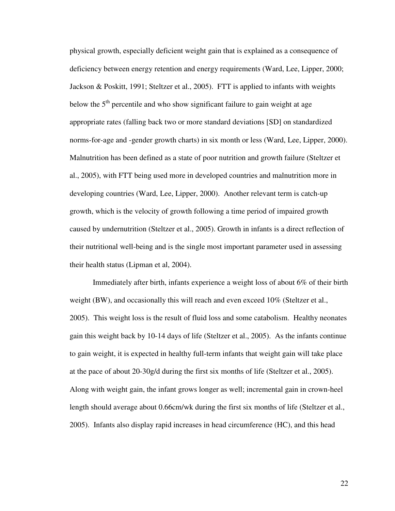physical growth, especially deficient weight gain that is explained as a consequence of deficiency between energy retention and energy requirements (Ward, Lee, Lipper, 2000; Jackson & Poskitt, 1991; Steltzer et al., 2005). FTT is applied to infants with weights below the  $5<sup>th</sup>$  percentile and who show significant failure to gain weight at age appropriate rates (falling back two or more standard deviations [SD] on standardized norms-for-age and -gender growth charts) in six month or less (Ward, Lee, Lipper, 2000). Malnutrition has been defined as a state of poor nutrition and growth failure (Steltzer et al., 2005), with FTT being used more in developed countries and malnutrition more in developing countries (Ward, Lee, Lipper, 2000). Another relevant term is catch-up growth, which is the velocity of growth following a time period of impaired growth caused by undernutrition (Steltzer et al., 2005). Growth in infants is a direct reflection of their nutritional well-being and is the single most important parameter used in assessing their health status (Lipman et al, 2004).

Immediately after birth, infants experience a weight loss of about 6% of their birth weight (BW), and occasionally this will reach and even exceed 10% (Steltzer et al., 2005). This weight loss is the result of fluid loss and some catabolism. Healthy neonates gain this weight back by 10-14 days of life (Steltzer et al., 2005). As the infants continue to gain weight, it is expected in healthy full-term infants that weight gain will take place at the pace of about 20-30g/d during the first six months of life (Steltzer et al., 2005). Along with weight gain, the infant grows longer as well; incremental gain in crown-heel length should average about 0.66cm/wk during the first six months of life (Steltzer et al., 2005). Infants also display rapid increases in head circumference (HC), and this head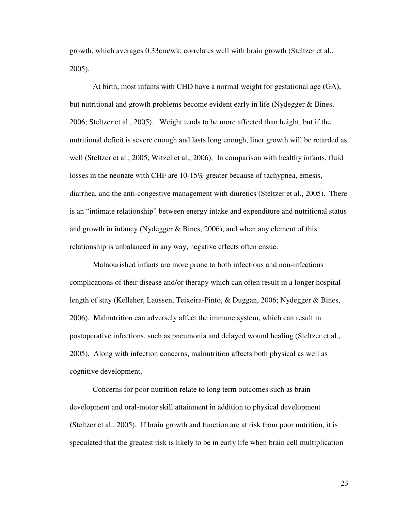growth, which averages 0.33cm/wk, correlates well with brain growth (Steltzer et al., 2005).

 At birth, most infants with CHD have a normal weight for gestational age (GA), but nutritional and growth problems become evident early in life (Nydegger & Bines, 2006; Steltzer et al., 2005). Weight tends to be more affected than height, but if the nutritional deficit is severe enough and lasts long enough, liner growth will be retarded as well (Steltzer et al., 2005; Witzel et al., 2006). In comparison with healthy infants, fluid losses in the neonate with CHF are 10-15% greater because of tachypnea, emesis, diarrhea, and the anti-congestive management with diuretics (Steltzer et al., 2005). There is an "intimate relationship" between energy intake and expenditure and nutritional status and growth in infancy (Nydegger & Bines, 2006), and when any element of this relationship is unbalanced in any way, negative effects often ensue.

Malnourished infants are more prone to both infectious and non-infectious complications of their disease and/or therapy which can often result in a longer hospital length of stay (Kelleher, Laussen, Teixeira-Pinto, & Duggan, 2006; Nydegger & Bines, 2006). Malnutrition can adversely affect the immune system, which can result in postoperative infections, such as pneumonia and delayed wound healing (Steltzer et al., 2005). Along with infection concerns, malnutrition affects both physical as well as cognitive development.

 Concerns for poor nutrition relate to long term outcomes such as brain development and oral-motor skill attainment in addition to physical development (Steltzer et al., 2005). If brain growth and function are at risk from poor nutrition, it is speculated that the greatest risk is likely to be in early life when brain cell multiplication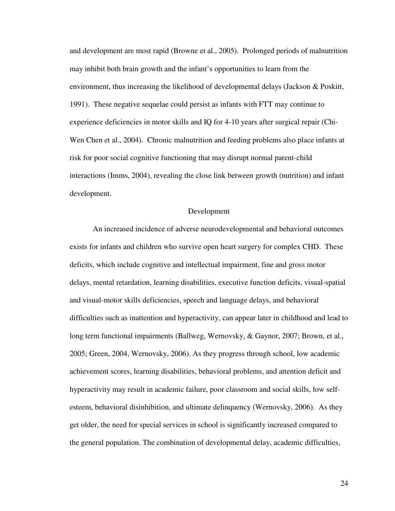and development are most rapid (Browne et al., 2005). Prolonged periods of malnutrition may inhibit both brain growth and the infant's opportunities to learn from the environment, thus increasing the likelihood of developmental delays (Jackson & Poskitt, 1991). These negative sequelae could persist as infants with FTT may continue to experience deficiencies in motor skills and IQ for 4-10 years after surgical repair (Chi-Wen Chen et al., 2004). Chronic malnutrition and feeding problems also place infants at risk for poor social cognitive functioning that may disrupt normal parent-child interactions (Imms, 2004), revealing the close link between growth (nutrition) and infant development.

#### Development

 An increased incidence of adverse neurodevelopmental and behavioral outcomes exists for infants and children who survive open heart surgery for complex CHD. These deficits, which include cognitive and intellectual impairment, fine and gross motor delays, mental retardation, learning disabilities, executive function deficits, visual-spatial and visual-motor skills deficiencies, speech and language delays, and behavioral difficulties such as inattention and hyperactivity, can appear later in childhood and lead to long term functional impairments (Ballweg, Wernovsky, & Gaynor, 2007; Brown, et al., 2005; Green, 2004, Wernovsky, 2006). As they progress through school, low academic achievement scores, learning disabilities, behavioral problems, and attention deficit and hyperactivity may result in academic failure, poor classroom and social skills, low selfesteem, behavioral disinhibition, and ultimate delinquency (Wernovsky, 2006). As they get older, the need for special services in school is significantly increased compared to the general population. The combination of developmental delay, academic difficulties,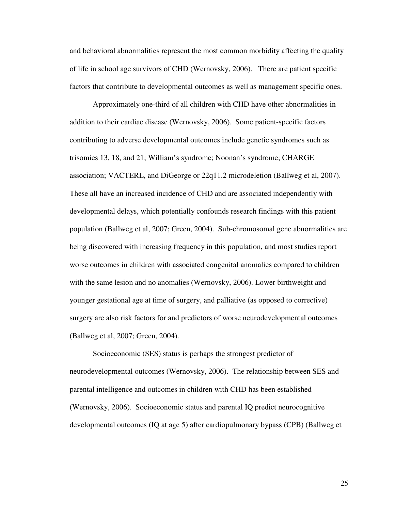and behavioral abnormalities represent the most common morbidity affecting the quality of life in school age survivors of CHD (Wernovsky, 2006). There are patient specific factors that contribute to developmental outcomes as well as management specific ones.

 Approximately one-third of all children with CHD have other abnormalities in addition to their cardiac disease (Wernovsky, 2006). Some patient-specific factors contributing to adverse developmental outcomes include genetic syndromes such as trisomies 13, 18, and 21; William's syndrome; Noonan's syndrome; CHARGE association; VACTERL, and DiGeorge or 22q11.2 microdeletion (Ballweg et al, 2007). These all have an increased incidence of CHD and are associated independently with developmental delays, which potentially confounds research findings with this patient population (Ballweg et al, 2007; Green, 2004). Sub-chromosomal gene abnormalities are being discovered with increasing frequency in this population, and most studies report worse outcomes in children with associated congenital anomalies compared to children with the same lesion and no anomalies (Wernovsky, 2006). Lower birthweight and younger gestational age at time of surgery, and palliative (as opposed to corrective) surgery are also risk factors for and predictors of worse neurodevelopmental outcomes (Ballweg et al, 2007; Green, 2004).

Socioeconomic (SES) status is perhaps the strongest predictor of neurodevelopmental outcomes (Wernovsky, 2006). The relationship between SES and parental intelligence and outcomes in children with CHD has been established (Wernovsky, 2006). Socioeconomic status and parental IQ predict neurocognitive developmental outcomes (IQ at age 5) after cardiopulmonary bypass (CPB) (Ballweg et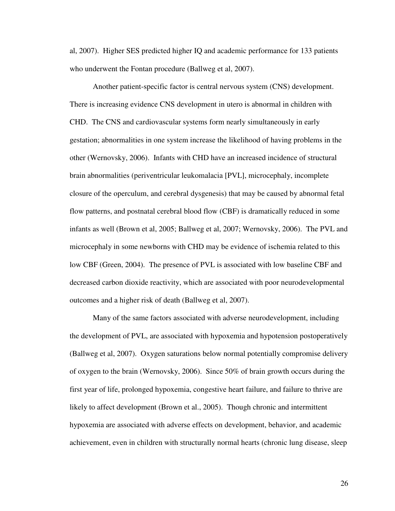al, 2007). Higher SES predicted higher IQ and academic performance for 133 patients who underwent the Fontan procedure (Ballweg et al, 2007).

 Another patient-specific factor is central nervous system (CNS) development. There is increasing evidence CNS development in utero is abnormal in children with CHD. The CNS and cardiovascular systems form nearly simultaneously in early gestation; abnormalities in one system increase the likelihood of having problems in the other (Wernovsky, 2006). Infants with CHD have an increased incidence of structural brain abnormalities (periventricular leukomalacia [PVL], microcephaly, incomplete closure of the operculum, and cerebral dysgenesis) that may be caused by abnormal fetal flow patterns, and postnatal cerebral blood flow (CBF) is dramatically reduced in some infants as well (Brown et al, 2005; Ballweg et al, 2007; Wernovsky, 2006). The PVL and microcephaly in some newborns with CHD may be evidence of ischemia related to this low CBF (Green, 2004). The presence of PVL is associated with low baseline CBF and decreased carbon dioxide reactivity, which are associated with poor neurodevelopmental outcomes and a higher risk of death (Ballweg et al, 2007).

Many of the same factors associated with adverse neurodevelopment, including the development of PVL, are associated with hypoxemia and hypotension postoperatively (Ballweg et al, 2007). Oxygen saturations below normal potentially compromise delivery of oxygen to the brain (Wernovsky, 2006). Since 50% of brain growth occurs during the first year of life, prolonged hypoxemia, congestive heart failure, and failure to thrive are likely to affect development (Brown et al., 2005). Though chronic and intermittent hypoxemia are associated with adverse effects on development, behavior, and academic achievement, even in children with structurally normal hearts (chronic lung disease, sleep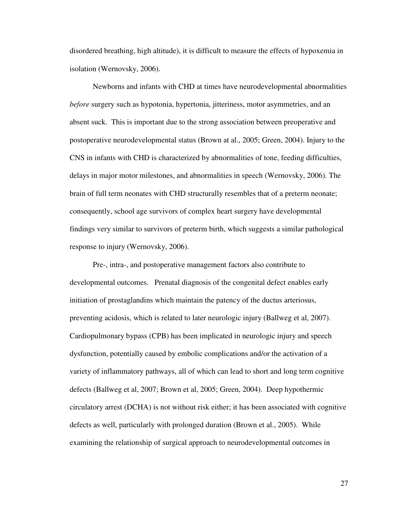disordered breathing, high altitude), it is difficult to measure the effects of hypoxemia in isolation (Wernovsky, 2006).

Newborns and infants with CHD at times have neurodevelopmental abnormalities *before* surgery such as hypotonia, hypertonia, jitteriness, motor asymmetries, and an absent suck. This is important due to the strong association between preoperative and postoperative neurodevelopmental status (Brown at al., 2005; Green, 2004). Injury to the CNS in infants with CHD is characterized by abnormalities of tone, feeding difficulties, delays in major motor milestones, and abnormalities in speech (Wernovsky, 2006). The brain of full term neonates with CHD structurally resembles that of a preterm neonate; consequently, school age survivors of complex heart surgery have developmental findings very similar to survivors of preterm birth, which suggests a similar pathological response to injury (Wernovsky, 2006).

 Pre-, intra-, and postoperative management factors also contribute to developmental outcomes. Prenatal diagnosis of the congenital defect enables early initiation of prostaglandins which maintain the patency of the ductus arteriosus, preventing acidosis, which is related to later neurologic injury (Ballweg et al, 2007). Cardiopulmonary bypass (CPB) has been implicated in neurologic injury and speech dysfunction, potentially caused by embolic complications and/or the activation of a variety of inflammatory pathways, all of which can lead to short and long term cognitive defects (Ballweg et al, 2007; Brown et al, 2005; Green, 2004). Deep hypothermic circulatory arrest (DCHA) is not without risk either; it has been associated with cognitive defects as well, particularly with prolonged duration (Brown et al., 2005). While examining the relationship of surgical approach to neurodevelopmental outcomes in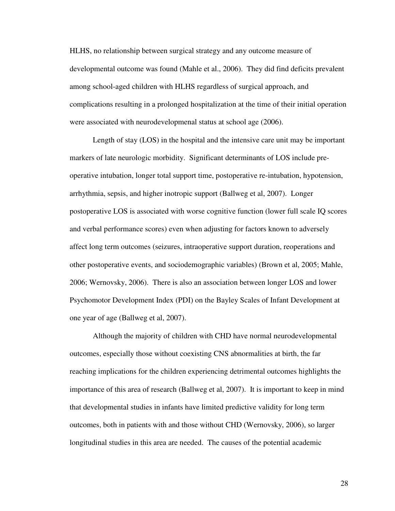HLHS, no relationship between surgical strategy and any outcome measure of developmental outcome was found (Mahle et al., 2006). They did find deficits prevalent among school-aged children with HLHS regardless of surgical approach, and complications resulting in a prolonged hospitalization at the time of their initial operation were associated with neurodevelopmenal status at school age (2006).

 Length of stay (LOS) in the hospital and the intensive care unit may be important markers of late neurologic morbidity. Significant determinants of LOS include preoperative intubation, longer total support time, postoperative re-intubation, hypotension, arrhythmia, sepsis, and higher inotropic support (Ballweg et al, 2007). Longer postoperative LOS is associated with worse cognitive function (lower full scale IQ scores and verbal performance scores) even when adjusting for factors known to adversely affect long term outcomes (seizures, intraoperative support duration, reoperations and other postoperative events, and sociodemographic variables) (Brown et al, 2005; Mahle, 2006; Wernovsky, 2006). There is also an association between longer LOS and lower Psychomotor Development Index (PDI) on the Bayley Scales of Infant Development at one year of age (Ballweg et al, 2007).

Although the majority of children with CHD have normal neurodevelopmental outcomes, especially those without coexisting CNS abnormalities at birth, the far reaching implications for the children experiencing detrimental outcomes highlights the importance of this area of research (Ballweg et al, 2007). It is important to keep in mind that developmental studies in infants have limited predictive validity for long term outcomes, both in patients with and those without CHD (Wernovsky, 2006), so larger longitudinal studies in this area are needed. The causes of the potential academic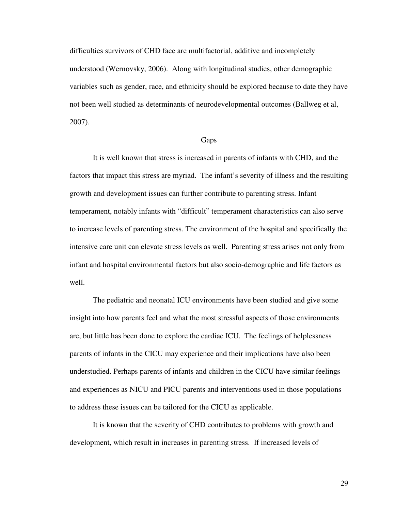difficulties survivors of CHD face are multifactorial, additive and incompletely understood (Wernovsky, 2006). Along with longitudinal studies, other demographic variables such as gender, race, and ethnicity should be explored because to date they have not been well studied as determinants of neurodevelopmental outcomes (Ballweg et al, 2007).

#### **Gaps**

It is well known that stress is increased in parents of infants with CHD, and the factors that impact this stress are myriad. The infant's severity of illness and the resulting growth and development issues can further contribute to parenting stress. Infant temperament, notably infants with "difficult" temperament characteristics can also serve to increase levels of parenting stress. The environment of the hospital and specifically the intensive care unit can elevate stress levels as well. Parenting stress arises not only from infant and hospital environmental factors but also socio-demographic and life factors as well.

The pediatric and neonatal ICU environments have been studied and give some insight into how parents feel and what the most stressful aspects of those environments are, but little has been done to explore the cardiac ICU. The feelings of helplessness parents of infants in the CICU may experience and their implications have also been understudied. Perhaps parents of infants and children in the CICU have similar feelings and experiences as NICU and PICU parents and interventions used in those populations to address these issues can be tailored for the CICU as applicable.

It is known that the severity of CHD contributes to problems with growth and development, which result in increases in parenting stress. If increased levels of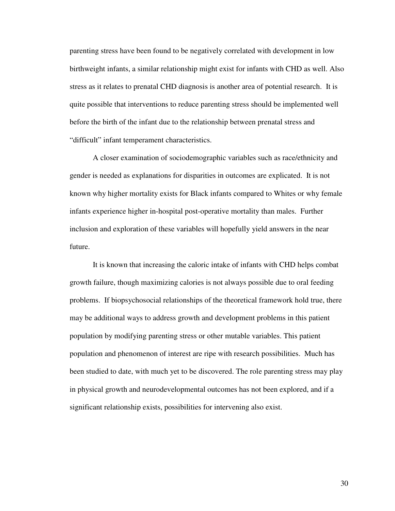parenting stress have been found to be negatively correlated with development in low birthweight infants, a similar relationship might exist for infants with CHD as well. Also stress as it relates to prenatal CHD diagnosis is another area of potential research. It is quite possible that interventions to reduce parenting stress should be implemented well before the birth of the infant due to the relationship between prenatal stress and "difficult" infant temperament characteristics.

A closer examination of sociodemographic variables such as race/ethnicity and gender is needed as explanations for disparities in outcomes are explicated. It is not known why higher mortality exists for Black infants compared to Whites or why female infants experience higher in-hospital post-operative mortality than males. Further inclusion and exploration of these variables will hopefully yield answers in the near future.

It is known that increasing the caloric intake of infants with CHD helps combat growth failure, though maximizing calories is not always possible due to oral feeding problems. If biopsychosocial relationships of the theoretical framework hold true, there may be additional ways to address growth and development problems in this patient population by modifying parenting stress or other mutable variables. This patient population and phenomenon of interest are ripe with research possibilities. Much has been studied to date, with much yet to be discovered. The role parenting stress may play in physical growth and neurodevelopmental outcomes has not been explored, and if a significant relationship exists, possibilities for intervening also exist.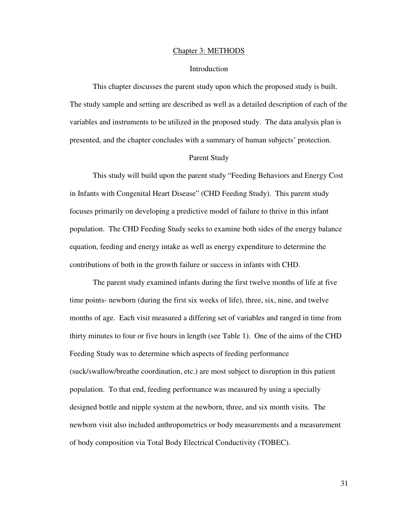#### Chapter 3: METHODS

## Introduction

 This chapter discusses the parent study upon which the proposed study is built. The study sample and setting are described as well as a detailed description of each of the variables and instruments to be utilized in the proposed study. The data analysis plan is presented, and the chapter concludes with a summary of human subjects' protection.

#### Parent Study

 This study will build upon the parent study "Feeding Behaviors and Energy Cost in Infants with Congenital Heart Disease" (CHD Feeding Study). This parent study focuses primarily on developing a predictive model of failure to thrive in this infant population. The CHD Feeding Study seeks to examine both sides of the energy balance equation, feeding and energy intake as well as energy expenditure to determine the contributions of both in the growth failure or success in infants with CHD.

 The parent study examined infants during the first twelve months of life at five time points- newborn (during the first six weeks of life), three, six, nine, and twelve months of age. Each visit measured a differing set of variables and ranged in time from thirty minutes to four or five hours in length (see Table 1). One of the aims of the CHD Feeding Study was to determine which aspects of feeding performance (suck/swallow/breathe coordination, etc.) are most subject to disruption in this patient population. To that end, feeding performance was measured by using a specially designed bottle and nipple system at the newborn, three, and six month visits. The newborn visit also included anthropometrics or body measurements and a measurement of body composition via Total Body Electrical Conductivity (TOBEC).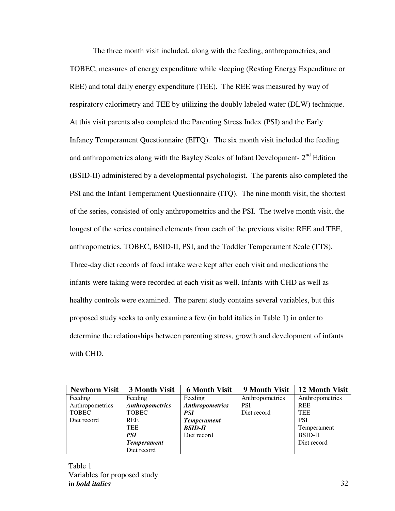The three month visit included, along with the feeding, anthropometrics, and TOBEC, measures of energy expenditure while sleeping (Resting Energy Expenditure or REE) and total daily energy expenditure (TEE). The REE was measured by way of respiratory calorimetry and TEE by utilizing the doubly labeled water (DLW) technique. At this visit parents also completed the Parenting Stress Index (PSI) and the Early Infancy Temperament Questionnaire (EITQ). The six month visit included the feeding and anthropometrics along with the Bayley Scales of Infant Development- 2nd Edition (BSID-II) administered by a developmental psychologist. The parents also completed the PSI and the Infant Temperament Questionnaire (ITQ). The nine month visit, the shortest of the series, consisted of only anthropometrics and the PSI. The twelve month visit, the longest of the series contained elements from each of the previous visits: REE and TEE, anthropometrics, TOBEC, BSID-II, PSI, and the Toddler Temperament Scale (TTS). Three-day diet records of food intake were kept after each visit and medications the infants were taking were recorded at each visit as well. Infants with CHD as well as healthy controls were examined. The parent study contains several variables, but this proposed study seeks to only examine a few (in bold italics in Table 1) in order to determine the relationships between parenting stress, growth and development of infants with CHD.

| <b>Newborn Visit</b> | 3 Month Visit          | <b>6 Month Visit</b>   | 9 Month Visit   | 12 Month Visit  |
|----------------------|------------------------|------------------------|-----------------|-----------------|
| Feeding              | Feeding                | Feeding                | Anthropometrics | Anthropometrics |
| Anthropometrics      | <b>Anthropometrics</b> | <b>Anthropometrics</b> | <b>PSI</b>      | <b>REE</b>      |
| <b>TOBEC</b>         | <b>TOBEC</b>           | <i>PSI</i>             | Diet record     | <b>TEE</b>      |
| Diet record          | <b>REE</b>             | <b>Temperament</b>     |                 | <b>PSI</b>      |
|                      | <b>TEE</b>             | <b>BSID-II</b>         |                 | Temperament     |
|                      | <b>PSI</b>             | Diet record            |                 | <b>BSID-II</b>  |
|                      | <b>Temperament</b>     |                        |                 | Diet record     |
|                      | Diet record            |                        |                 |                 |

Table 1 Variables for proposed study in *bold italics*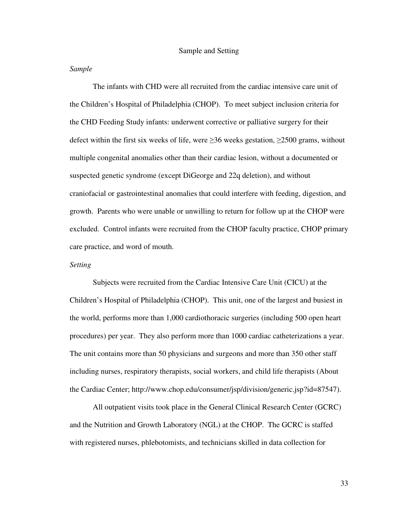## *Sample*

 The infants with CHD were all recruited from the cardiac intensive care unit of the Children's Hospital of Philadelphia (CHOP). To meet subject inclusion criteria for the CHD Feeding Study infants: underwent corrective or palliative surgery for their defect within the first six weeks of life, were  $\geq$ 36 weeks gestation,  $\geq$ 2500 grams, without multiple congenital anomalies other than their cardiac lesion, without a documented or suspected genetic syndrome (except DiGeorge and 22q deletion), and without craniofacial or gastrointestinal anomalies that could interfere with feeding, digestion, and growth. Parents who were unable or unwilling to return for follow up at the CHOP were excluded. Control infants were recruited from the CHOP faculty practice, CHOP primary care practice, and word of mouth.

# *Setting*

 Subjects were recruited from the Cardiac Intensive Care Unit (CICU) at the Children's Hospital of Philadelphia (CHOP). This unit, one of the largest and busiest in the world, performs more than 1,000 cardiothoracic surgeries (including 500 open heart procedures) per year. They also perform more than 1000 cardiac catheterizations a year. The unit contains more than 50 physicians and surgeons and more than 350 other staff including nurses, respiratory therapists, social workers, and child life therapists (About the Cardiac Center; http://www.chop.edu/consumer/jsp/division/generic.jsp?id=87547).

All outpatient visits took place in the General Clinical Research Center (GCRC) and the Nutrition and Growth Laboratory (NGL) at the CHOP. The GCRC is staffed with registered nurses, phlebotomists, and technicians skilled in data collection for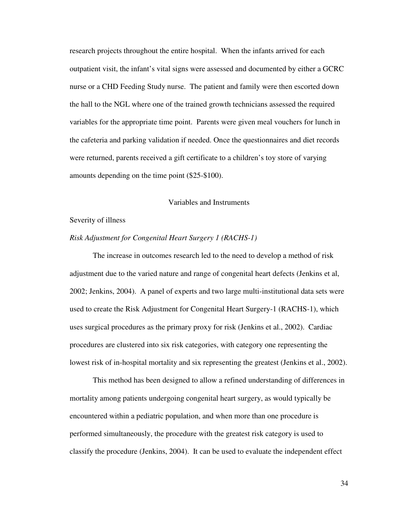research projects throughout the entire hospital. When the infants arrived for each outpatient visit, the infant's vital signs were assessed and documented by either a GCRC nurse or a CHD Feeding Study nurse. The patient and family were then escorted down the hall to the NGL where one of the trained growth technicians assessed the required variables for the appropriate time point. Parents were given meal vouchers for lunch in the cafeteria and parking validation if needed. Once the questionnaires and diet records were returned, parents received a gift certificate to a children's toy store of varying amounts depending on the time point (\$25-\$100).

# Variables and Instruments

#### Severity of illness

## *Risk Adjustment for Congenital Heart Surgery 1 (RACHS-1)*

 The increase in outcomes research led to the need to develop a method of risk adjustment due to the varied nature and range of congenital heart defects (Jenkins et al, 2002; Jenkins, 2004). A panel of experts and two large multi-institutional data sets were used to create the Risk Adjustment for Congenital Heart Surgery-1 (RACHS-1), which uses surgical procedures as the primary proxy for risk (Jenkins et al., 2002). Cardiac procedures are clustered into six risk categories, with category one representing the lowest risk of in-hospital mortality and six representing the greatest (Jenkins et al., 2002).

 This method has been designed to allow a refined understanding of differences in mortality among patients undergoing congenital heart surgery, as would typically be encountered within a pediatric population, and when more than one procedure is performed simultaneously, the procedure with the greatest risk category is used to classify the procedure (Jenkins, 2004). It can be used to evaluate the independent effect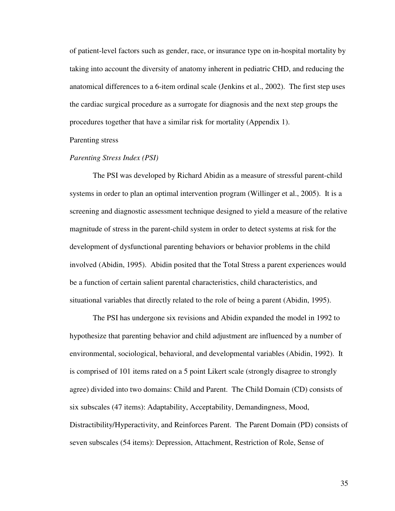of patient-level factors such as gender, race, or insurance type on in-hospital mortality by taking into account the diversity of anatomy inherent in pediatric CHD, and reducing the anatomical differences to a 6-item ordinal scale (Jenkins et al., 2002). The first step uses the cardiac surgical procedure as a surrogate for diagnosis and the next step groups the procedures together that have a similar risk for mortality (Appendix 1).

Parenting stress

# *Parenting Stress Index (PSI)*

 The PSI was developed by Richard Abidin as a measure of stressful parent-child systems in order to plan an optimal intervention program (Willinger et al., 2005). It is a screening and diagnostic assessment technique designed to yield a measure of the relative magnitude of stress in the parent-child system in order to detect systems at risk for the development of dysfunctional parenting behaviors or behavior problems in the child involved (Abidin, 1995). Abidin posited that the Total Stress a parent experiences would be a function of certain salient parental characteristics, child characteristics, and situational variables that directly related to the role of being a parent (Abidin, 1995).

The PSI has undergone six revisions and Abidin expanded the model in 1992 to hypothesize that parenting behavior and child adjustment are influenced by a number of environmental, sociological, behavioral, and developmental variables (Abidin, 1992). It is comprised of 101 items rated on a 5 point Likert scale (strongly disagree to strongly agree) divided into two domains: Child and Parent. The Child Domain (CD) consists of six subscales (47 items): Adaptability, Acceptability, Demandingness, Mood, Distractibility/Hyperactivity, and Reinforces Parent. The Parent Domain (PD) consists of seven subscales (54 items): Depression, Attachment, Restriction of Role, Sense of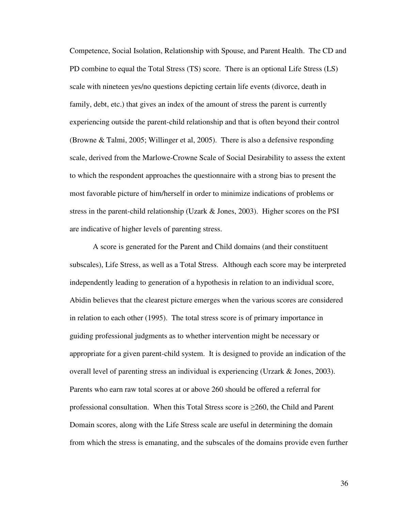Competence, Social Isolation, Relationship with Spouse, and Parent Health. The CD and PD combine to equal the Total Stress (TS) score. There is an optional Life Stress (LS) scale with nineteen yes/no questions depicting certain life events (divorce, death in family, debt, etc.) that gives an index of the amount of stress the parent is currently experiencing outside the parent-child relationship and that is often beyond their control (Browne & Talmi, 2005; Willinger et al, 2005). There is also a defensive responding scale, derived from the Marlowe-Crowne Scale of Social Desirability to assess the extent to which the respondent approaches the questionnaire with a strong bias to present the most favorable picture of him/herself in order to minimize indications of problems or stress in the parent-child relationship (Uzark & Jones, 2003). Higher scores on the PSI are indicative of higher levels of parenting stress.

A score is generated for the Parent and Child domains (and their constituent subscales), Life Stress, as well as a Total Stress. Although each score may be interpreted independently leading to generation of a hypothesis in relation to an individual score, Abidin believes that the clearest picture emerges when the various scores are considered in relation to each other (1995). The total stress score is of primary importance in guiding professional judgments as to whether intervention might be necessary or appropriate for a given parent-child system. It is designed to provide an indication of the overall level of parenting stress an individual is experiencing (Urzark & Jones, 2003). Parents who earn raw total scores at or above 260 should be offered a referral for professional consultation. When this Total Stress score is ≥260, the Child and Parent Domain scores, along with the Life Stress scale are useful in determining the domain from which the stress is emanating, and the subscales of the domains provide even further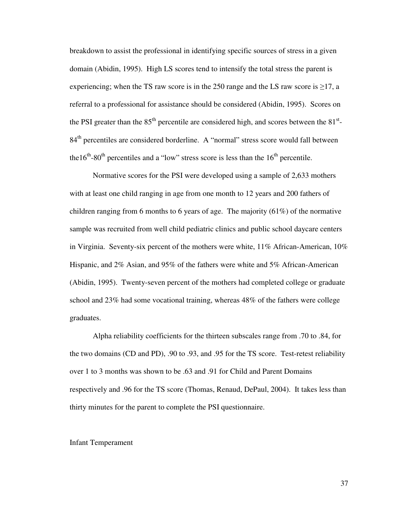breakdown to assist the professional in identifying specific sources of stress in a given domain (Abidin, 1995). High LS scores tend to intensify the total stress the parent is experiencing; when the TS raw score is in the 250 range and the LS raw score is  $\geq$ 17, a referral to a professional for assistance should be considered (Abidin, 1995). Scores on the PSI greater than the  $85<sup>th</sup>$  percentile are considered high, and scores between the  $81<sup>st</sup>$ -84<sup>th</sup> percentiles are considered borderline. A "normal" stress score would fall between the  $16<sup>th</sup>$ -80<sup>th</sup> percentiles and a "low" stress score is less than the  $16<sup>th</sup>$  percentile.

Normative scores for the PSI were developed using a sample of 2,633 mothers with at least one child ranging in age from one month to 12 years and 200 fathers of children ranging from 6 months to 6 years of age. The majority (61%) of the normative sample was recruited from well child pediatric clinics and public school daycare centers in Virginia. Seventy-six percent of the mothers were white,  $11\%$  African-American,  $10\%$ Hispanic, and 2% Asian, and 95% of the fathers were white and 5% African-American (Abidin, 1995). Twenty-seven percent of the mothers had completed college or graduate school and 23% had some vocational training, whereas 48% of the fathers were college graduates.

Alpha reliability coefficients for the thirteen subscales range from .70 to .84, for the two domains (CD and PD), .90 to .93, and .95 for the TS score. Test-retest reliability over 1 to 3 months was shown to be .63 and .91 for Child and Parent Domains respectively and .96 for the TS score (Thomas, Renaud, DePaul, 2004). It takes less than thirty minutes for the parent to complete the PSI questionnaire.

#### Infant Temperament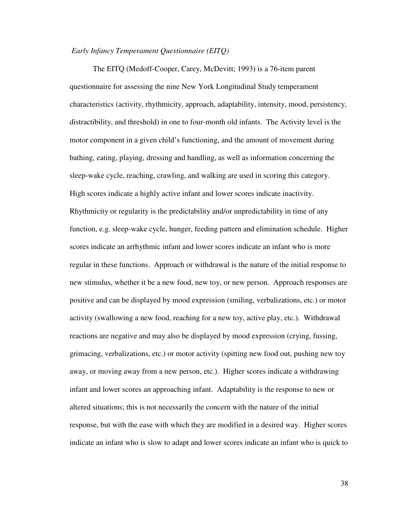# *Early Infancy Temperament Questionnaire (EITQ)*

The EITQ (Medoff-Cooper, Carey, McDevitt; 1993) is a 76-item parent questionnaire for assessing the nine New York Longitudinal Study temperament characteristics (activity, rhythmicity, approach, adaptability, intensity, mood, persistency, distractibility, and threshold) in one to four-month old infants. The Activity level is the motor component in a given child's functioning, and the amount of movement during bathing, eating, playing, dressing and handling, as well as information concerning the sleep-wake cycle, reaching, crawling, and walking are used in scoring this category. High scores indicate a highly active infant and lower scores indicate inactivity. Rhythmicity or regularity is the predictability and/or unpredictability in time of any function, e.g. sleep-wake cycle, hunger, feeding pattern and elimination schedule. Higher scores indicate an arrhythmic infant and lower scores indicate an infant who is more regular in these functions. Approach or withdrawal is the nature of the initial response to new stimulus, whether it be a new food, new toy, or new person. Approach responses are positive and can be displayed by mood expression (smiling, verbalizations, etc.) or motor activity (swallowing a new food, reaching for a new toy, active play, etc.). Withdrawal reactions are negative and may also be displayed by mood expression (crying, fussing, grimacing, verbalizations, etc.) or motor activity (spitting new food out, pushing new toy away, or moving away from a new person, etc.). Higher scores indicate a withdrawing infant and lower scores an approaching infant. Adaptability is the response to new or altered situations; this is not necessarily the concern with the nature of the initial response, but with the ease with which they are modified in a desired way. Higher scores indicate an infant who is slow to adapt and lower scores indicate an infant who is quick to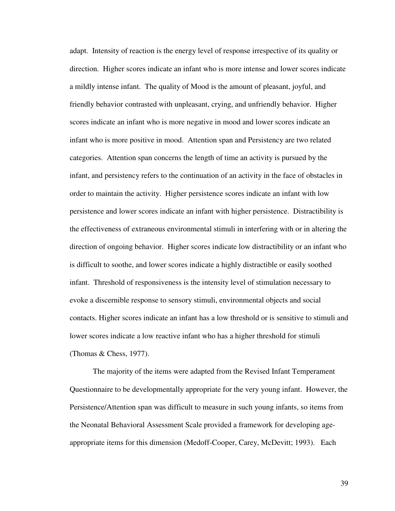adapt. Intensity of reaction is the energy level of response irrespective of its quality or direction. Higher scores indicate an infant who is more intense and lower scores indicate a mildly intense infant. The quality of Mood is the amount of pleasant, joyful, and friendly behavior contrasted with unpleasant, crying, and unfriendly behavior. Higher scores indicate an infant who is more negative in mood and lower scores indicate an infant who is more positive in mood. Attention span and Persistency are two related categories. Attention span concerns the length of time an activity is pursued by the infant, and persistency refers to the continuation of an activity in the face of obstacles in order to maintain the activity. Higher persistence scores indicate an infant with low persistence and lower scores indicate an infant with higher persistence. Distractibility is the effectiveness of extraneous environmental stimuli in interfering with or in altering the direction of ongoing behavior. Higher scores indicate low distractibility or an infant who is difficult to soothe, and lower scores indicate a highly distractible or easily soothed infant. Threshold of responsiveness is the intensity level of stimulation necessary to evoke a discernible response to sensory stimuli, environmental objects and social contacts. Higher scores indicate an infant has a low threshold or is sensitive to stimuli and lower scores indicate a low reactive infant who has a higher threshold for stimuli (Thomas & Chess, 1977).

The majority of the items were adapted from the Revised Infant Temperament Questionnaire to be developmentally appropriate for the very young infant. However, the Persistence/Attention span was difficult to measure in such young infants, so items from the Neonatal Behavioral Assessment Scale provided a framework for developing ageappropriate items for this dimension (Medoff-Cooper, Carey, McDevitt; 1993). Each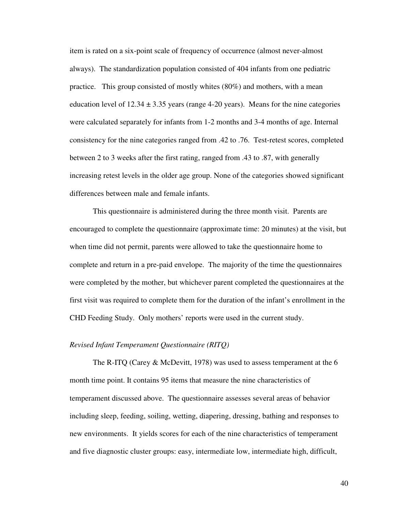item is rated on a six-point scale of frequency of occurrence (almost never-almost always). The standardization population consisted of 404 infants from one pediatric practice. This group consisted of mostly whites (80%) and mothers, with a mean education level of  $12.34 \pm 3.35$  years (range 4-20 years). Means for the nine categories were calculated separately for infants from 1-2 months and 3-4 months of age. Internal consistency for the nine categories ranged from .42 to .76. Test-retest scores, completed between 2 to 3 weeks after the first rating, ranged from .43 to .87, with generally increasing retest levels in the older age group. None of the categories showed significant differences between male and female infants.

This questionnaire is administered during the three month visit. Parents are encouraged to complete the questionnaire (approximate time: 20 minutes) at the visit, but when time did not permit, parents were allowed to take the questionnaire home to complete and return in a pre-paid envelope. The majority of the time the questionnaires were completed by the mother, but whichever parent completed the questionnaires at the first visit was required to complete them for the duration of the infant's enrollment in the CHD Feeding Study. Only mothers' reports were used in the current study.

# *Revised Infant Temperament Questionnaire (RITQ)*

The R-ITQ (Carey & McDevitt, 1978) was used to assess temperament at the 6 month time point. It contains 95 items that measure the nine characteristics of temperament discussed above. The questionnaire assesses several areas of behavior including sleep, feeding, soiling, wetting, diapering, dressing, bathing and responses to new environments. It yields scores for each of the nine characteristics of temperament and five diagnostic cluster groups: easy, intermediate low, intermediate high, difficult,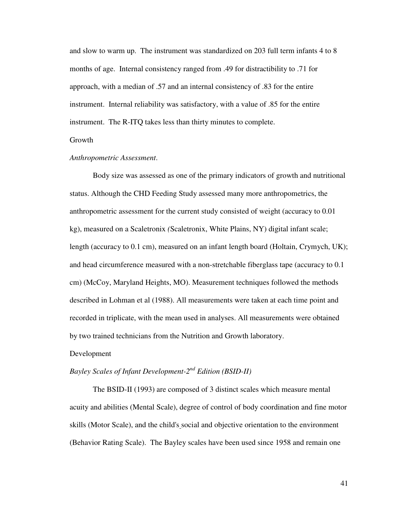and slow to warm up. The instrument was standardized on 203 full term infants 4 to 8 months of age. Internal consistency ranged from .49 for distractibility to .71 for approach, with a median of .57 and an internal consistency of .83 for the entire instrument. Internal reliability was satisfactory, with a value of .85 for the entire instrument. The R-ITQ takes less than thirty minutes to complete.

# Growth

# *Anthropometric Assessment*.

Body size was assessed as one of the primary indicators of growth and nutritional status. Although the CHD Feeding Study assessed many more anthropometrics, the anthropometric assessment for the current study consisted of weight (accuracy to 0.01 kg), measured on a Scaletronix *(*Scaletronix, White Plains, NY) digital infant scale; length (accuracy to 0.1 cm), measured on an infant length board (Holtain, Crymych, UK); and head circumference measured with a non-stretchable fiberglass tape (accuracy to 0.1 cm) (McCoy, Maryland Heights, MO). Measurement techniques followed the methods described in Lohman et al (1988). All measurements were taken at each time point and recorded in triplicate, with the mean used in analyses. All measurements were obtained by two trained technicians from the Nutrition and Growth laboratory.

#### Development

# *Bayley Scales of Infant Development-2nd Edition (BSID-II)*

The BSID-II (1993) are composed of 3 distinct scales which measure mental acuity and abilities (Mental Scale), degree of control of body coordination and fine motor skills (Motor Scale), and the child's social and objective orientation to the environment (Behavior Rating Scale). The Bayley scales have been used since 1958 and remain one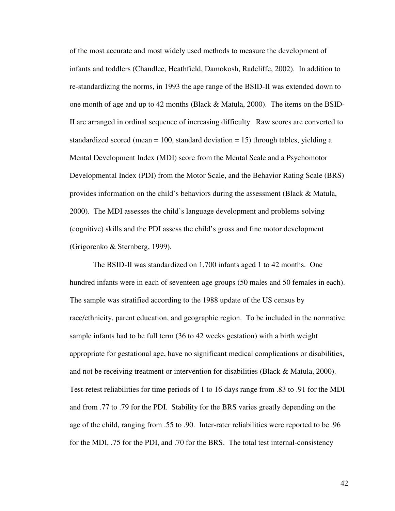of the most accurate and most widely used methods to measure the development of infants and toddlers (Chandlee, Heathfield, Damokosh, Radcliffe, 2002). In addition to re-standardizing the norms, in 1993 the age range of the BSID-II was extended down to one month of age and up to 42 months (Black & Matula, 2000). The items on the BSID-II are arranged in ordinal sequence of increasing difficulty. Raw scores are converted to standardized scored (mean  $= 100$ , standard deviation  $= 15$ ) through tables, yielding a Mental Development Index (MDI) score from the Mental Scale and a Psychomotor Developmental Index (PDI) from the Motor Scale, and the Behavior Rating Scale (BRS) provides information on the child's behaviors during the assessment (Black & Matula, 2000). The MDI assesses the child's language development and problems solving (cognitive) skills and the PDI assess the child's gross and fine motor development (Grigorenko & Sternberg, 1999).

The BSID-II was standardized on 1,700 infants aged 1 to 42 months. One hundred infants were in each of seventeen age groups (50 males and 50 females in each). The sample was stratified according to the 1988 update of the US census by race/ethnicity, parent education, and geographic region. To be included in the normative sample infants had to be full term (36 to 42 weeks gestation) with a birth weight appropriate for gestational age, have no significant medical complications or disabilities, and not be receiving treatment or intervention for disabilities (Black & Matula, 2000). Test-retest reliabilities for time periods of 1 to 16 days range from .83 to .91 for the MDI and from .77 to .79 for the PDI. Stability for the BRS varies greatly depending on the age of the child, ranging from .55 to .90. Inter-rater reliabilities were reported to be .96 for the MDI, .75 for the PDI, and .70 for the BRS. The total test internal-consistency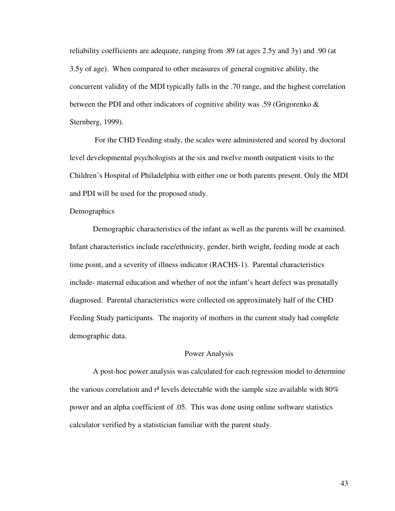reliability coefficients are adequate, ranging from .89 (at ages 2.5y and 3y) and .90 (at 3.5y of age). When compared to other measures of general cognitive ability, the concurrent validity of the MDI typically falls in the .70 range, and the highest correlation between the PDI and other indicators of cognitive ability was .59 (Grigorenko & Sternberg, 1999).

 For the CHD Feeding study, the scales were administered and scored by doctoral level developmental psychologists at the six and twelve month outpatient visits to the Children's Hospital of Philadelphia with either one or both parents present. Only the MDI and PDI will be used for the proposed study.

# **Demographics**

 Demographic characteristics of the infant as well as the parents will be examined. Infant characteristics include race/ethnicity, gender, birth weight, feeding mode at each time point, and a severity of illness indicator (RACHS-1). Parental characteristics include- maternal education and whether of not the infant's heart defect was prenatally diagnosed. Parental characteristics were collected on approximately half of the CHD Feeding Study participants. The majority of mothers in the current study had complete demographic data.

#### Power Analysis

 A post-hoc power analysis was calculated for each regression model to determine the various correlation and  $r^2$  levels detectable with the sample size available with  $80\%$ power and an alpha coefficient of .05. This was done using online software statistics calculator verified by a statistician familiar with the parent study.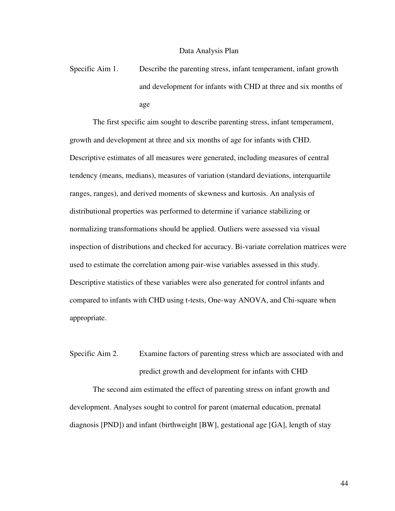Specific Aim 1. Describe the parenting stress, infant temperament, infant growth and development for infants with CHD at three and six months of age

 The first specific aim sought to describe parenting stress, infant temperament, growth and development at three and six months of age for infants with CHD. Descriptive estimates of all measures were generated, including measures of central tendency (means, medians), measures of variation (standard deviations, interquartile ranges, ranges), and derived moments of skewness and kurtosis. An analysis of distributional properties was performed to determine if variance stabilizing or normalizing transformations should be applied. Outliers were assessed via visual inspection of distributions and checked for accuracy. Bi-variate correlation matrices were used to estimate the correlation among pair-wise variables assessed in this study. Descriptive statistics of these variables were also generated for control infants and compared to infants with CHD using t-tests, One-way ANOVA, and Chi-square when appropriate.

Specific Aim 2. Examine factors of parenting stress which are associated with and predict growth and development for infants with CHD

The second aim estimated the effect of parenting stress on infant growth and development. Analyses sought to control for parent (maternal education, prenatal diagnosis [PND]) and infant (birthweight [BW], gestational age [GA], length of stay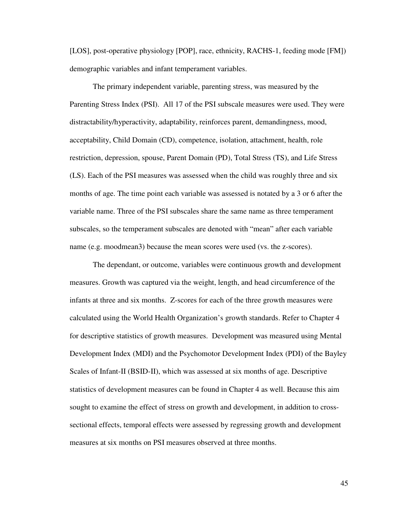[LOS], post-operative physiology [POP], race, ethnicity, RACHS-1, feeding mode [FM]) demographic variables and infant temperament variables.

The primary independent variable, parenting stress, was measured by the Parenting Stress Index (PSI). All 17 of the PSI subscale measures were used. They were distractability/hyperactivity, adaptability, reinforces parent, demandingness, mood, acceptability, Child Domain (CD), competence, isolation, attachment, health, role restriction, depression, spouse, Parent Domain (PD), Total Stress (TS), and Life Stress (LS). Each of the PSI measures was assessed when the child was roughly three and six months of age. The time point each variable was assessed is notated by a 3 or 6 after the variable name. Three of the PSI subscales share the same name as three temperament subscales, so the temperament subscales are denoted with "mean" after each variable name (e.g. moodmean3) because the mean scores were used (vs. the z-scores).

The dependant, or outcome, variables were continuous growth and development measures. Growth was captured via the weight, length, and head circumference of the infants at three and six months. Z-scores for each of the three growth measures were calculated using the World Health Organization's growth standards. Refer to Chapter 4 for descriptive statistics of growth measures. Development was measured using Mental Development Index (MDI) and the Psychomotor Development Index (PDI) of the Bayley Scales of Infant-II (BSID-II), which was assessed at six months of age. Descriptive statistics of development measures can be found in Chapter 4 as well. Because this aim sought to examine the effect of stress on growth and development, in addition to crosssectional effects, temporal effects were assessed by regressing growth and development measures at six months on PSI measures observed at three months.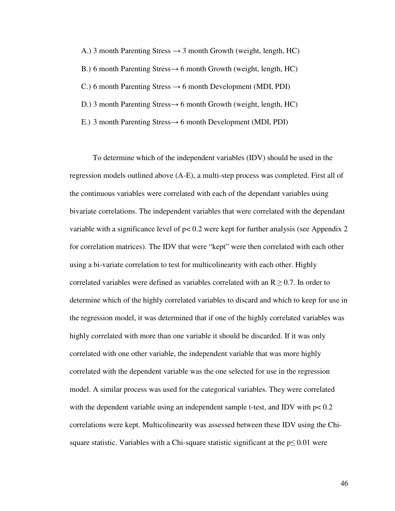- A.) 3 month Parenting Stress  $\rightarrow$  3 month Growth (weight, length, HC) B.) 6 month Parenting Stress→ 6 month Growth (weight, length, HC) C.) 6 month Parenting Stress  $\rightarrow$  6 month Development (MDI, PDI) D.) 3 month Parenting Stress→ 6 month Growth (weight, length, HC)
- E.) 3 month Parenting Stress→ 6 month Development (MDI, PDI)

To determine which of the independent variables (IDV) should be used in the regression models outlined above (A-E), a multi-step process was completed. First all of the continuous variables were correlated with each of the dependant variables using bivariate correlations. The independent variables that were correlated with the dependant variable with a significance level of  $p < 0.2$  were kept for further analysis (see Appendix 2) for correlation matrices). The IDV that were "kept" were then correlated with each other using a bi-variate correlation to test for multicolinearity with each other. Highly correlated variables were defined as variables correlated with an  $R \geq 0.7$ . In order to determine which of the highly correlated variables to discard and which to keep for use in the regression model, it was determined that if one of the highly correlated variables was highly correlated with more than one variable it should be discarded. If it was only correlated with one other variable, the independent variable that was more highly correlated with the dependent variable was the one selected for use in the regression model. A similar process was used for the categorical variables. They were correlated with the dependent variable using an independent sample t-test, and IDV with  $p < 0.2$ correlations were kept. Multicolinearity was assessed between these IDV using the Chisquare statistic. Variables with a Chi-square statistic significant at the  $p \leq 0.01$  were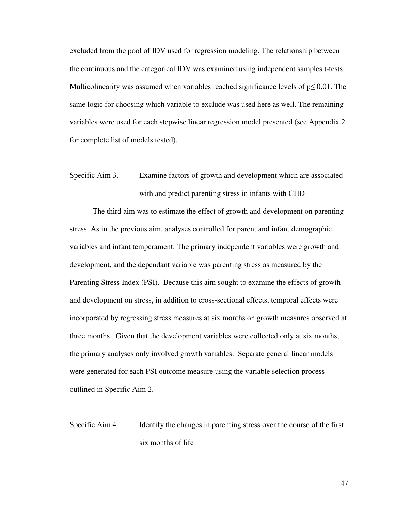excluded from the pool of IDV used for regression modeling. The relationship between the continuous and the categorical IDV was examined using independent samples t-tests. Multicolinearity was assumed when variables reached significance levels of  $p \leq 0.01$ . The same logic for choosing which variable to exclude was used here as well. The remaining variables were used for each stepwise linear regression model presented (see Appendix 2 for complete list of models tested).

# Specific Aim 3. Examine factors of growth and development which are associated with and predict parenting stress in infants with CHD

The third aim was to estimate the effect of growth and development on parenting stress. As in the previous aim, analyses controlled for parent and infant demographic variables and infant temperament. The primary independent variables were growth and development, and the dependant variable was parenting stress as measured by the Parenting Stress Index (PSI). Because this aim sought to examine the effects of growth and development on stress, in addition to cross-sectional effects, temporal effects were incorporated by regressing stress measures at six months on growth measures observed at three months. Given that the development variables were collected only at six months, the primary analyses only involved growth variables. Separate general linear models were generated for each PSI outcome measure using the variable selection process outlined in Specific Aim 2.

Specific Aim 4. Identify the changes in parenting stress over the course of the first six months of life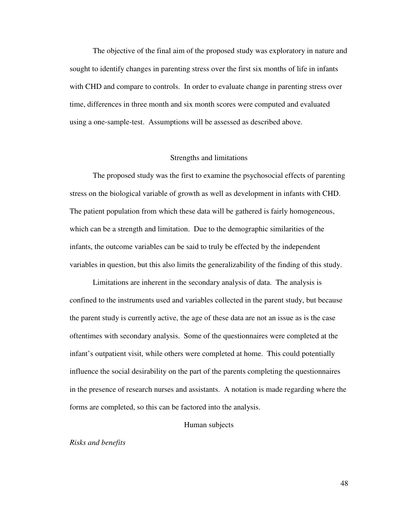The objective of the final aim of the proposed study was exploratory in nature and sought to identify changes in parenting stress over the first six months of life in infants with CHD and compare to controls. In order to evaluate change in parenting stress over time, differences in three month and six month scores were computed and evaluated using a one-sample-test. Assumptions will be assessed as described above.

#### Strengths and limitations

 The proposed study was the first to examine the psychosocial effects of parenting stress on the biological variable of growth as well as development in infants with CHD. The patient population from which these data will be gathered is fairly homogeneous, which can be a strength and limitation. Due to the demographic similarities of the infants, the outcome variables can be said to truly be effected by the independent variables in question, but this also limits the generalizability of the finding of this study.

 Limitations are inherent in the secondary analysis of data. The analysis is confined to the instruments used and variables collected in the parent study, but because the parent study is currently active, the age of these data are not an issue as is the case oftentimes with secondary analysis. Some of the questionnaires were completed at the infant's outpatient visit, while others were completed at home. This could potentially influence the social desirability on the part of the parents completing the questionnaires in the presence of research nurses and assistants. A notation is made regarding where the forms are completed, so this can be factored into the analysis.

#### Human subjects

#### *Risks and benefits*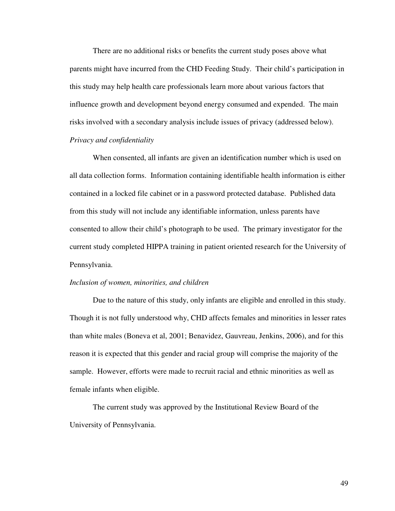There are no additional risks or benefits the current study poses above what parents might have incurred from the CHD Feeding Study. Their child's participation in this study may help health care professionals learn more about various factors that influence growth and development beyond energy consumed and expended. The main risks involved with a secondary analysis include issues of privacy (addressed below). *Privacy and confidentiality* 

 When consented, all infants are given an identification number which is used on all data collection forms. Information containing identifiable health information is either contained in a locked file cabinet or in a password protected database. Published data from this study will not include any identifiable information, unless parents have consented to allow their child's photograph to be used. The primary investigator for the current study completed HIPPA training in patient oriented research for the University of Pennsylvania.

#### *Inclusion of women, minorities, and children*

 Due to the nature of this study, only infants are eligible and enrolled in this study. Though it is not fully understood why, CHD affects females and minorities in lesser rates than white males (Boneva et al, 2001; Benavidez, Gauvreau, Jenkins, 2006), and for this reason it is expected that this gender and racial group will comprise the majority of the sample. However, efforts were made to recruit racial and ethnic minorities as well as female infants when eligible.

 The current study was approved by the Institutional Review Board of the University of Pennsylvania.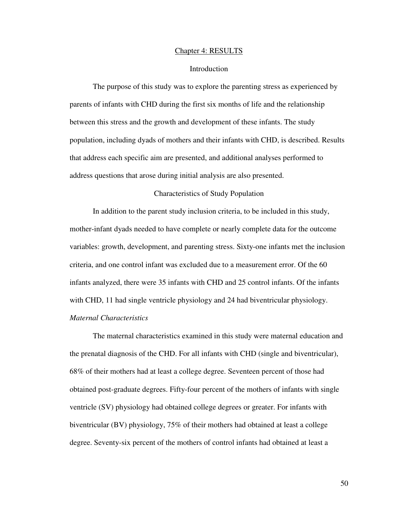#### Chapter 4: RESULTS

#### Introduction

 The purpose of this study was to explore the parenting stress as experienced by parents of infants with CHD during the first six months of life and the relationship between this stress and the growth and development of these infants. The study population, including dyads of mothers and their infants with CHD, is described. Results that address each specific aim are presented, and additional analyses performed to address questions that arose during initial analysis are also presented.

# Characteristics of Study Population

 In addition to the parent study inclusion criteria, to be included in this study, mother-infant dyads needed to have complete or nearly complete data for the outcome variables: growth, development, and parenting stress. Sixty-one infants met the inclusion criteria, and one control infant was excluded due to a measurement error. Of the 60 infants analyzed, there were 35 infants with CHD and 25 control infants. Of the infants with CHD, 11 had single ventricle physiology and 24 had biventricular physiology. *Maternal Characteristics* 

The maternal characteristics examined in this study were maternal education and the prenatal diagnosis of the CHD. For all infants with CHD (single and biventricular), 68% of their mothers had at least a college degree. Seventeen percent of those had obtained post-graduate degrees. Fifty-four percent of the mothers of infants with single ventricle (SV) physiology had obtained college degrees or greater. For infants with biventricular (BV) physiology, 75% of their mothers had obtained at least a college degree. Seventy-six percent of the mothers of control infants had obtained at least a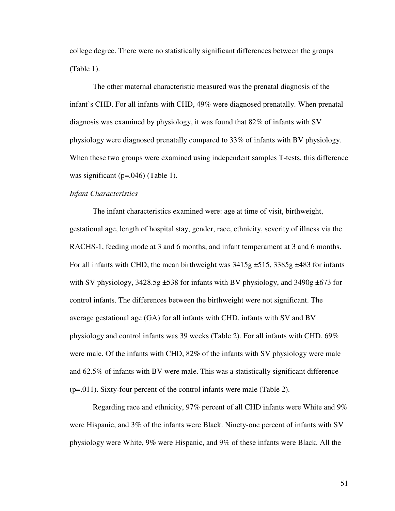college degree. There were no statistically significant differences between the groups (Table 1).

The other maternal characteristic measured was the prenatal diagnosis of the infant's CHD. For all infants with CHD, 49% were diagnosed prenatally. When prenatal diagnosis was examined by physiology, it was found that 82% of infants with SV physiology were diagnosed prenatally compared to 33% of infants with BV physiology. When these two groups were examined using independent samples T-tests, this difference was significant ( $p=0.046$ ) (Table 1).

## *Infant Characteristics*

The infant characteristics examined were: age at time of visit, birthweight, gestational age, length of hospital stay, gender, race, ethnicity, severity of illness via the RACHS-1, feeding mode at 3 and 6 months, and infant temperament at 3 and 6 months. For all infants with CHD, the mean birthweight was  $3415g \pm 515$ ,  $3385g \pm 483$  for infants with SV physiology,  $3428.5g \pm 538$  for infants with BV physiology, and  $3490g \pm 673$  for control infants. The differences between the birthweight were not significant. The average gestational age (GA) for all infants with CHD, infants with SV and BV physiology and control infants was 39 weeks (Table 2). For all infants with CHD, 69% were male. Of the infants with CHD, 82% of the infants with SV physiology were male and 62.5% of infants with BV were male. This was a statistically significant difference (p=.011). Sixty-four percent of the control infants were male (Table 2).

Regarding race and ethnicity, 97% percent of all CHD infants were White and 9% were Hispanic, and 3% of the infants were Black. Ninety-one percent of infants with SV physiology were White, 9% were Hispanic, and 9% of these infants were Black. All the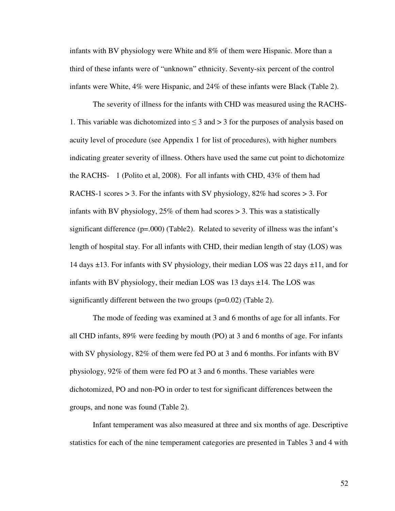infants with BV physiology were White and 8% of them were Hispanic. More than a third of these infants were of "unknown" ethnicity. Seventy-six percent of the control infants were White, 4% were Hispanic, and 24% of these infants were Black (Table 2).

The severity of illness for the infants with CHD was measured using the RACHS-1. This variable was dichotomized into  $\leq$  3 and  $>$  3 for the purposes of analysis based on acuity level of procedure (see Appendix 1 for list of procedures), with higher numbers indicating greater severity of illness. Others have used the same cut point to dichotomize the RACHS- 1 (Polito et al, 2008). For all infants with CHD, 43% of them had RACHS-1 scores  $> 3$ . For the infants with SV physiology, 82% had scores  $> 3$ . For infants with BV physiology,  $25\%$  of them had scores  $> 3$ . This was a statistically significant difference (p=.000) (Table2). Related to severity of illness was the infant's length of hospital stay. For all infants with CHD, their median length of stay (LOS) was 14 days ±13. For infants with SV physiology, their median LOS was 22 days ±11, and for infants with BV physiology, their median LOS was  $13 \text{ days} \pm 14$ . The LOS was significantly different between the two groups (p=0.02) (Table 2).

The mode of feeding was examined at 3 and 6 months of age for all infants. For all CHD infants, 89% were feeding by mouth (PO) at 3 and 6 months of age. For infants with SV physiology, 82% of them were fed PO at 3 and 6 months. For infants with BV physiology, 92% of them were fed PO at 3 and 6 months. These variables were dichotomized, PO and non-PO in order to test for significant differences between the groups, and none was found (Table 2).

Infant temperament was also measured at three and six months of age. Descriptive statistics for each of the nine temperament categories are presented in Tables 3 and 4 with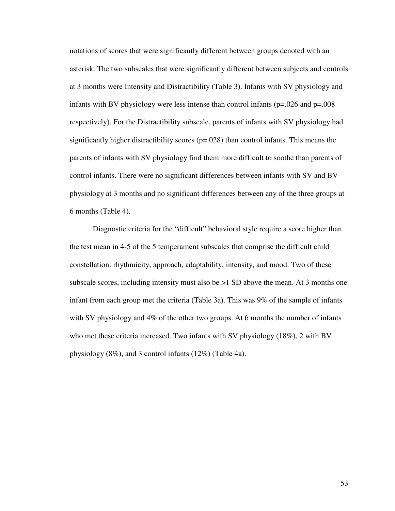notations of scores that were significantly different between groups denoted with an asterisk. The two subscales that were significantly different between subjects and controls at 3 months were Intensity and Distractibility (Table 3). Infants with SV physiology and infants with BV physiology were less intense than control infants ( $p=0.026$  and  $p=0.008$ ) respectively). For the Distractibility subscale, parents of infants with SV physiology had significantly higher distractibility scores  $(p=.028)$  than control infants. This means the parents of infants with SV physiology find them more difficult to soothe than parents of control infants. There were no significant differences between infants with SV and BV physiology at 3 months and no significant differences between any of the three groups at 6 months (Table 4).

Diagnostic criteria for the "difficult" behavioral style require a score higher than the test mean in 4-5 of the 5 temperament subscales that comprise the difficult child constellation: rhythmicity, approach, adaptability, intensity, and mood. Two of these subscale scores, including intensity must also be >1 SD above the mean. At 3 months one infant from each group met the criteria (Table 3a). This was 9% of the sample of infants with SV physiology and 4% of the other two groups. At 6 months the number of infants who met these criteria increased. Two infants with SV physiology (18%), 2 with BV physiology (8%), and 3 control infants (12%) (Table 4a).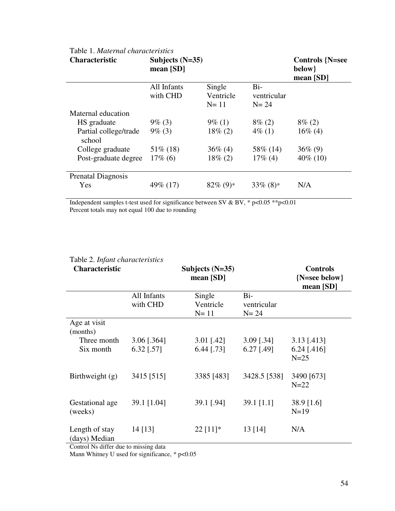| <b>Characteristic</b>           | Subjects $(N=35)$<br>mean $[SD]$ |                               |                                  | <b>Controls {N=see</b><br>below}<br>mean $[SD]$ |
|---------------------------------|----------------------------------|-------------------------------|----------------------------------|-------------------------------------------------|
|                                 | All Infants<br>with CHD          | Single<br>Ventricle<br>$N=11$ | $Bi-$<br>ventricular<br>$N = 24$ |                                                 |
| Maternal education              |                                  |                               |                                  |                                                 |
| HS graduate                     | $9\%$ (3)                        | $9\%$ (1)                     | $8\%$ (2)                        | $8\% (2)$                                       |
| Partial college/trade<br>school | $9\%$ (3)                        | $18\% (2)$                    | $4\%$ (1)                        | $16\%$ (4)                                      |
| College graduate                | $51\%$ (18)                      | $36\%$ (4)                    | 58\% (14)                        | $36\%$ (9)                                      |
| Post-graduate degree            | $17\%$ (6)                       | $18\%$ (2)                    | $17\%$ (4)                       | $40\%$ (10)                                     |
| <b>Prenatal Diagnosis</b>       |                                  |                               |                                  |                                                 |
| Yes                             | 49\% (17)                        | $82\%$ (9)*                   | $33\%$ (8)*                      | N/A                                             |

# Table 1. *Maternal characteristics*

Independent samples t-test used for significance between SV & BV, \* p<0.05 \*\* p<0.01 Percent totals may not equal 100 due to rounding

| $1 \text{ and } 2$ . Hydru chan actor is not<br><b>Characteristic</b>       |               | Subjects $(N=35)$<br>mean $[SD]$ |              | <b>Controls</b><br>${N = sec below}$<br>mean [SD] |
|-----------------------------------------------------------------------------|---------------|----------------------------------|--------------|---------------------------------------------------|
|                                                                             | All Infants   | Single                           | Bi-          |                                                   |
|                                                                             | with CHD      | Ventricle                        | ventricular  |                                                   |
|                                                                             |               | $N=11$                           | $N = 24$     |                                                   |
| Age at visit                                                                |               |                                  |              |                                                   |
| (months)                                                                    |               |                                  |              |                                                   |
| Three month                                                                 | $3.06$ [.364] | $3.01$ [.42]                     | $3.09$ [.34] | $3.13$ [.413]                                     |
| Six month                                                                   | $6.32$ [.57]  | $6.44$ [.73]                     | $6.27$ [.49] | $6.24$ [.416]<br>$N=25$                           |
| Birthweight (g)                                                             | 3415 [515]    | 3385 [483]                       | 3428.5 [538] | 3490 [673]<br>$N=22$                              |
| Gestational age<br>(weeks)                                                  | 39.1 [1.04]   | 39.1 [.94]                       | 39.1 $[1.1]$ | 38.9 [1.6]<br>$N=19$                              |
| Length of stay<br>(days) Median<br>$\sim$ 1 M 1.00 1 $\sim$ $\sim$ 1 $\sim$ | $14$ [13]     | $22$ [11]*                       | 13 [14]      | N/A                                               |

# Table 2. *Infant characteristics*

Control Ns differ due to missing data

Mann Whitney U used for significance, \* p<0.05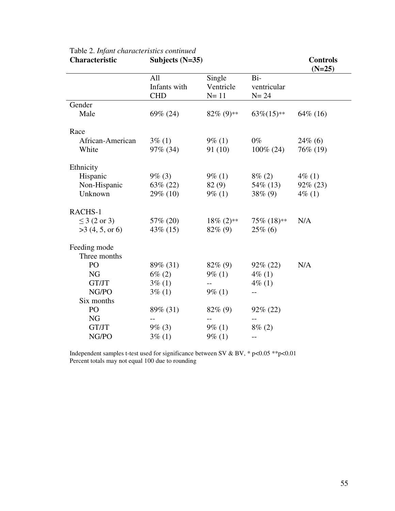| <b>Characteristic</b> | <b>Controls</b><br>$(N=25)$ |               |              |             |
|-----------------------|-----------------------------|---------------|--------------|-------------|
|                       | All                         | Single        | Bi-          |             |
|                       | Infants with                | Ventricle     | ventricular  |             |
|                       | <b>CHD</b>                  | $N=11$        | $N = 24$     |             |
| Gender                |                             |               |              |             |
| Male                  | 69% (24)                    | $82\%$ (9)**  | $63\%(15)*$  | 64\% (16)   |
| Race                  |                             |               |              |             |
| African-American      | $3\%$ (1)                   | $9\%$ (1)     | $0\%$        | $24\%$ (6)  |
| White                 | $97\%$ (34)                 | 91(10)        | $100\% (24)$ | 76\% (19)   |
| Ethnicity             |                             |               |              |             |
| Hispanic              | $9\%$ (3)                   | $9\%$ (1)     | $8\% (2)$    | $4\%$ (1)   |
| Non-Hispanic          | $63\% (22)$                 | 82(9)         | 54\% (13)    | $92\% (23)$ |
| Unknown               | 29\% (10)                   | $9\%$ (1)     | $38\%$ (9)   | $4\%$ (1)   |
| RACHS-1               |                             |               |              |             |
| $\leq$ 3 (2 or 3)     | 57\% (20)                   | $18\% (2)$ ** | 75% (18)**   | N/A         |
| >3(4, 5, or 6)        | $43\%$ (15)                 | $82\%$ (9)    | $25\%$ (6)   |             |
| Feeding mode          |                             |               |              |             |
| Three months          |                             |               |              |             |
| PO                    | 89% (31)                    | $82\%$ (9)    | $92\% (22)$  | N/A         |
| <b>NG</b>             | $6\% (2)$                   | $9\%$ (1)     | $4\%$ (1)    |             |
| GT/JT                 | $3\%$ (1)                   | $-$           | $4\%$ (1)    |             |
| NG/PO                 | $3\%$ (1)                   | $9\%$ (1)     |              |             |
| Six months            |                             |               |              |             |
| PO                    | 89% (31)                    | $82\%$ (9)    | $92\% (22)$  |             |
| NG                    |                             |               |              |             |
| GT/JT                 | $9\%$ (3)                   | $9\%$ (1)     | $8\% (2)$    |             |
| NG/PO                 | $3\%$ (1)                   | $9\%$ (1)     | --           |             |

| Characteristic                            | Subjects $(N=35)$ |
|-------------------------------------------|-------------------|
| Table 2. Infant characteristics continued |                   |

Independent samples t-test used for significance between SV & BV,  $*$  p<0.05  $*$  $*$ p<0.01 Percent totals may not equal 100 due to rounding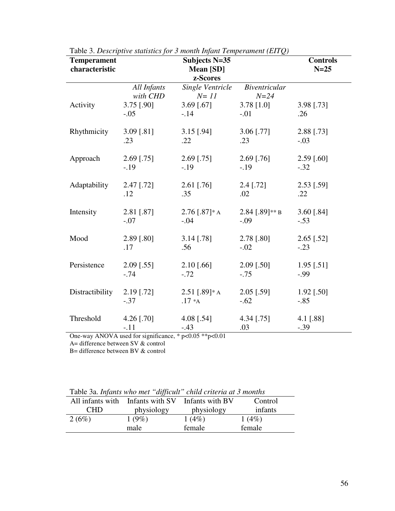| <b>Temperament</b><br>characteristic | Subjects N=35<br>Mean [SD] |                            |                                  | <b>Controls</b><br>$N=25$ |
|--------------------------------------|----------------------------|----------------------------|----------------------------------|---------------------------|
|                                      |                            | z-Scores                   |                                  |                           |
|                                      | All Infants<br>with CHD    | Single Ventricle<br>$N=11$ | <b>Biventricular</b><br>$N = 24$ |                           |
| Activity                             | 3.75 [.90]                 | $3.69$ [.67]               | $3.78$ [1.0]                     | 3.98 [.73]                |
|                                      | $-.05$                     | $-.14$                     | $-.01$                           | .26                       |
| Rhythmicity                          | $3.09$ [.81]               | $3.15$ [.94]               | $3.06$ [.77]                     | 2.88 [.73]                |
|                                      | $.23\,$                    | .22                        | .23                              | $-.03$                    |
| Approach                             | $2.69$ [.75]               | $2.69$ [.75]               | $2.69$ [.76]                     | $2.59$ [.60]              |
|                                      | $-.19$                     | $-.19$                     | $-.19$                           | $-.32$                    |
| Adaptability                         | $2.47$ [.72]               | $2.61$ [.76]               | $2.4$ [.72]                      | $2.53$ [.59]              |
|                                      | .12                        | .35                        | .02                              | .22                       |
| Intensity                            | 2.81 [.87]                 | $2.76$ [.87]* A            | $2.84$ [.89]** B                 | 3.60 $[.84]$              |
|                                      | $-.07$                     | $-.04$                     | $-.09$                           | $-.53$                    |
| Mood                                 | $2.89$ [.80]               | $3.14$ [.78]               | 2.78 [.80]                       | $2.65$ [.52]              |
|                                      | .17                        | .56                        | $-.02$                           | $-.23$                    |
| Persistence                          | $2.09$ [.55]               | $2.10$ [.66]               | $2.09$ [.50]                     | $1.95$ [.51]              |
|                                      | $-.74$                     | $-.72$                     | $-.75$                           | $-99$                     |
| Distractibility                      | $2.19$ [.72]               | $2.51$ [.89]* A            | $2.05$ [.59]                     | $1.92$ [.50]              |
|                                      | $-.37$                     | $.17 * A$                  | $-.62$                           | $-.85$                    |
| Threshold                            | 4.26 $[.70]$               | 4.08 [.54]                 | 4.34 [.75]                       | 4.1 $[.88]$               |
|                                      | $-.11$                     | $-.43$                     | .03                              | $-.39$                    |

Table 3. *Descriptive statistics for 3 month Infant Temperament (EITQ)*

One-way ANOVA used for significance, \* p<0.05 \*\*p<0.01

A= difference between SV & control

f

B= difference between BV & control

| Table 3a. Infants who met "difficult" child criteria at 3 months |  |  |  |  |  |
|------------------------------------------------------------------|--|--|--|--|--|
|------------------------------------------------------------------|--|--|--|--|--|

|            | All infants with Infants with SV | Infants with BV | Control  |
|------------|----------------------------------|-----------------|----------|
| <b>CHD</b> | physiology                       | physiology      | infants  |
| 2(6%)      | $1(9\%)$                         | 1(4%)           | $1(4\%)$ |
|            | male                             | female          | female   |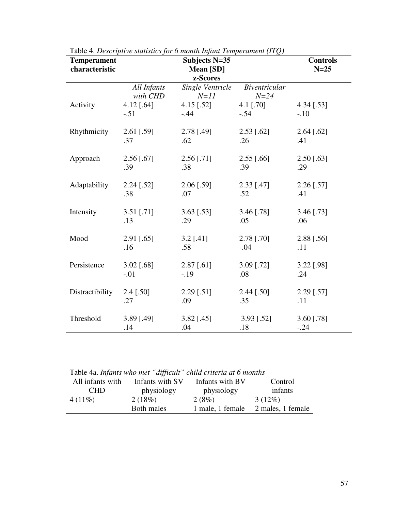| <b>Temperament</b><br>characteristic | Subjects N=35<br>Mean [SD] |                            |                                  | <b>Controls</b><br>$N=25$ |
|--------------------------------------|----------------------------|----------------------------|----------------------------------|---------------------------|
|                                      |                            | z-Scores                   |                                  |                           |
|                                      | All Infants<br>with CHD    | Single Ventricle<br>$N=11$ | <b>Biventricular</b><br>$N = 24$ |                           |
| Activity                             | 4.12 $[.64]$               | $4.15$ [.52]               | 4.1 [.70]                        | $4.34$ [.53]              |
|                                      | $-.51$                     | $-.44$                     | $-.54$                           | $-.10$                    |
| Rhythmicity                          | 2.61 [.59]                 | 2.78 [.49]                 | $2.53$ [.62]                     | $2.64$ [.62]              |
|                                      | .37                        | .62                        | .26                              | .41                       |
| Approach                             | $2.56$ [.67]               | $2.56$ [.71]               | $2.55$ [.66]                     | $2.50$ [.63]              |
|                                      | .39                        | .38                        | .39                              | .29                       |
| Adaptability                         | $2.24$ [.52]               | $2.06$ [.59]               | 2.33 [.47]                       | 2.26 [.57]                |
|                                      | .38                        | .07                        | .52                              | .41                       |
| Intensity                            | $3.51$ [.71]               | $3.63$ [.53]               | 3.46 [.78]                       | $3.46$ [.73]              |
|                                      | .13                        | .29                        | .05                              | .06                       |
| Mood                                 | 2.91 [.65]                 | $3.2$ [.41]                | 2.78 [.70]                       | 2.88 [.56]                |
|                                      | .16                        | .58                        | $-.04$                           | .11                       |
| Persistence                          | 3.02 [.68]                 | $2.87$ [.61]               | 3.09 [.72]                       | 3.22 [.98]                |
|                                      | $-.01$                     | $-19$                      | .08                              | .24                       |
| Distractibility                      | $2.4$ [.50]                | $2.29$ [.51]               | 2.44 [.50]                       | 2.29 [.57]                |
|                                      | .27                        | .09                        | .35                              | .11                       |
| Threshold                            | 3.89 [.49]                 | 3.82 [.45]                 | $3.93$ [.52]                     | 3.60 [.78]                |
|                                      | .14                        | .04                        | .18                              | $-.24$                    |

Table 4. *Descriptive statistics for 6 month Infant Temperament (ITQ)*

| All infants with | Infants with SV | Infants with BV  | Control           |
|------------------|-----------------|------------------|-------------------|
| <b>CHD</b>       | physiology      | physiology       | infants           |
| $4(11\%)$        | 2(18%)          | 2(8%)            | $3(12\%)$         |
|                  | Both males      | 1 male, 1 female | 2 males, 1 female |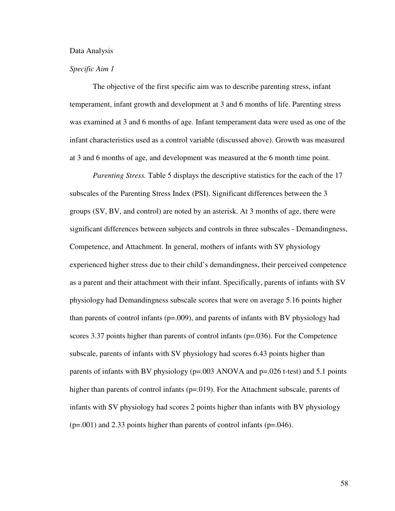#### Data Analysis

## *Specific Aim 1*

The objective of the first specific aim was to describe parenting stress, infant temperament, infant growth and development at 3 and 6 months of life. Parenting stress was examined at 3 and 6 months of age. Infant temperament data were used as one of the infant characteristics used as a control variable (discussed above). Growth was measured at 3 and 6 months of age, and development was measured at the 6 month time point.

*Parenting Stress.* Table 5 displays the descriptive statistics for the each of the 17 subscales of the Parenting Stress Index (PSI). Significant differences between the 3 groups (SV, BV, and control) are noted by an asterisk. At 3 months of age, there were significant differences between subjects and controls in three subscales - Demandingness, Competence, and Attachment. In general, mothers of infants with SV physiology experienced higher stress due to their child's demandingness, their perceived competence as a parent and their attachment with their infant. Specifically, parents of infants with SV physiology had Demandingness subscale scores that were on average 5.16 points higher than parents of control infants (p=.009), and parents of infants with BV physiology had scores 3.37 points higher than parents of control infants (p=.036). For the Competence subscale, parents of infants with SV physiology had scores 6.43 points higher than parents of infants with BV physiology (p=.003 ANOVA and p=.026 t-test) and 5.1 points higher than parents of control infants (p=.019). For the Attachment subscale, parents of infants with SV physiology had scores 2 points higher than infants with BV physiology  $(p=0.001)$  and 2.33 points higher than parents of control infants  $(p=.046)$ .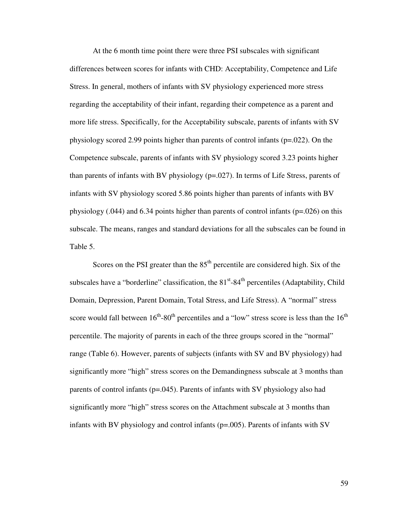At the 6 month time point there were three PSI subscales with significant differences between scores for infants with CHD: Acceptability, Competence and Life Stress. In general, mothers of infants with SV physiology experienced more stress regarding the acceptability of their infant, regarding their competence as a parent and more life stress. Specifically, for the Acceptability subscale, parents of infants with SV physiology scored 2.99 points higher than parents of control infants (p=.022). On the Competence subscale, parents of infants with SV physiology scored 3.23 points higher than parents of infants with BV physiology (p=.027). In terms of Life Stress, parents of infants with SV physiology scored 5.86 points higher than parents of infants with BV physiology (.044) and 6.34 points higher than parents of control infants (p=.026) on this subscale. The means, ranges and standard deviations for all the subscales can be found in Table 5.

Scores on the PSI greater than the  $85<sup>th</sup>$  percentile are considered high. Six of the subscales have a "borderline" classification, the  $81<sup>st</sup>-84<sup>th</sup>$  percentiles (Adaptability, Child Domain, Depression, Parent Domain, Total Stress, and Life Stress). A "normal" stress score would fall between  $16^{th}$ -80<sup>th</sup> percentiles and a "low" stress score is less than the  $16^{th}$ percentile. The majority of parents in each of the three groups scored in the "normal" range (Table 6). However, parents of subjects (infants with SV and BV physiology) had significantly more "high" stress scores on the Demandingness subscale at 3 months than parents of control infants (p=.045). Parents of infants with SV physiology also had significantly more "high" stress scores on the Attachment subscale at 3 months than infants with BV physiology and control infants (p=.005). Parents of infants with SV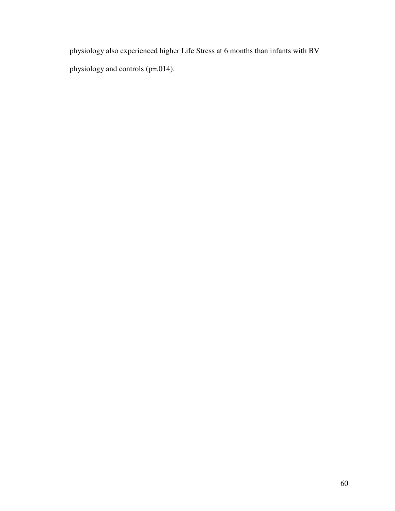physiology also experienced higher Life Stress at 6 months than infants with BV physiology and controls (p=.014).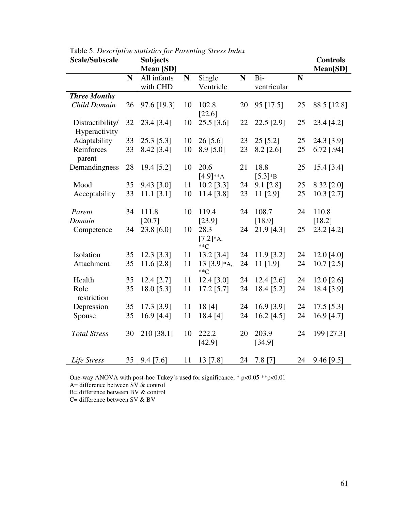| <b>Scale/Subscale</b> |    | <b>Subjects</b> |    |                                         |             |              |    | <b>Controls</b> |
|-----------------------|----|-----------------|----|-----------------------------------------|-------------|--------------|----|-----------------|
|                       |    | Mean [SD]       |    |                                         |             |              |    | Mean[SD]        |
|                       | N  | All infants     | N  | Single                                  | $\mathbf N$ | Bi-          | N  |                 |
|                       |    | with CHD        |    | Ventricle                               |             | ventricular  |    |                 |
| <b>Three Months</b>   |    |                 |    |                                         |             |              |    |                 |
| Child Domain          | 26 | 97.6 [19.3]     | 10 | 102.8                                   | 20          | 95 [17.5]    | 25 | 88.5 [12.8]     |
|                       |    |                 |    | [22.6]                                  |             |              |    |                 |
| Distractibility/      | 32 | 23.4 [3.4]      | 10 | $25.5$ [3.6]                            | 22          | 22.5 [2.9]   | 25 | 23.4 [4.2]      |
| Hyperactivity         |    |                 |    |                                         |             |              |    |                 |
| Adaptability          | 33 | 25.3 [5.3]      | 10 | $26$ [5.6]                              | 23          | 25 [5.2]     | 25 | 24.3 [3.9]      |
| Reinforces            | 33 | 8.42 [3.4]      | 10 | $8.9$ [5.0]                             | 23          | $8.2$ [2.6]  | 25 | 6.72 [.94]      |
| parent                |    |                 |    |                                         |             |              |    |                 |
| Demandingness         | 28 | 19.4 [5.2]      | 10 | 20.6                                    | 21          | 18.8         | 25 | 15.4 [3.4]      |
|                       |    |                 |    | $[4.9]**A$                              |             | $[5.3]*B$    |    |                 |
| Mood                  | 35 | 9.43 [3.0]      | 11 | $10.2$ [3.3]                            | 24          | $9.1$ [2.8]  | 25 | 8.32 [2.0]      |
| Acceptability         | 33 | $11.1$ [3.1]    | 10 | $11.4$ [3.8]                            | 23          | 11 [2.9]     | 25 | $10.3$ [2.7]    |
|                       |    |                 |    |                                         |             |              |    |                 |
| Parent                | 34 | 111.8           | 10 | 119.4                                   | 24          | 108.7        | 24 | 110.8           |
| Domain                |    | [20.7]          |    | [23.9]                                  |             | [18.9]       |    | [18.2]          |
| Competence            | 34 | 23.8 [6.0]      | 10 | 28.3                                    | 24          | 21.9 [4.3]   | 25 | 23.2 [4.2]      |
|                       |    |                 |    | $[7.2]*A,$                              |             |              |    |                 |
|                       |    |                 |    | $*$ <sup><math>\mathcal{C}</math></sup> |             |              |    |                 |
| Isolation             | 35 | 12.3 [3.3]      | 11 | 13.2 [3.4]                              | 24          | $11.9$ [3.2] | 24 | 12.0 $[4.0]$    |
| Attachment            | 35 | $11.6$ [2.8]    | 11 | 13 $[3.9]*A$ ,                          | 24          | $11$ [1.9]   | 24 | $10.7$ [2.5]    |
|                       |    |                 |    | $*$ <sup><math>\mathcal{C}</math></sup> |             |              |    |                 |
| Health                | 35 | 12.4 [2.7]      | 11 | 12.4 [3.0]                              | 24          | $12.4$ [2.6] | 24 | $12.0$ [2.6]    |
| Role                  | 35 | 18.0 [5.3]      | 11 | 17.2 [5.7]                              | 24          | 18.4 [5.2]   | 24 | 18.4 [3.9]      |
| restriction           |    |                 |    |                                         |             |              |    |                 |
| Depression            | 35 | 17.3 [3.9]      | 11 | 18 [4]                                  | 24          | 16.9 [3.9]   | 24 | $17.5$ [5.3]    |
| Spouse                | 35 | 16.9 [4.4]      | 11 | 18.4 [4]                                | 24          | 16.2 $[4.5]$ | 24 | 16.9 [4.7]      |
|                       |    |                 |    |                                         |             |              |    |                 |
| <b>Total Stress</b>   | 30 | 210 [38.1]      | 10 | 222.2                                   | 20          | 203.9        | 24 | 199 [27.3]      |
|                       |    |                 |    | [42.9]                                  |             | [34.9]       |    |                 |
|                       |    |                 |    |                                         |             |              |    |                 |
| Life Stress           | 35 | $9.4$ [7.6]     | 11 | 13 [7.8]                                | 24          | $7.8$ [7]    | 24 | 9.46 [9.5]      |

Table 5. *Descriptive statistics for Parenting Stress Index*

One-way ANOVA with post-hoc Tukey's used for significance, \* p<0.05 \*\*p<0.01

A= difference between SV & control

B= difference between BV & control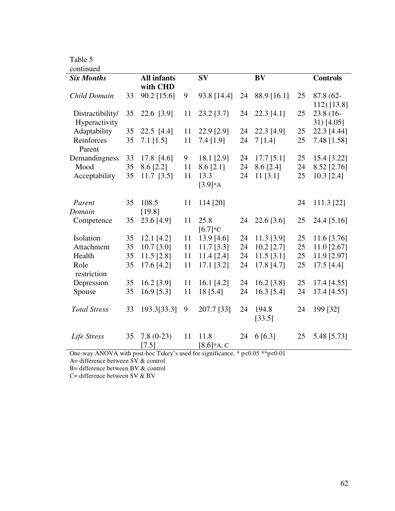| continued           |    |                    |    |              |    |              |    |                 |
|---------------------|----|--------------------|----|--------------|----|--------------|----|-----------------|
| <b>Six Months</b>   |    | <b>All infants</b> |    | <b>SV</b>    |    | <b>BV</b>    |    | <b>Controls</b> |
|                     |    | with CHD           |    |              |    |              |    |                 |
| Child Domain        | 33 | 90.2 [15.6]        | 9  | 93.8 [14.4]  | 24 | 88.9 [16.1]  | 25 | 87.8 (62-       |
|                     |    |                    |    |              |    |              |    | $112$ [13.8]    |
| Distractibility/    | 35 | 22.6 [3.9]         | 11 | 23.2 [3.7]   | 24 | $22.3$ [4.1] | 25 | 23.8 (16-       |
| Hyperactivity       |    |                    |    |              |    |              |    | $31)$ [4.05]    |
| Adaptability        | 35 | $22.5$ [4.4]       | 11 | 22.9 [2.9]   | 24 | 22.3 [4.9]   | 25 | 22.3 [4.44]     |
| Reinforces          | 35 | $7.1$ [1.5]        | 11 | 7.4 [1.9]    | 24 | 7[1.4]       | 25 | 7.48 [1.58]     |
| Parent              |    |                    |    |              |    |              |    |                 |
| Demandingness       | 33 | 17.8 [4.6]         | 9  | 18.1 [2.9]   | 24 | $17.7$ [5.1] | 25 | 15.4 [3.22]     |
| Mood                | 35 | $8.6$ [2.2]        | 11 | $8.6$ [2.1]  | 24 | $8.6$ [2.4]  | 24 | 8.52 [2.76]     |
| Acceptability       | 35 | $11.7$ [3.5]       | 11 | 13.3         | 24 | 11 [3.1]     | 25 | $10.3$ [2.4]    |
|                     |    |                    |    | $[3.9]*A$    |    |              |    |                 |
|                     |    |                    |    |              |    |              |    |                 |
| Parent              | 35 | 108.5              | 11 | 114 [20]     |    |              | 24 | 111.3 [22]      |
| Domain              |    | [19.8]             |    |              |    |              |    |                 |
| Competence          | 35 | 23.6 [4.9]         | 11 | 25.8         | 24 | $22.6$ [3.6] | 25 | 24.4 [5.16]     |
|                     |    |                    |    | $[6.7]*c$    |    |              |    |                 |
| Isolation           | 35 | $12.1$ [4.2]       | 11 | 13.9 [4.6]   | 24 | 11.3 [3.9]   | 25 | $11.6$ [3.76]   |
| Attachment          | 35 | $10.7$ [3.0]       | 11 | $11.7$ [3.3] | 24 | $10.2$ [2.7] | 25 | $11.0$ [2.67]   |
| Health              | 35 | $11.5$ [2.8]       | 11 | 11.4 [2.4]   | 24 | $11.5$ [3.1] | 25 | 11.9 [2.97]     |
| Role                | 35 | 17.6 [4.2]         | 11 | 17.1 [3.2]   | 24 | 17.8 [4.7]   | 25 | 17.5 [4.4]      |
| restriction         |    |                    |    |              |    |              |    |                 |
| Depression          | 35 | $16.2$ [3.9]       | 11 | 16.1 $[4.2]$ | 24 | 16.2 [3.8]   | 25 | 17.4 [4.55]     |
| Spouse              | 35 | 16.9 [5.3]         | 11 | 18 [5.4]     | 24 | 16.3 [5.4]   | 24 | 17.4 [4.55]     |
|                     |    |                    |    |              |    |              |    |                 |
| <b>Total Stress</b> | 33 | 193.3[33.3]        | 9  | 207.7 [33]   | 24 | 194.8        | 24 | 199 [32]        |
|                     |    |                    |    |              |    | [33.5]       |    |                 |
|                     |    |                    |    |              |    |              |    |                 |
| Life Stress         | 35 | $7.8(0-23)$        | 11 | 11.8         | 24 | 6[6.3]       | 25 | 5.48 [5.73]     |
|                     |    | $[7.5]$            |    | $[8.6]*A, C$ |    |              |    |                 |

One-way ANOVA with post-hoc Tukey's used for significance, \* p<0.05 \*\*p<0.01

A= difference between SV & control

B= difference between BV & control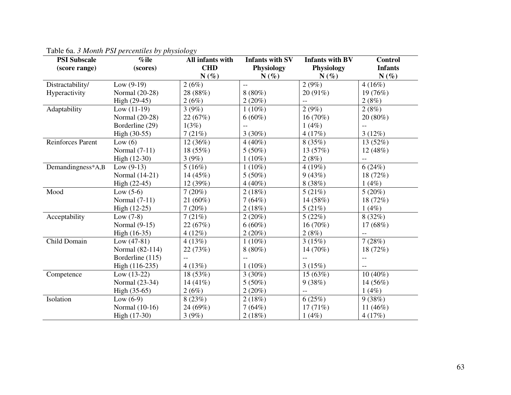| <b>PSI Subscale</b><br>(score range) | $\%$ ile<br>(scores) | All infants with<br><b>CHD</b><br>$N(\%)$ | <b>Infants with SV</b><br>Physiology<br>$N(\%)$ | <b>Infants with BV</b><br>Physiology<br>$N(\%)$ | <b>Control</b><br><b>Infants</b><br>$N(\%)$ |
|--------------------------------------|----------------------|-------------------------------------------|-------------------------------------------------|-------------------------------------------------|---------------------------------------------|
| Distractability/                     | Low $(9-19)$         | 2(6%)                                     |                                                 | 2(9%)                                           | 4(16%)                                      |
| Hyperactivity                        | Normal (20-28)       | 28 (88%)                                  | $8(80\%)$                                       | 20 (91%)                                        | 19 (76%)                                    |
|                                      | High (29-45)         | 2(6%)                                     | $2(20\%)$                                       | $-$                                             | 2(8%)                                       |
| Adaptability                         | Low $(11-19)$        | 3(9%)                                     | $1(10\%)$                                       | 2(9%)                                           | 2(8%)                                       |
|                                      | Normal (20-28)       | 22(67%)                                   | $6(60\%)$                                       | $16(70\%)$                                      | 20 (80%)                                    |
|                                      | Borderline (29)      | 1(3%)                                     | --                                              | 1(4%)                                           |                                             |
|                                      | High (30-55)         | 7(21%)                                    | 3(30%)                                          | 4(17%)                                          | 3(12%)                                      |
| Reinforces Parent                    | Low $(6)$            | 12(36%)                                   | $4(40\%)$                                       | 8(35%)                                          | 13 (52%)                                    |
|                                      | Normal $(7-11)$      | 18(55%)                                   | $5(50\%)$                                       | 13 (57%)                                        | 12 (48%)                                    |
|                                      | $High (12-30)$       | 3(9%)                                     | $1(10\%)$                                       | 2(8%)                                           | $- -$                                       |
| Demandingness*A,B                    | Low $(9-13)$         | 5(16%)                                    | $1(10\%)$                                       | 4(19%)                                          | 6(24%)                                      |
|                                      | Normal (14-21)       | 14(45%)                                   | $5(50\%)$                                       | 9(43%)                                          | 18 (72%)                                    |
|                                      | High (22-45)         | 12 (39%)                                  | $4(40\%)$                                       | 8(38%)                                          | 1(4%)                                       |
| Mood                                 | Low $(5-6)$          | 7(20%)                                    | 2(18%)                                          | 5(21%)                                          | 5(20%)                                      |
|                                      | Normal (7-11)        | $21(60\%)$                                | 7(64%)                                          | 14 (58%)                                        | 18 (72%)                                    |
|                                      | High (12-25)         | 7(20%)                                    | 2(18%)                                          | 5(21%)                                          | 1(4%)                                       |
| Acceptability                        | Low $(7-8)$          | 7(21%)                                    | 2(20%)                                          | 5(22%)                                          | 8(32%)                                      |
|                                      | Normal $(9-15)$      | 22(67%)                                   | $6(60\%)$                                       | $16(70\%)$                                      | 17(68%)                                     |
|                                      | High (16-35)         | $4(12\%)$                                 | 2(20%)                                          | 2(8%)                                           |                                             |
| Child Domain                         | Low $(47-81)$        | 4(13%)                                    | $1(10\%)$                                       | 3(15%)                                          | 7(28%)                                      |
|                                      | Normal (82-114)      | 22 (73%)                                  | $8(80\%)$                                       | 14 (70%)                                        | 18 (72%)                                    |
|                                      | Borderline (115)     |                                           |                                                 | $-$                                             | $-$                                         |
|                                      | High (116-235)       | 4(13%)                                    | $1(10\%)$                                       | 3(15%)                                          |                                             |
| Competence                           | Low $(13-22)$        | 18 (53%)                                  | 3(30%)                                          | 15(63%)                                         | $10(40\%)$                                  |
|                                      | Normal (23-34)       | 14 $(41\%)$                               | $5(50\%)$                                       | 9(38%)                                          | 14 (56%)                                    |
|                                      | High (35-65)         | 2(6%)                                     | 2(20%)                                          | --                                              | 1(4%)                                       |
| Isolation                            | Low $(6-9)$          | 8(23%)                                    | 2(18%)                                          | 6(25%)                                          | 9(38%)                                      |
|                                      | Normal (10-16)       | 24 (69%)                                  | 7(64%)                                          | 17 $(71%)$                                      | 11 $(46%)$                                  |
|                                      | High (17-30)         | 3(9%)                                     | 2(18%)                                          | 1(4%)                                           | 4(17%)                                      |

Table 6a. *3 Month PSI percentiles by physiology*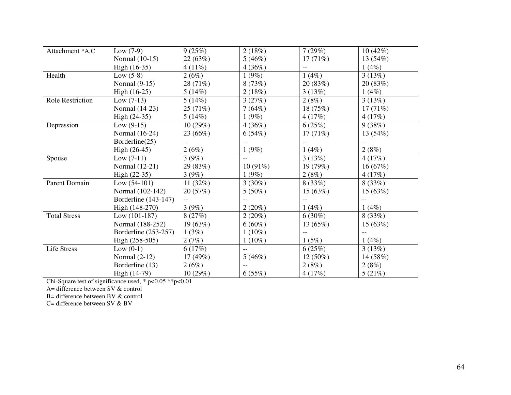| Attachment *A,C         | Low $(7-9)$          | 9(25%)     | 2(18%)         | 7(29%)     | 10(42%)  |
|-------------------------|----------------------|------------|----------------|------------|----------|
|                         | Normal (10-15)       | 22(63%)    | 5(46%)         | 17(71%)    | 13(54%)  |
|                         | High (16-35)         | $4(11\%)$  | 4(36%)         |            | 1(4%)    |
| Health                  | Low $(5-8)$          | 2(6%)      | 1(9%)          | 1(4%)      | 3(13%)   |
|                         | Normal $(9-15)$      | 28 (71%)   | 8(73%)         | 20 (83%)   | 20(83%)  |
|                         | High (16-25)         | 5(14%)     | 2(18%)         | 3(13%)     | 1(4%)    |
| <b>Role Restriction</b> | $Low (7-13)$         | 5(14%)     | 3(27%)         | 2(8%)      | 3(13%)   |
|                         | Normal (14-23)       | 25(71%)    | 7(64%)         | 18 (75%)   | 17(71%)  |
|                         | High (24-35)         | 5(14%)     | 1(9%)          | 4(17%)     | 4(17%)   |
| Depression              | Low $(9-15)$         | 10(29%)    | 4(36%)         | 6(25%)     | 9(38%)   |
|                         | Normal (16-24)       | 23 (66%)   | 6(54%)         | 17(71%)    | 13 (54%) |
|                         | Borderline(25)       |            |                |            |          |
|                         | High (26-45)         | 2(6%)      | 1(9%)          | 1(4%)      | 2(8%)    |
| Spouse                  | Low $(7-11)$         | 3(9%)      | $\overline{a}$ | 3(13%)     | 4(17%)   |
|                         | Normal (12-21)       | 29 (83%)   | $10(91\%)$     | 19 (79%)   | 16(67%)  |
|                         | High $(22-35)$       | 3(9%)      | 1(9%)          | 2(8%)      | 4(17%)   |
| Parent Domain           | Low $(54-101)$       | 11 $(32%)$ | $3(30\%)$      | 8(33%)     | 8(33%)   |
|                         | Normal (102-142)     | 20 (57%)   | $5(50\%)$      | 15 (63%)   | 15(63%)  |
|                         | Borderline (143-147) | --         |                |            |          |
|                         | High (148-270)       | 3(9%)      | 2(20%)         | 1(4%)      | 1(4%)    |
| <b>Total Stress</b>     | Low $(101-187)$      | 8(27%)     | 2(20%)         | $6(30\%)$  | 8(33%)   |
|                         | Normal (188-252)     | 19(63%)    | $6(60\%)$      | 13 (65%)   | 15(63%)  |
|                         | Borderline (253-257) | 1(3%)      | $1(10\%)$      |            |          |
|                         | High (258-505)       | 2(7%)      | $1(10\%)$      | 1(5%)      | 1(4%)    |
| Life Stress             | Low $(0-1)$          | 6(17%)     | $-$            | 6(25%)     | 3(13%)   |
|                         | Normal $(2-12)$      | 17(49%)    | 5(46%)         | $12(50\%)$ | 14 (58%) |
|                         | Borderline (13)      | 2(6%)      |                | 2(8%)      | 2(8%)    |
|                         | High (14-79)         | 10(29%)    | 6(55%)         | 4(17%)     | 5(21%)   |

Chi-Square test of significance used, \* p<0.05 \*\*p<0.01 A= difference between SV & control

B= difference between BV & control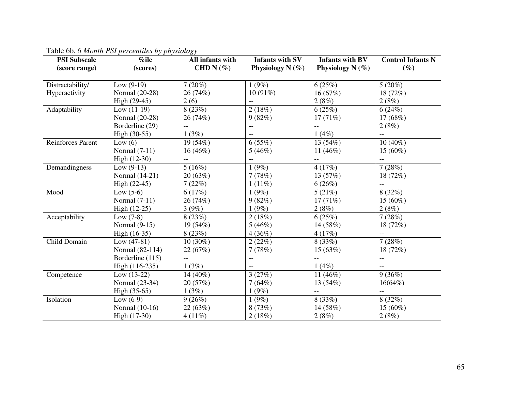| <b>PSI Subscale</b> | $%$ ile          | All infants with | <b>Infants with SV</b> | <b>Infants with BV</b> | <b>Control Infants N</b> |
|---------------------|------------------|------------------|------------------------|------------------------|--------------------------|
| (score range)       | (scores)         | CHD N $(\%)$     | Physiology $N(\%)$     | Physiology N $(\%)$    | $(\%)$                   |
|                     |                  |                  |                        |                        |                          |
| Distractability/    | Low $(9-19)$     | 7(20%)           | 1(9%)                  | 6(25%)                 | 5(20%)                   |
| Hyperactivity       | Normal (20-28)   | 26 (74%)         | $10(91\%)$             | 16(67%)                | 18 (72%)                 |
|                     | High (29-45)     | 2(6)             |                        | 2(8%)                  | 2(8%)                    |
| Adaptability        | Low $(11-19)$    | 8(23%)           | 2(18%)                 | 6(25%)                 | 6(24%)                   |
|                     | Normal (20-28)   | 26 (74%)         | 9(82%)                 | 17(71%)                | 17 (68%)                 |
|                     | Borderline (29)  | $-$              | $-$                    |                        | 2(8%)                    |
|                     | High (30-55)     | 1(3%)            |                        | 1(4%)                  |                          |
| Reinforces Parent   | Low $(6)$        | 19 (54%)         | 6(55%)                 | 13 (54%)               | $10(40\%)$               |
|                     | Normal (7-11)    | $16(46\%)$       | 5(46%)                 | 11 $(46\%)$            | 15 (60%)                 |
|                     | High (12-30)     |                  |                        |                        |                          |
| Demandingness       | Low $(9-13)$     | 5(16%)           | 1(9%)                  | 4(17%)                 | 7(28%)                   |
|                     | Normal (14-21)   | 20 (63%)         | 7(78%)                 | 13 (57%)               | 18 (72%)                 |
|                     | High (22-45)     | 7(22%)           | 1(11%)                 | 6(26%)                 |                          |
| Mood                | Low $(5-6)$      | 6(17%)           | 1(9%)                  | 5(21%)                 | 8(32%)                   |
|                     | Normal $(7-11)$  | 26 (74%)         | 9(82%)                 | 17(71%)                | $15(60\%)$               |
|                     | $High (12-25)$   | 3(9%)            | 1(9%)                  | 2(8%)                  | 2(8%)                    |
| Acceptability       | Low $(7-8)$      | 8(23%)           | 2(18%)                 | 6(25%)                 | 7(28%)                   |
|                     | Normal $(9-15)$  | 19 (54%)         | 5(46%)                 | 14 (58%)               | 18 (72%)                 |
|                     | High (16-35)     | 8(23%)           | 4(36%)                 | 4(17%)                 | $-$                      |
| Child Domain        | Low $(47-81)$    | $10(30\%)$       | 2(22%)                 | 8(33%)                 | 7(28%)                   |
|                     | Normal (82-114)  | 22 (67%)         | 7(78%)                 | 15 (63%)               | 18 (72%)                 |
|                     | Borderline (115) | $-$              | $-$                    | $-$                    | $-$                      |
|                     | High (116-235)   | 1(3%)            |                        | 1(4%)                  | $-$                      |
| Competence          | Low $(13-22)$    | 14 (40%)         | 3(27%)                 | 11 $(46\%)$            | 9(36%)                   |
|                     | Normal (23-34)   | 20 (57%)         | 7(64%)                 | 13 (54%)               | $16(64\%)$               |
|                     | High (35-65)     | 1(3%)            | 1(9%)                  |                        |                          |
| Isolation           | Low $(6-9)$      | 9(26%)           | 1(9%)                  | 8(33%)                 | 8(32%)                   |
|                     | Normal (10-16)   | 22 (63%)         | 8(73%)                 | 14 (58%)               | 15 (60%)                 |
|                     | High (17-30)     | 4(11%)           | 2(18%)                 | 2(8%)                  | 2(8%)                    |

# Table 6b. *6 Month PSI percentiles by physiology*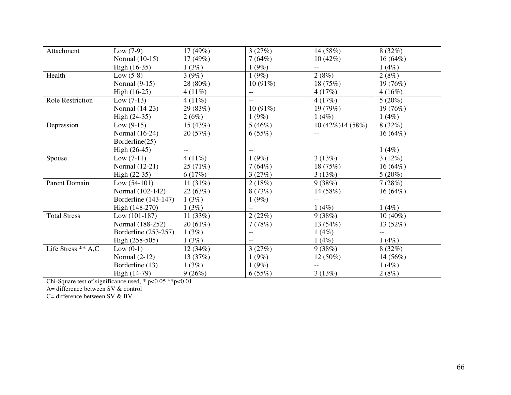| Attachment          | Low $(7-9)$          | 17(49%)    | 3(27%)     | 14 (58%)          | 8(32%)     |
|---------------------|----------------------|------------|------------|-------------------|------------|
|                     | Normal (10-15)       | 17(49%)    | 7(64%)     | 10(42%)           | $16(64\%)$ |
|                     | High (16-35)         | 1(3%)      | 1(9%)      |                   | 1(4%)      |
| Health              | Low $(5-8)$          | 3(9%)      | 1(9%)      | 2(8%)             | 2(8%)      |
|                     | Normal $(9-15)$      | 28 (80%)   | $10(91\%)$ | 18(75%)           | 19 (76%)   |
|                     | High (16-25)         | $4(11\%)$  | --         | 4(17%)            | 4(16%)     |
| Role Restriction    | Low $(7-13)$         | $4(11\%)$  | $-$        | 4(17%)            | 5(20%)     |
|                     | Normal (14-23)       | 29 (83%)   | $10(91\%)$ | 19(79%)           | 19(76%)    |
|                     | High (24-35)         | 2(6%)      | 1(9%)      | 1(4%)             | 1(4%)      |
| Depression          | $Low (9-15)$         | 15(43%)    | 5(46%)     | 10 (42%) 14 (58%) | 8(32%)     |
|                     | Normal (16-24)       | 20(57%)    | 6(55%)     | $-$               | $16(64\%)$ |
|                     | Borderline(25)       |            |            |                   |            |
|                     | High (26-45)         |            |            |                   | 1(4%)      |
| Spouse              | $Low (7-11)$         | $4(11\%)$  | 1(9%)      | 3(13%)            | 3(12%)     |
|                     | Normal (12-21)       | 25(71%)    | 7(64%)     | 18 (75%)          | $16(64\%)$ |
|                     | $High (22-35)$       | 6(17%)     | 3(27%)     | 3(13%)            | 5(20%)     |
| Parent Domain       | Low $(54-101)$       | 11 $(31%)$ | 2(18%)     | 9(38%)            | 7(28%)     |
|                     | Normal (102-142)     | 22(63%)    | 8(73%)     | 14 (58%)          | $16(64\%)$ |
|                     | Borderline (143-147) | 1(3%)      | 1(9%)      |                   |            |
|                     | High (148-270)       | 1(3%)      |            | 1(4%)             | 1(4%)      |
| <b>Total Stress</b> | $Low (101-187)$      | 11 $(33%)$ | 2(22%)     | 9(38%)            | $10(40\%)$ |
|                     | Normal (188-252)     | 20(61%)    | 7(78%)     | 13(54%)           | 13(52%)    |
|                     | Borderline (253-257) | 1(3%)      | $-$        | $1(4\%)$          |            |
|                     | High (258-505)       | 1(3%)      |            | 1(4%)             | 1(4%)      |
| Life Stress ** A,C  | Low $(0-1)$          | 12(34%)    | 3(27%)     | 9(38%)            | 8(32%)     |
|                     | Normal $(2-12)$      | 13(37%)    | 1(9%)      | $12(50\%)$        | 14 (56%)   |
|                     | Borderline (13)      | 1(3%)      | 1(9%)      |                   | 1(4%)      |
|                     | High (14-79)         | 9(26%)     | 6(55%)     | 3(13%)            | 2(8%)      |

Chi-Square test of significance used, \* p<0.05 \*\*p<0.01 A= difference between SV & control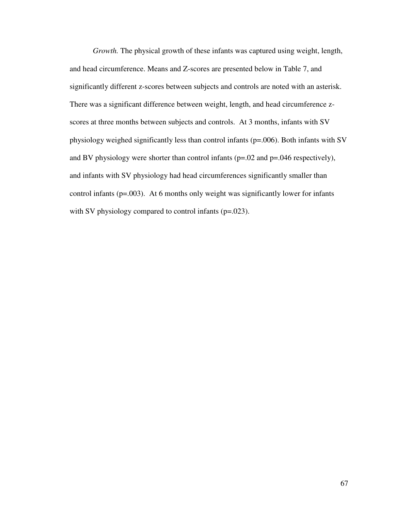*Growth.* The physical growth of these infants was captured using weight, length, and head circumference. Means and Z-scores are presented below in Table 7, and significantly different z-scores between subjects and controls are noted with an asterisk. There was a significant difference between weight, length, and head circumference zscores at three months between subjects and controls. At 3 months, infants with SV physiology weighed significantly less than control infants (p=.006). Both infants with SV and BV physiology were shorter than control infants (p=.02 and p=.046 respectively), and infants with SV physiology had head circumferences significantly smaller than control infants (p=.003). At 6 months only weight was significantly lower for infants with SV physiology compared to control infants (p=.023).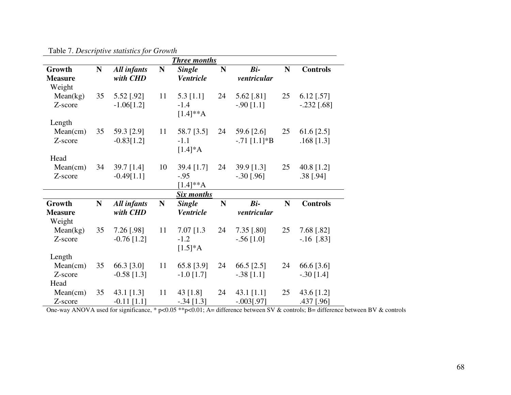|                                       |           |                                |             | <b>Three months</b>                    |             |                              |             |                               |
|---------------------------------------|-----------|--------------------------------|-------------|----------------------------------------|-------------|------------------------------|-------------|-------------------------------|
| Growth<br><b>Measure</b><br>Weight    | ${\bf N}$ | All infants<br>with CHD        | ${\bf N}$   | <b>Single</b><br><b>Ventricle</b>      | N           | $Bi-$<br>ventricular         | $\mathbf N$ | <b>Controls</b>               |
| Mean(kg)<br>Z-score                   | 35        | 5.52 [.92]<br>$-1.06[1.2]$     | 11          | $5.3$ [1.1]<br>$-1.4$<br>$[1.4]^{**}A$ | 24          | 5.62 [.81]<br>$-.90$ [1.1]   | 25          | $6.12$ [.57]<br>$-.232$ [.68] |
| Length<br>Mean(cm)<br>Z-score<br>Head | 35        | 59.3 [2.9]<br>$-0.83[1.2]$     | 11          | 58.7 [3.5]<br>$-1.1$<br>$[1.4]*A$      | 24          | 59.6 [2.6]<br>$-.71$ [1.1]*B | 25          | 61.6 [2.5]<br>$.168$ [1.3]    |
| Mean(cm)<br>Z-score                   | 34        | 39.7 [1.4]<br>$-0.49[1.1]$     | 10          | 39.4 [1.7]<br>$-.95$<br>$[1.4]^{**}A$  | 24          | 39.9 [1.3]<br>$-.30$ [.96]   | 25          | 40.8 [1.2]<br>$.38$ [.94]     |
|                                       |           |                                |             | <b>Six months</b>                      |             |                              |             |                               |
| Growth<br><b>Measure</b><br>Weight    | ${\bf N}$ | <b>All infants</b><br>with CHD | $\mathbf N$ | <b>Single</b><br><b>Ventricle</b>      | $\mathbf N$ | $Bi-$<br>ventricular         | ${\bf N}$   | <b>Controls</b>               |
| Mean(kg)<br>Z-score                   | 35        | 7.26 [.98]<br>$-0.76$ [1.2]    | 11          | $7.07$ [1.3]<br>$-1.2$<br>$[1.5]*A$    | 24          | 7.35 [.80]<br>$-.56$ [1.0]   | 25          | 7.68 [.82]<br>$-.16$ [.83]    |
| Length<br>Mean(cm)<br>Z-score<br>Head | 35        | 66.3 [3.0]<br>$-0.58$ [1.3]    | 11          | 65.8 [3.9]<br>$-1.0$ [1.7]             | 24          | 66.5 [2.5]<br>$-.38$ [1.1]   | 24          | 66.6 [3.6]<br>$-.30$ [1.4]    |
| Mean(cm)<br>Z-score                   | 35        | 43.1 [1.3]<br>$-0.11$ [1.1]    | 11          | 43 $[1.8]$<br>$-.34$ [1.3]             | 24          | 43.1 [1.1]<br>$-.003[.97]$   | 25          | 43.6 [1.2]<br>.437 [.96]      |

Table 7. *Descriptive statistics for Growth*

 $\frac{Z\text{-score}}{\text{One-way ANOVA used for significance, * p<0.05 **p<0.01; A= difference between SV & controls; B= difference between BV & controls}$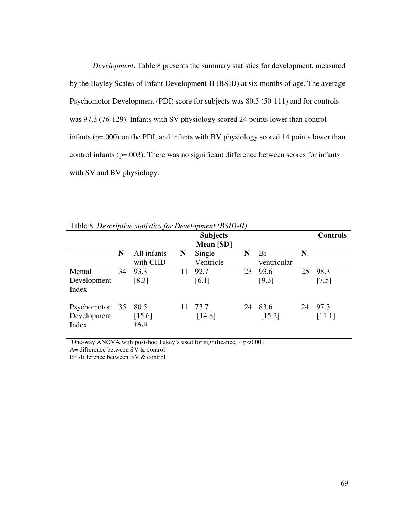*Development.* Table 8 presents the summary statistics for development, measured by the Bayley Scales of Infant Development-II (BSID) at six months of age. The average Psychomotor Development (PDI) score for subjects was 80.5 (50-111) and for controls was 97.3 (76-129). Infants with SV physiology scored 24 points lower than control infants (p=.000) on the PDI, and infants with BV physiology scored 14 points lower than control infants (p=.003). There was no significant difference between scores for infants with SV and BV physiology.

|                                        |    |                                 |    | <b>Subjects</b><br>Mean [SD] |    |                      |    | <b>Controls</b> |
|----------------------------------------|----|---------------------------------|----|------------------------------|----|----------------------|----|-----------------|
|                                        | N  | All infants<br>with CHD         | N  | Single<br>Ventricle          | N  | $Bi-$<br>ventricular | N  |                 |
| Mental<br>Development<br>Index         | 34 | 93.3<br>[8.3]                   | 11 | 92.7<br>[6.1]                | 23 | 93.6<br>[9.3]        | 25 | 98.3<br>[7.5]   |
| Psychomotor 35<br>Development<br>Index |    | 80.5<br>[15.6]<br>$\dagger$ A,B | 11 | 73.7<br>[14.8]               | 24 | 83.6<br>[15.2]       | 24 | 97.3<br>[11.1]  |

Table 8. *Descriptive statistics for Development (BSID-II)* 

One-way ANOVA with post-hoc Tukey's used for significance, † p<0.001

A= difference between SV & control

B= difference between BV & control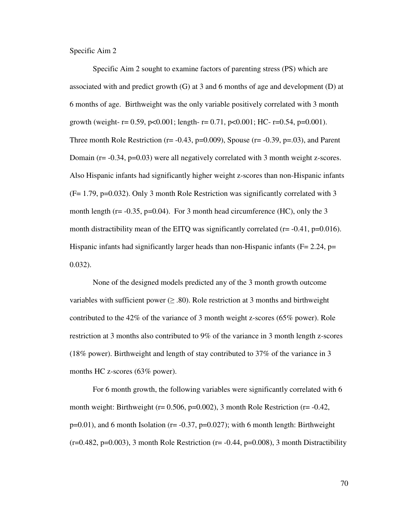Specific Aim 2

Specific Aim 2 sought to examine factors of parenting stress (PS) which are associated with and predict growth (G) at 3 and 6 months of age and development (D) at 6 months of age. Birthweight was the only variable positively correlated with 3 month growth (weight-  $r = 0.59$ ,  $p < 0.001$ ; length-  $r = 0.71$ ,  $p < 0.001$ ; HC-  $r = 0.54$ ,  $p = 0.001$ ). Three month Role Restriction ( $r = -0.43$ ,  $p = 0.009$ ), Spouse ( $r = -0.39$ ,  $p = 0.03$ ), and Parent Domain (r= -0.34, p=0.03) were all negatively correlated with 3 month weight z-scores. Also Hispanic infants had significantly higher weight z-scores than non-Hispanic infants  $(F= 1.79, p=0.032)$ . Only 3 month Role Restriction was significantly correlated with 3 month length ( $r = -0.35$ ,  $p = 0.04$ ). For 3 month head circumference (HC), only the 3 month distractibility mean of the EITQ was significantly correlated ( $r = -0.41$ ,  $p = 0.016$ ). Hispanic infants had significantly larger heads than non-Hispanic infants ( $F = 2.24$ ,  $p =$ 0.032).

None of the designed models predicted any of the 3 month growth outcome variables with sufficient power  $(\geq .80)$ . Role restriction at 3 months and birthweight contributed to the 42% of the variance of 3 month weight z-scores (65% power). Role restriction at 3 months also contributed to 9% of the variance in 3 month length z-scores (18% power). Birthweight and length of stay contributed to 37% of the variance in 3 months HC z-scores (63% power).

For 6 month growth, the following variables were significantly correlated with 6 month weight: Birthweight ( $r= 0.506$ ,  $p=0.002$ ), 3 month Role Restriction ( $r=-0.42$ ,  $p=0.01$ ), and 6 month Isolation ( $r=-0.37$ ,  $p=0.027$ ); with 6 month length: Birthweight  $(r=0.482, p=0.003)$ , 3 month Role Restriction  $(r=-0.44, p=0.008)$ , 3 month Distractibility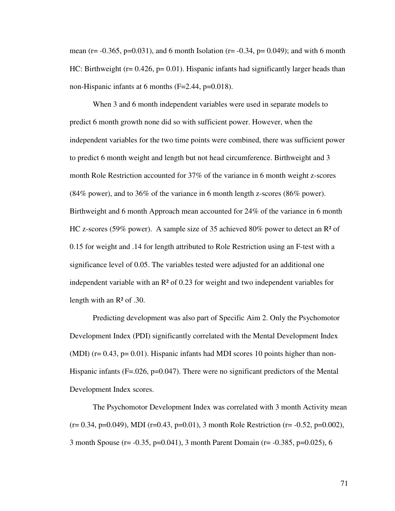mean (r=  $-0.365$ , p=0.031), and 6 month Isolation (r=  $-0.34$ , p=0.049); and with 6 month HC: Birthweight ( $r = 0.426$ ,  $p = 0.01$ ). Hispanic infants had significantly larger heads than non-Hispanic infants at 6 months (F=2.44, p=0.018).

When 3 and 6 month independent variables were used in separate models to predict 6 month growth none did so with sufficient power. However, when the independent variables for the two time points were combined, there was sufficient power to predict 6 month weight and length but not head circumference. Birthweight and 3 month Role Restriction accounted for 37% of the variance in 6 month weight z-scores (84% power), and to 36% of the variance in 6 month length z-scores (86% power). Birthweight and 6 month Approach mean accounted for 24% of the variance in 6 month HC z-scores (59% power). A sample size of 35 achieved 80% power to detect an R² of 0.15 for weight and .14 for length attributed to Role Restriction using an F-test with a significance level of 0.05. The variables tested were adjusted for an additional one independent variable with an  $\mathbb{R}^2$  of 0.23 for weight and two independent variables for length with an  $\mathbb{R}^2$  of .30.

Predicting development was also part of Specific Aim 2. Only the Psychomotor Development Index (PDI) significantly correlated with the Mental Development Index (MDI) ( $r= 0.43$ ,  $p= 0.01$ ). Hispanic infants had MDI scores 10 points higher than non-Hispanic infants (F=.026, p=0.047). There were no significant predictors of the Mental Development Index scores.

The Psychomotor Development Index was correlated with 3 month Activity mean  $(r= 0.34, p=0.049)$ , MDI  $(r=0.43, p=0.01)$ , 3 month Role Restriction  $(r= -0.52, p=0.002)$ , 3 month Spouse (r= -0.35, p=0.041), 3 month Parent Domain (r= -0.385, p=0.025), 6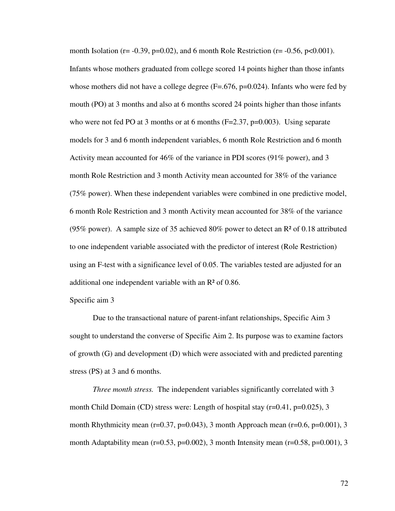month Isolation ( $r = -0.39$ ,  $p = 0.02$ ), and 6 month Role Restriction ( $r = -0.56$ ,  $p < 0.001$ ). Infants whose mothers graduated from college scored 14 points higher than those infants whose mothers did not have a college degree  $(F=.676, p=0.024)$ . Infants who were fed by mouth (PO) at 3 months and also at 6 months scored 24 points higher than those infants who were not fed PO at 3 months or at 6 months  $(F=2.37, p=0.003)$ . Using separate models for 3 and 6 month independent variables, 6 month Role Restriction and 6 month Activity mean accounted for 46% of the variance in PDI scores (91% power), and 3 month Role Restriction and 3 month Activity mean accounted for 38% of the variance (75% power). When these independent variables were combined in one predictive model, 6 month Role Restriction and 3 month Activity mean accounted for 38% of the variance (95% power). A sample size of 35 achieved 80% power to detect an R² of 0.18 attributed to one independent variable associated with the predictor of interest (Role Restriction) using an F-test with a significance level of 0.05. The variables tested are adjusted for an additional one independent variable with an R² of 0.86.

# Specific aim 3

Due to the transactional nature of parent-infant relationships, Specific Aim 3 sought to understand the converse of Specific Aim 2. Its purpose was to examine factors of growth (G) and development (D) which were associated with and predicted parenting stress (PS) at 3 and 6 months.

*Three month stress.* The independent variables significantly correlated with 3 month Child Domain (CD) stress were: Length of hospital stay  $(r=0.41, p=0.025)$ , 3 month Rhythmicity mean (r=0.37, p=0.043), 3 month Approach mean (r=0.6, p=0.001), 3 month Adaptability mean (r=0.53, p=0.002), 3 month Intensity mean (r=0.58, p=0.001), 3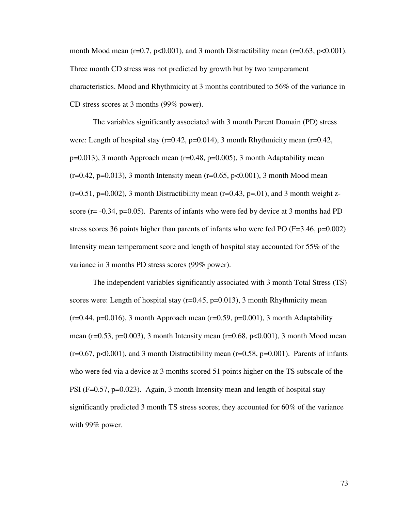month Mood mean  $(r=0.7, p<0.001)$ , and 3 month Distractibility mean  $(r=0.63, p<0.001)$ . Three month CD stress was not predicted by growth but by two temperament characteristics. Mood and Rhythmicity at 3 months contributed to 56% of the variance in CD stress scores at 3 months (99% power).

The variables significantly associated with 3 month Parent Domain (PD) stress were: Length of hospital stay ( $r=0.42$ ,  $p=0.014$ ), 3 month Rhythmicity mean ( $r=0.42$ ,  $p=0.013$ ), 3 month Approach mean ( $r=0.48$ ,  $p=0.005$ ), 3 month Adaptability mean  $(r=0.42, p=0.013)$ , 3 month Intensity mean  $(r=0.65, p<0.001)$ , 3 month Mood mean  $(r=0.51, p=0.002)$ , 3 month Distractibility mean  $(r=0.43, p=0.01)$ , and 3 month weight zscore ( $r = -0.34$ ,  $p = 0.05$ ). Parents of infants who were fed by device at 3 months had PD stress scores 36 points higher than parents of infants who were fed PO ( $F=3.46$ ,  $p=0.002$ ) Intensity mean temperament score and length of hospital stay accounted for 55% of the variance in 3 months PD stress scores (99% power).

The independent variables significantly associated with 3 month Total Stress (TS) scores were: Length of hospital stay  $(r=0.45, p=0.013)$ , 3 month Rhythmicity mean  $(r=0.44, p=0.016)$ , 3 month Approach mean  $(r=0.59, p=0.001)$ , 3 month Adaptability mean (r=0.53, p=0.003), 3 month Intensity mean (r=0.68, p<0.001), 3 month Mood mean  $(r=0.67, p<0.001)$ , and 3 month Distractibility mean  $(r=0.58, p=0.001)$ . Parents of infants who were fed via a device at 3 months scored 51 points higher on the TS subscale of the PSI (F=0.57, p=0.023). Again, 3 month Intensity mean and length of hospital stay significantly predicted 3 month TS stress scores; they accounted for 60% of the variance with 99% power.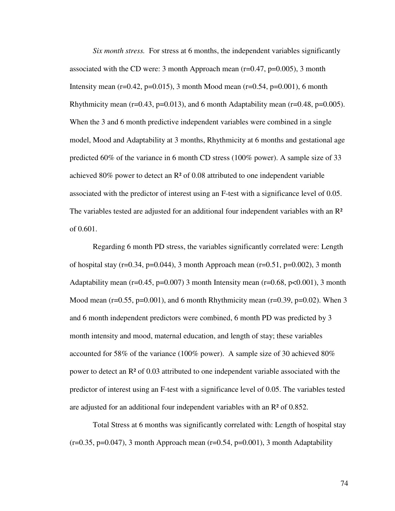*Six month stress.* For stress at 6 months, the independent variables significantly associated with the CD were: 3 month Approach mean  $(r=0.47, p=0.005)$ , 3 month Intensity mean (r=0.42, p=0.015), 3 month Mood mean (r=0.54, p=0.001), 6 month Rhythmicity mean ( $r=0.43$ ,  $p=0.013$ ), and 6 month Adaptability mean ( $r=0.48$ ,  $p=0.005$ ). When the 3 and 6 month predictive independent variables were combined in a single model, Mood and Adaptability at 3 months, Rhythmicity at 6 months and gestational age predicted 60% of the variance in 6 month CD stress (100% power). A sample size of 33 achieved 80% power to detect an R² of 0.08 attributed to one independent variable associated with the predictor of interest using an F-test with a significance level of 0.05. The variables tested are adjusted for an additional four independent variables with an  $\mathbb{R}^2$ of 0.601.

Regarding 6 month PD stress, the variables significantly correlated were: Length of hospital stay ( $r=0.34$ ,  $p=0.044$ ), 3 month Approach mean ( $r=0.51$ ,  $p=0.002$ ), 3 month Adaptability mean (r=0.45, p=0.007) 3 month Intensity mean (r=0.68, p<0.001), 3 month Mood mean (r=0.55, p=0.001), and 6 month Rhythmicity mean (r=0.39, p=0.02). When 3 and 6 month independent predictors were combined, 6 month PD was predicted by 3 month intensity and mood, maternal education, and length of stay; these variables accounted for 58% of the variance (100% power). A sample size of 30 achieved 80% power to detect an  $\mathbb{R}^2$  of 0.03 attributed to one independent variable associated with the predictor of interest using an F-test with a significance level of 0.05. The variables tested are adjusted for an additional four independent variables with an R² of 0.852.

Total Stress at 6 months was significantly correlated with: Length of hospital stay  $(r=0.35, p=0.047)$ , 3 month Approach mean  $(r=0.54, p=0.001)$ , 3 month Adaptability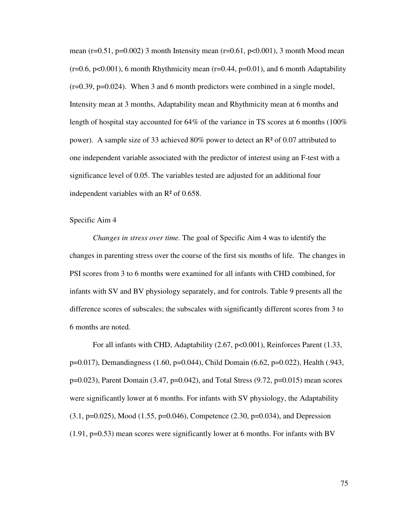mean ( $r=0.51$ ,  $p=0.002$ ) 3 month Intensity mean ( $r=0.61$ ,  $p<0.001$ ), 3 month Mood mean  $(r=0.6, p<0.001)$ , 6 month Rhythmicity mean  $(r=0.44, p=0.01)$ , and 6 month Adaptability  $(r=0.39, p=0.024)$ . When 3 and 6 month predictors were combined in a single model, Intensity mean at 3 months, Adaptability mean and Rhythmicity mean at 6 months and length of hospital stay accounted for  $64\%$  of the variance in TS scores at 6 months (100%) power). A sample size of 33 achieved 80% power to detect an R² of 0.07 attributed to one independent variable associated with the predictor of interest using an F-test with a significance level of 0.05. The variables tested are adjusted for an additional four independent variables with an R² of 0.658.

# Specific Aim 4

*Changes in stress over time.* The goal of Specific Aim 4 was to identify the changes in parenting stress over the course of the first six months of life. The changes in PSI scores from 3 to 6 months were examined for all infants with CHD combined, for infants with SV and BV physiology separately, and for controls. Table 9 presents all the difference scores of subscales; the subscales with significantly different scores from 3 to 6 months are noted.

For all infants with CHD, Adaptability (2.67, p<0.001), Reinforces Parent (1.33, p=0.017), Demandingness (1.60, p=0.044), Child Domain (6.62, p=0.022), Health (.943, p=0.023), Parent Domain (3.47, p=0.042), and Total Stress (9.72, p=0.015) mean scores were significantly lower at 6 months. For infants with SV physiology, the Adaptability  $(3.1, p=0.025)$ , Mood  $(1.55, p=0.046)$ , Competence  $(2.30, p=0.034)$ , and Depression  $(1.91, p=0.53)$  mean scores were significantly lower at 6 months. For infants with BV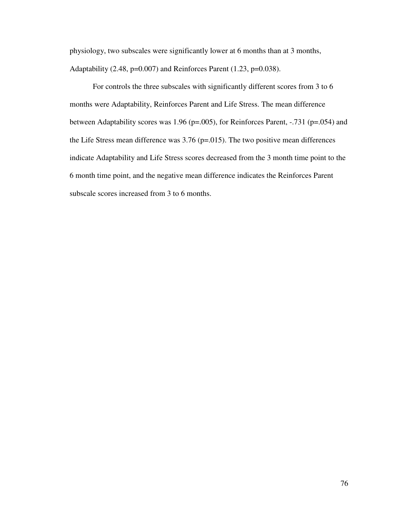physiology, two subscales were significantly lower at 6 months than at 3 months, Adaptability (2.48, p=0.007) and Reinforces Parent (1.23, p=0.038).

For controls the three subscales with significantly different scores from 3 to 6 months were Adaptability, Reinforces Parent and Life Stress. The mean difference between Adaptability scores was 1.96 (p=.005), for Reinforces Parent, -.731 (p=.054) and the Life Stress mean difference was  $3.76$  (p=.015). The two positive mean differences indicate Adaptability and Life Stress scores decreased from the 3 month time point to the 6 month time point, and the negative mean difference indicates the Reinforces Parent subscale scores increased from 3 to 6 months.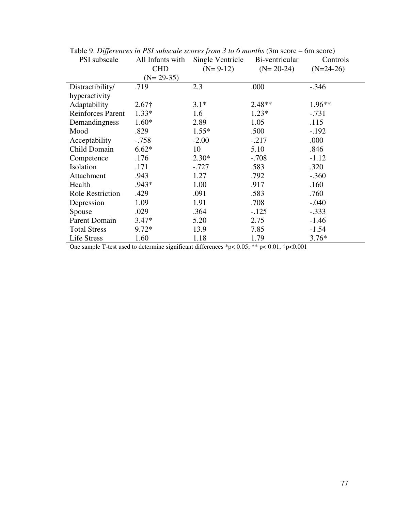| PSI subscale             | All Infants with<br><b>CHD</b> | Single Ventricle<br>$(N=9-12)$ | Bi-ventricular<br>$(N=20-24)$ | Controls<br>$(N=24-26)$ |
|--------------------------|--------------------------------|--------------------------------|-------------------------------|-------------------------|
|                          | $(N=29-35)$                    |                                |                               |                         |
| Distractibility/         | .719                           | 2.3                            | .000                          | $-.346$                 |
| hyperactivity            |                                |                                |                               |                         |
| Adaptability             | $2.67\dagger$                  | $3.1*$                         | $2.48**$                      | $1.96**$                |
| <b>Reinforces Parent</b> | $1.33*$                        | 1.6                            | $1.23*$                       | $-.731$                 |
| Demandingness            | $1.60*$                        | 2.89                           | 1.05                          | .115                    |
| Mood                     | .829                           | $1.55*$                        | .500                          | $-.192$                 |
| Acceptability            | $-0.758$                       | $-2.00$                        | $-.217$                       | .000                    |
| Child Domain             | $6.62*$                        | 10                             | 5.10                          | .846                    |
| Competence               | .176                           | $2.30*$                        | $-.708$                       | $-1.12$                 |
| Isolation                | .171                           | $-.727$                        | .583                          | .320                    |
| Attachment               | .943                           | 1.27                           | .792                          | $-.360$                 |
| Health                   | $.943*$                        | 1.00                           | .917                          | .160                    |
| <b>Role Restriction</b>  | .429                           | .091                           | .583                          | .760                    |
| Depression               | 1.09                           | 1.91                           | .708                          | $-.040$                 |
| Spouse                   | .029                           | .364                           | $-.125$                       | $-.333$                 |
| Parent Domain            | $3.47*$                        | 5.20                           | 2.75                          | $-1.46$                 |
| <b>Total Stress</b>      | $9.72*$                        | 13.9                           | 7.85                          | $-1.54$                 |
| Life Stress              | 1.60                           | 1.18                           | 1.79                          | $3.76*$                 |

Table 9. *Differences in PSI subscale scores from 3 to 6 months (3m score – 6m score)* 

One sample T-test used to determine significant differences \*p<  $0.05$ ; \*\* p<  $0.01$ , †p< $0.001$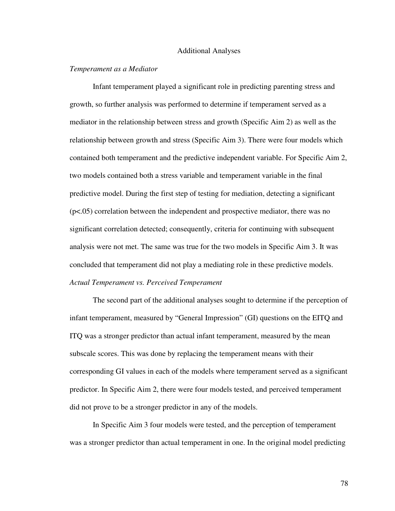#### Additional Analyses

# *Temperament as a Mediator*

Infant temperament played a significant role in predicting parenting stress and growth, so further analysis was performed to determine if temperament served as a mediator in the relationship between stress and growth (Specific Aim 2) as well as the relationship between growth and stress (Specific Aim 3). There were four models which contained both temperament and the predictive independent variable. For Specific Aim 2, two models contained both a stress variable and temperament variable in the final predictive model. During the first step of testing for mediation, detecting a significant (p<.05) correlation between the independent and prospective mediator, there was no significant correlation detected; consequently, criteria for continuing with subsequent analysis were not met. The same was true for the two models in Specific Aim 3. It was concluded that temperament did not play a mediating role in these predictive models. *Actual Temperament vs. Perceived Temperament* 

The second part of the additional analyses sought to determine if the perception of infant temperament, measured by "General Impression" (GI) questions on the EITQ and ITQ was a stronger predictor than actual infant temperament, measured by the mean subscale scores. This was done by replacing the temperament means with their corresponding GI values in each of the models where temperament served as a significant predictor. In Specific Aim 2, there were four models tested, and perceived temperament did not prove to be a stronger predictor in any of the models.

In Specific Aim 3 four models were tested, and the perception of temperament was a stronger predictor than actual temperament in one. In the original model predicting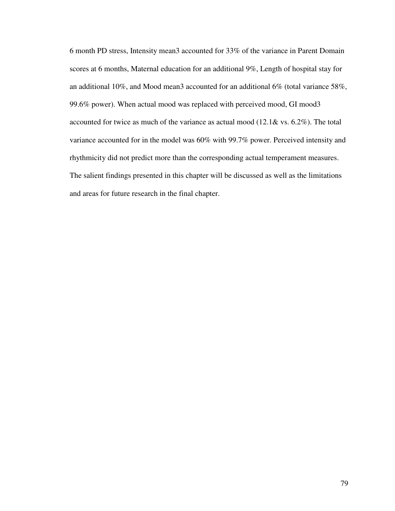6 month PD stress, Intensity mean3 accounted for 33% of the variance in Parent Domain scores at 6 months, Maternal education for an additional 9%, Length of hospital stay for an additional 10%, and Mood mean3 accounted for an additional 6% (total variance 58%, 99.6% power). When actual mood was replaced with perceived mood, GI mood3 accounted for twice as much of the variance as actual mood (12.1& vs. 6.2%). The total variance accounted for in the model was 60% with 99.7% power. Perceived intensity and rhythmicity did not predict more than the corresponding actual temperament measures. The salient findings presented in this chapter will be discussed as well as the limitations and areas for future research in the final chapter.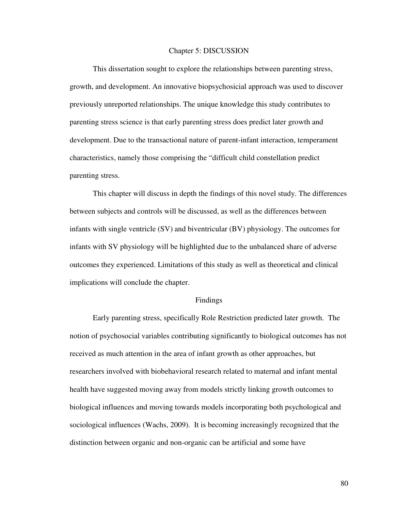#### Chapter 5: DISCUSSION

 This dissertation sought to explore the relationships between parenting stress, growth, and development. An innovative biopsychosicial approach was used to discover previously unreported relationships. The unique knowledge this study contributes to parenting stress science is that early parenting stress does predict later growth and development. Due to the transactional nature of parent-infant interaction, temperament characteristics, namely those comprising the "difficult child constellation predict parenting stress.

 This chapter will discuss in depth the findings of this novel study. The differences between subjects and controls will be discussed, as well as the differences between infants with single ventricle (SV) and biventricular (BV) physiology. The outcomes for infants with SV physiology will be highlighted due to the unbalanced share of adverse outcomes they experienced. Limitations of this study as well as theoretical and clinical implications will conclude the chapter.

#### Findings

 Early parenting stress, specifically Role Restriction predicted later growth. The notion of psychosocial variables contributing significantly to biological outcomes has not received as much attention in the area of infant growth as other approaches, but researchers involved with biobehavioral research related to maternal and infant mental health have suggested moving away from models strictly linking growth outcomes to biological influences and moving towards models incorporating both psychological and sociological influences (Wachs, 2009). It is becoming increasingly recognized that the distinction between organic and non-organic can be artificial and some have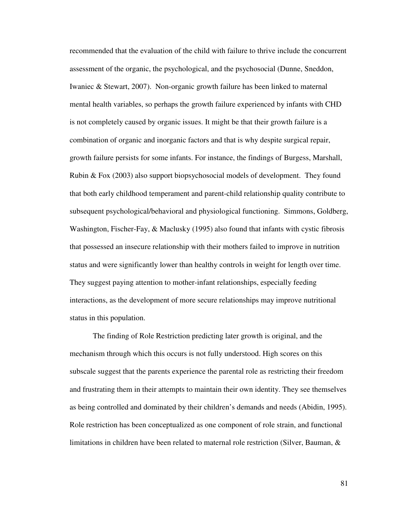recommended that the evaluation of the child with failure to thrive include the concurrent assessment of the organic, the psychological, and the psychosocial (Dunne, Sneddon, Iwaniec & Stewart, 2007). Non-organic growth failure has been linked to maternal mental health variables, so perhaps the growth failure experienced by infants with CHD is not completely caused by organic issues. It might be that their growth failure is a combination of organic and inorganic factors and that is why despite surgical repair, growth failure persists for some infants. For instance, the findings of Burgess, Marshall, Rubin & Fox (2003) also support biopsychosocial models of development. They found that both early childhood temperament and parent-child relationship quality contribute to subsequent psychological/behavioral and physiological functioning. Simmons, Goldberg, Washington, Fischer-Fay, & Maclusky (1995) also found that infants with cystic fibrosis that possessed an insecure relationship with their mothers failed to improve in nutrition status and were significantly lower than healthy controls in weight for length over time. They suggest paying attention to mother-infant relationships, especially feeding interactions, as the development of more secure relationships may improve nutritional status in this population.

The finding of Role Restriction predicting later growth is original, and the mechanism through which this occurs is not fully understood. High scores on this subscale suggest that the parents experience the parental role as restricting their freedom and frustrating them in their attempts to maintain their own identity. They see themselves as being controlled and dominated by their children's demands and needs (Abidin, 1995). Role restriction has been conceptualized as one component of role strain, and functional limitations in children have been related to maternal role restriction (Silver, Bauman, &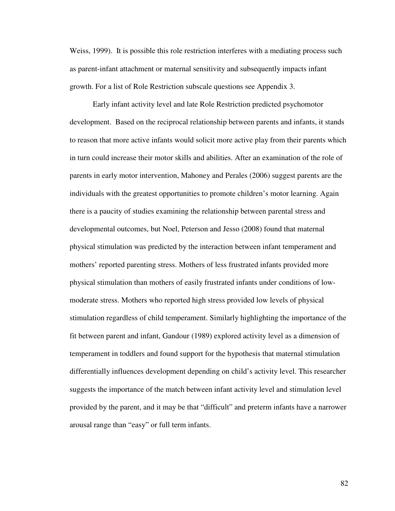Weiss, 1999). It is possible this role restriction interferes with a mediating process such as parent-infant attachment or maternal sensitivity and subsequently impacts infant growth. For a list of Role Restriction subscale questions see Appendix 3.

Early infant activity level and late Role Restriction predicted psychomotor development. Based on the reciprocal relationship between parents and infants, it stands to reason that more active infants would solicit more active play from their parents which in turn could increase their motor skills and abilities. After an examination of the role of parents in early motor intervention, Mahoney and Perales (2006) suggest parents are the individuals with the greatest opportunities to promote children's motor learning. Again there is a paucity of studies examining the relationship between parental stress and developmental outcomes, but Noel, Peterson and Jesso (2008) found that maternal physical stimulation was predicted by the interaction between infant temperament and mothers' reported parenting stress. Mothers of less frustrated infants provided more physical stimulation than mothers of easily frustrated infants under conditions of lowmoderate stress. Mothers who reported high stress provided low levels of physical stimulation regardless of child temperament. Similarly highlighting the importance of the fit between parent and infant, Gandour (1989) explored activity level as a dimension of temperament in toddlers and found support for the hypothesis that maternal stimulation differentially influences development depending on child's activity level. This researcher suggests the importance of the match between infant activity level and stimulation level provided by the parent, and it may be that "difficult" and preterm infants have a narrower arousal range than "easy" or full term infants.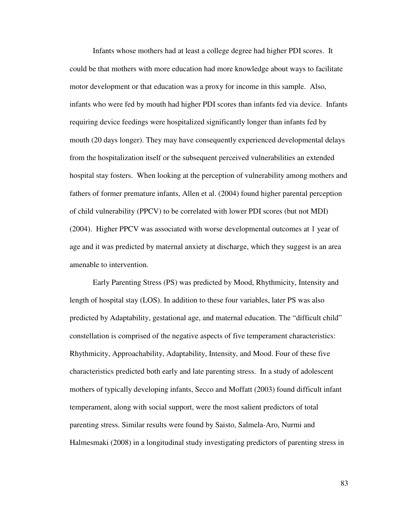Infants whose mothers had at least a college degree had higher PDI scores. It could be that mothers with more education had more knowledge about ways to facilitate motor development or that education was a proxy for income in this sample. Also, infants who were fed by mouth had higher PDI scores than infants fed via device. Infants requiring device feedings were hospitalized significantly longer than infants fed by mouth (20 days longer). They may have consequently experienced developmental delays from the hospitalization itself or the subsequent perceived vulnerabilities an extended hospital stay fosters. When looking at the perception of vulnerability among mothers and fathers of former premature infants, Allen et al. (2004) found higher parental perception of child vulnerability (PPCV) to be correlated with lower PDI scores (but not MDI) (2004). Higher PPCV was associated with worse developmental outcomes at 1 year of age and it was predicted by maternal anxiety at discharge, which they suggest is an area amenable to intervention.

Early Parenting Stress (PS) was predicted by Mood, Rhythmicity, Intensity and length of hospital stay (LOS). In addition to these four variables, later PS was also predicted by Adaptability, gestational age, and maternal education. The "difficult child" constellation is comprised of the negative aspects of five temperament characteristics: Rhythmicity, Approachability, Adaptability, Intensity, and Mood. Four of these five characteristics predicted both early and late parenting stress. In a study of adolescent mothers of typically developing infants, Secco and Moffatt (2003) found difficult infant temperament, along with social support, were the most salient predictors of total parenting stress. Similar results were found by Saisto, Salmela-Aro, Nurmi and Halmesmaki (2008) in a longitudinal study investigating predictors of parenting stress in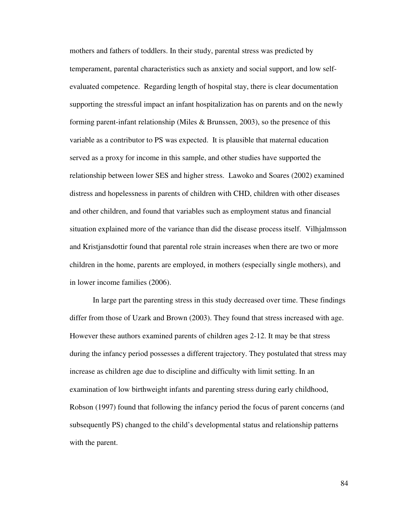mothers and fathers of toddlers. In their study, parental stress was predicted by temperament, parental characteristics such as anxiety and social support, and low selfevaluated competence. Regarding length of hospital stay, there is clear documentation supporting the stressful impact an infant hospitalization has on parents and on the newly forming parent-infant relationship (Miles  $\&$  Brunssen, 2003), so the presence of this variable as a contributor to PS was expected. It is plausible that maternal education served as a proxy for income in this sample, and other studies have supported the relationship between lower SES and higher stress. Lawoko and Soares (2002) examined distress and hopelessness in parents of children with CHD, children with other diseases and other children, and found that variables such as employment status and financial situation explained more of the variance than did the disease process itself. Vilhjalmsson and Kristjansdottir found that parental role strain increases when there are two or more children in the home, parents are employed, in mothers (especially single mothers), and in lower income families (2006).

In large part the parenting stress in this study decreased over time. These findings differ from those of Uzark and Brown (2003). They found that stress increased with age. However these authors examined parents of children ages 2-12. It may be that stress during the infancy period possesses a different trajectory. They postulated that stress may increase as children age due to discipline and difficulty with limit setting. In an examination of low birthweight infants and parenting stress during early childhood, Robson (1997) found that following the infancy period the focus of parent concerns (and subsequently PS) changed to the child's developmental status and relationship patterns with the parent.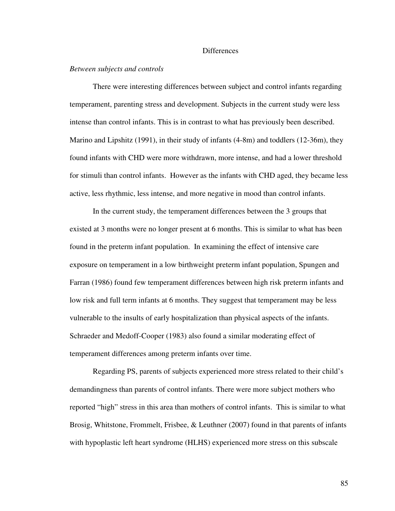#### **Differences**

# *Between subjects and controls*

There were interesting differences between subject and control infants regarding temperament, parenting stress and development. Subjects in the current study were less intense than control infants. This is in contrast to what has previously been described. Marino and Lipshitz (1991), in their study of infants (4-8m) and toddlers (12-36m), they found infants with CHD were more withdrawn, more intense, and had a lower threshold for stimuli than control infants. However as the infants with CHD aged, they became less active, less rhythmic, less intense, and more negative in mood than control infants.

In the current study, the temperament differences between the 3 groups that existed at 3 months were no longer present at 6 months. This is similar to what has been found in the preterm infant population. In examining the effect of intensive care exposure on temperament in a low birthweight preterm infant population, Spungen and Farran (1986) found few temperament differences between high risk preterm infants and low risk and full term infants at 6 months. They suggest that temperament may be less vulnerable to the insults of early hospitalization than physical aspects of the infants. Schraeder and Medoff-Cooper (1983) also found a similar moderating effect of temperament differences among preterm infants over time.

Regarding PS, parents of subjects experienced more stress related to their child's demandingness than parents of control infants. There were more subject mothers who reported "high" stress in this area than mothers of control infants. This is similar to what Brosig, Whitstone, Frommelt, Frisbee, & Leuthner (2007) found in that parents of infants with hypoplastic left heart syndrome (HLHS) experienced more stress on this subscale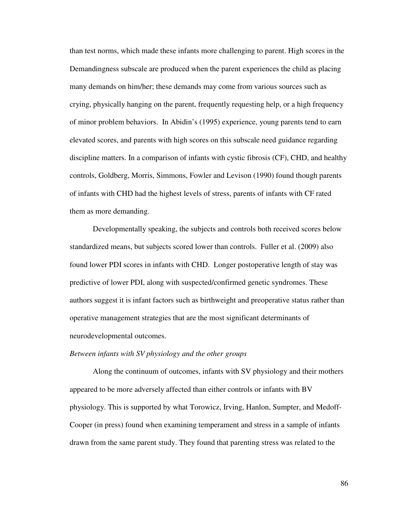than test norms, which made these infants more challenging to parent. High scores in the Demandingness subscale are produced when the parent experiences the child as placing many demands on him/her; these demands may come from various sources such as crying, physically hanging on the parent, frequently requesting help, or a high frequency of minor problem behaviors. In Abidin's (1995) experience, young parents tend to earn elevated scores, and parents with high scores on this subscale need guidance regarding discipline matters. In a comparison of infants with cystic fibrosis (CF), CHD, and healthy controls, Goldberg, Morris, Simmons, Fowler and Levison (1990) found though parents of infants with CHD had the highest levels of stress, parents of infants with CF rated them as more demanding.

Developmentally speaking, the subjects and controls both received scores below standardized means, but subjects scored lower than controls. Fuller et al. (2009) also found lower PDI scores in infants with CHD. Longer postoperative length of stay was predictive of lower PDI, along with suspected/confirmed genetic syndromes. These authors suggest it is infant factors such as birthweight and preoperative status rather than operative management strategies that are the most significant determinants of neurodevelopmental outcomes.

### *Between infants with SV physiology and the other groups*

Along the continuum of outcomes, infants with SV physiology and their mothers appeared to be more adversely affected than either controls or infants with BV physiology. This is supported by what Torowicz, Irving, Hanlon, Sumpter, and Medoff-Cooper (in press) found when examining temperament and stress in a sample of infants drawn from the same parent study. They found that parenting stress was related to the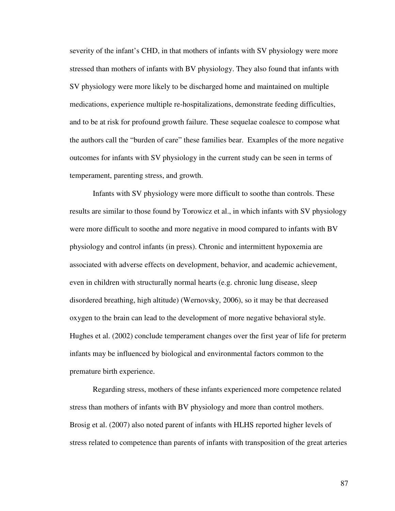severity of the infant's CHD, in that mothers of infants with SV physiology were more stressed than mothers of infants with BV physiology. They also found that infants with SV physiology were more likely to be discharged home and maintained on multiple medications, experience multiple re-hospitalizations, demonstrate feeding difficulties, and to be at risk for profound growth failure. These sequelae coalesce to compose what the authors call the "burden of care" these families bear. Examples of the more negative outcomes for infants with SV physiology in the current study can be seen in terms of temperament, parenting stress, and growth.

Infants with SV physiology were more difficult to soothe than controls. These results are similar to those found by Torowicz et al., in which infants with SV physiology were more difficult to soothe and more negative in mood compared to infants with BV physiology and control infants (in press). Chronic and intermittent hypoxemia are associated with adverse effects on development, behavior, and academic achievement, even in children with structurally normal hearts (e.g. chronic lung disease, sleep disordered breathing, high altitude) (Wernovsky, 2006), so it may be that decreased oxygen to the brain can lead to the development of more negative behavioral style. Hughes et al. (2002) conclude temperament changes over the first year of life for preterm infants may be influenced by biological and environmental factors common to the premature birth experience.

Regarding stress, mothers of these infants experienced more competence related stress than mothers of infants with BV physiology and more than control mothers. Brosig et al. (2007) also noted parent of infants with HLHS reported higher levels of stress related to competence than parents of infants with transposition of the great arteries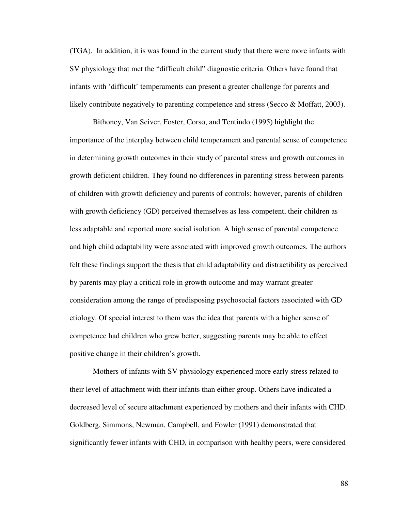(TGA). In addition, it is was found in the current study that there were more infants with SV physiology that met the "difficult child" diagnostic criteria. Others have found that infants with 'difficult' temperaments can present a greater challenge for parents and likely contribute negatively to parenting competence and stress (Secco & Moffatt, 2003).

Bithoney, Van Sciver, Foster, Corso, and Tentindo (1995) highlight the importance of the interplay between child temperament and parental sense of competence in determining growth outcomes in their study of parental stress and growth outcomes in growth deficient children. They found no differences in parenting stress between parents of children with growth deficiency and parents of controls; however, parents of children with growth deficiency (GD) perceived themselves as less competent, their children as less adaptable and reported more social isolation. A high sense of parental competence and high child adaptability were associated with improved growth outcomes. The authors felt these findings support the thesis that child adaptability and distractibility as perceived by parents may play a critical role in growth outcome and may warrant greater consideration among the range of predisposing psychosocial factors associated with GD etiology. Of special interest to them was the idea that parents with a higher sense of competence had children who grew better, suggesting parents may be able to effect positive change in their children's growth.

Mothers of infants with SV physiology experienced more early stress related to their level of attachment with their infants than either group. Others have indicated a decreased level of secure attachment experienced by mothers and their infants with CHD. Goldberg, Simmons, Newman, Campbell, and Fowler (1991) demonstrated that significantly fewer infants with CHD, in comparison with healthy peers, were considered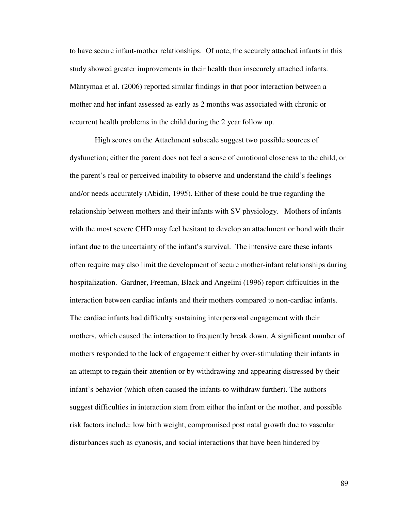to have secure infant-mother relationships. Of note, the securely attached infants in this study showed greater improvements in their health than insecurely attached infants. Mäntymaa et al. (2006) reported similar findings in that poor interaction between a mother and her infant assessed as early as 2 months was associated with chronic or recurrent health problems in the child during the 2 year follow up.

 High scores on the Attachment subscale suggest two possible sources of dysfunction; either the parent does not feel a sense of emotional closeness to the child, or the parent's real or perceived inability to observe and understand the child's feelings and/or needs accurately (Abidin, 1995). Either of these could be true regarding the relationship between mothers and their infants with SV physiology. Mothers of infants with the most severe CHD may feel hesitant to develop an attachment or bond with their infant due to the uncertainty of the infant's survival. The intensive care these infants often require may also limit the development of secure mother-infant relationships during hospitalization. Gardner, Freeman, Black and Angelini (1996) report difficulties in the interaction between cardiac infants and their mothers compared to non-cardiac infants. The cardiac infants had difficulty sustaining interpersonal engagement with their mothers, which caused the interaction to frequently break down. A significant number of mothers responded to the lack of engagement either by over-stimulating their infants in an attempt to regain their attention or by withdrawing and appearing distressed by their infant's behavior (which often caused the infants to withdraw further). The authors suggest difficulties in interaction stem from either the infant or the mother, and possible risk factors include: low birth weight, compromised post natal growth due to vascular disturbances such as cyanosis, and social interactions that have been hindered by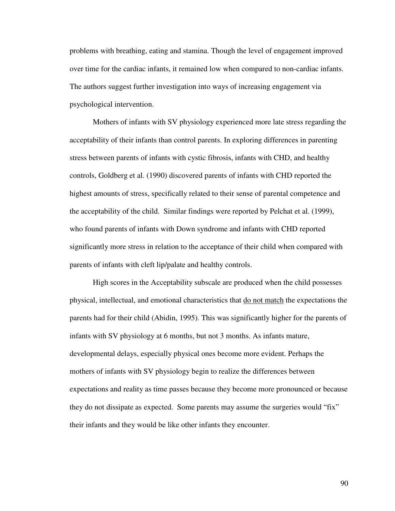problems with breathing, eating and stamina. Though the level of engagement improved over time for the cardiac infants, it remained low when compared to non-cardiac infants. The authors suggest further investigation into ways of increasing engagement via psychological intervention.

Mothers of infants with SV physiology experienced more late stress regarding the acceptability of their infants than control parents. In exploring differences in parenting stress between parents of infants with cystic fibrosis, infants with CHD, and healthy controls, Goldberg et al. (1990) discovered parents of infants with CHD reported the highest amounts of stress, specifically related to their sense of parental competence and the acceptability of the child. Similar findings were reported by Pelchat et al. (1999), who found parents of infants with Down syndrome and infants with CHD reported significantly more stress in relation to the acceptance of their child when compared with parents of infants with cleft lip/palate and healthy controls.

High scores in the Acceptability subscale are produced when the child possesses physical, intellectual, and emotional characteristics that do not match the expectations the parents had for their child (Abidin, 1995). This was significantly higher for the parents of infants with SV physiology at 6 months, but not 3 months. As infants mature, developmental delays, especially physical ones become more evident. Perhaps the mothers of infants with SV physiology begin to realize the differences between expectations and reality as time passes because they become more pronounced or because they do not dissipate as expected. Some parents may assume the surgeries would "fix" their infants and they would be like other infants they encounter.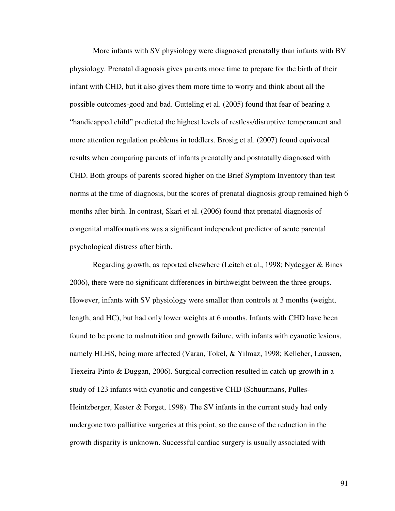More infants with SV physiology were diagnosed prenatally than infants with BV physiology. Prenatal diagnosis gives parents more time to prepare for the birth of their infant with CHD, but it also gives them more time to worry and think about all the possible outcomes-good and bad. Gutteling et al. (2005) found that fear of bearing a "handicapped child" predicted the highest levels of restless/disruptive temperament and more attention regulation problems in toddlers. Brosig et al. (2007) found equivocal results when comparing parents of infants prenatally and postnatally diagnosed with CHD. Both groups of parents scored higher on the Brief Symptom Inventory than test norms at the time of diagnosis, but the scores of prenatal diagnosis group remained high 6 months after birth. In contrast, Skari et al. (2006) found that prenatal diagnosis of congenital malformations was a significant independent predictor of acute parental psychological distress after birth.

Regarding growth, as reported elsewhere (Leitch et al., 1998; Nydegger & Bines 2006), there were no significant differences in birthweight between the three groups. However, infants with SV physiology were smaller than controls at 3 months (weight, length, and HC), but had only lower weights at 6 months. Infants with CHD have been found to be prone to malnutrition and growth failure, with infants with cyanotic lesions, namely HLHS, being more affected (Varan, Tokel, & Yilmaz, 1998; Kelleher, Laussen, Tiexeira-Pinto & Duggan, 2006). Surgical correction resulted in catch-up growth in a study of 123 infants with cyanotic and congestive CHD (Schuurmans, Pulles-Heintzberger, Kester & Forget, 1998). The SV infants in the current study had only undergone two palliative surgeries at this point, so the cause of the reduction in the growth disparity is unknown. Successful cardiac surgery is usually associated with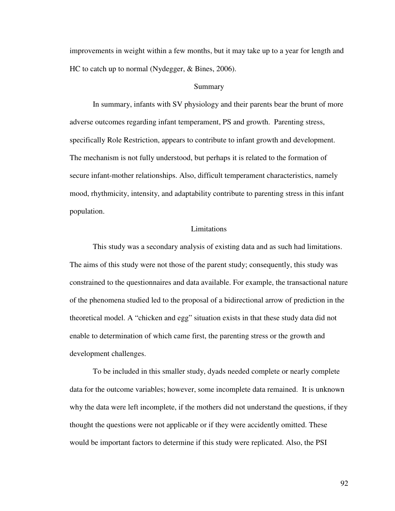improvements in weight within a few months, but it may take up to a year for length and HC to catch up to normal (Nydegger, & Bines, 2006).

### Summary

In summary, infants with SV physiology and their parents bear the brunt of more adverse outcomes regarding infant temperament, PS and growth. Parenting stress, specifically Role Restriction, appears to contribute to infant growth and development. The mechanism is not fully understood, but perhaps it is related to the formation of secure infant-mother relationships. Also, difficult temperament characteristics, namely mood, rhythmicity, intensity, and adaptability contribute to parenting stress in this infant population.

## Limitations

This study was a secondary analysis of existing data and as such had limitations. The aims of this study were not those of the parent study; consequently, this study was constrained to the questionnaires and data available. For example, the transactional nature of the phenomena studied led to the proposal of a bidirectional arrow of prediction in the theoretical model. A "chicken and egg" situation exists in that these study data did not enable to determination of which came first, the parenting stress or the growth and development challenges.

To be included in this smaller study, dyads needed complete or nearly complete data for the outcome variables; however, some incomplete data remained. It is unknown why the data were left incomplete, if the mothers did not understand the questions, if they thought the questions were not applicable or if they were accidently omitted. These would be important factors to determine if this study were replicated. Also, the PSI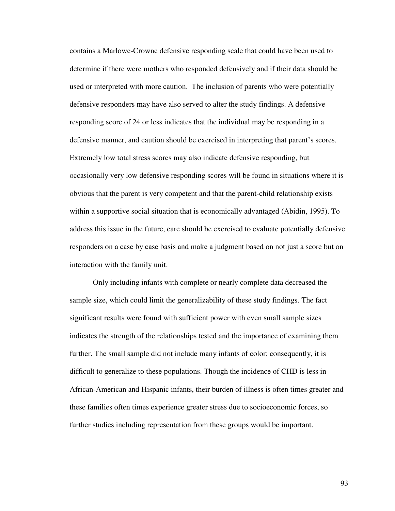contains a Marlowe-Crowne defensive responding scale that could have been used to determine if there were mothers who responded defensively and if their data should be used or interpreted with more caution. The inclusion of parents who were potentially defensive responders may have also served to alter the study findings. A defensive responding score of 24 or less indicates that the individual may be responding in a defensive manner, and caution should be exercised in interpreting that parent's scores. Extremely low total stress scores may also indicate defensive responding, but occasionally very low defensive responding scores will be found in situations where it is obvious that the parent is very competent and that the parent-child relationship exists within a supportive social situation that is economically advantaged (Abidin, 1995). To address this issue in the future, care should be exercised to evaluate potentially defensive responders on a case by case basis and make a judgment based on not just a score but on interaction with the family unit.

Only including infants with complete or nearly complete data decreased the sample size, which could limit the generalizability of these study findings. The fact significant results were found with sufficient power with even small sample sizes indicates the strength of the relationships tested and the importance of examining them further. The small sample did not include many infants of color; consequently, it is difficult to generalize to these populations. Though the incidence of CHD is less in African-American and Hispanic infants, their burden of illness is often times greater and these families often times experience greater stress due to socioeconomic forces, so further studies including representation from these groups would be important.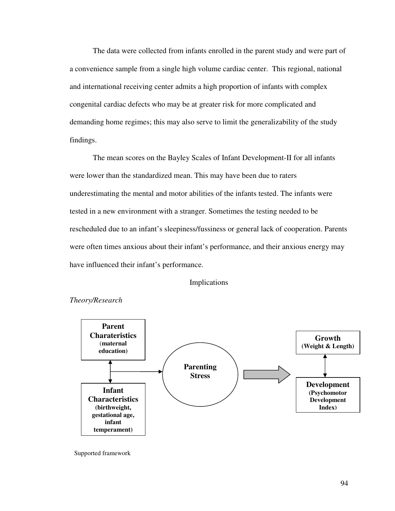The data were collected from infants enrolled in the parent study and were part of a convenience sample from a single high volume cardiac center. This regional, national and international receiving center admits a high proportion of infants with complex congenital cardiac defects who may be at greater risk for more complicated and demanding home regimes; this may also serve to limit the generalizability of the study findings.

 The mean scores on the Bayley Scales of Infant Development-II for all infants were lower than the standardized mean. This may have been due to raters underestimating the mental and motor abilities of the infants tested. The infants were tested in a new environment with a stranger. Sometimes the testing needed to be rescheduled due to an infant's sleepiness/fussiness or general lack of cooperation. Parents were often times anxious about their infant's performance, and their anxious energy may have influenced their infant's performance.

### Implications



*Theory/Research* 

Supported framework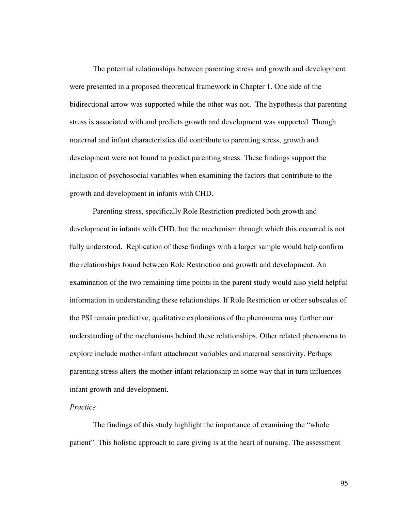The potential relationships between parenting stress and growth and development were presented in a proposed theoretical framework in Chapter 1. One side of the bidirectional arrow was supported while the other was not. The hypothesis that parenting stress is associated with and predicts growth and development was supported. Though maternal and infant characteristics did contribute to parenting stress, growth and development were not found to predict parenting stress. These findings support the inclusion of psychosocial variables when examining the factors that contribute to the growth and development in infants with CHD.

 Parenting stress, specifically Role Restriction predicted both growth and development in infants with CHD, but the mechanism through which this occurred is not fully understood. Replication of these findings with a larger sample would help confirm the relationships found between Role Restriction and growth and development. An examination of the two remaining time points in the parent study would also yield helpful information in understanding these relationships. If Role Restriction or other subscales of the PSI remain predictive, qualitative explorations of the phenomena may further our understanding of the mechanisms behind these relationships. Other related phenomena to explore include mother-infant attachment variables and maternal sensitivity. Perhaps parenting stress alters the mother-infant relationship in some way that in turn influences infant growth and development.

## *Practice*

 The findings of this study highlight the importance of examining the "whole patient". This holistic approach to care giving is at the heart of nursing. The assessment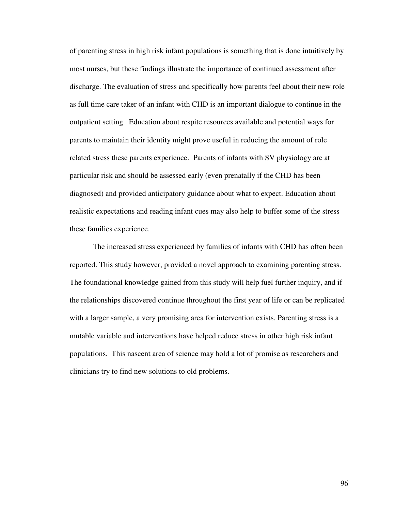of parenting stress in high risk infant populations is something that is done intuitively by most nurses, but these findings illustrate the importance of continued assessment after discharge. The evaluation of stress and specifically how parents feel about their new role as full time care taker of an infant with CHD is an important dialogue to continue in the outpatient setting. Education about respite resources available and potential ways for parents to maintain their identity might prove useful in reducing the amount of role related stress these parents experience. Parents of infants with SV physiology are at particular risk and should be assessed early (even prenatally if the CHD has been diagnosed) and provided anticipatory guidance about what to expect. Education about realistic expectations and reading infant cues may also help to buffer some of the stress these families experience.

 The increased stress experienced by families of infants with CHD has often been reported. This study however, provided a novel approach to examining parenting stress. The foundational knowledge gained from this study will help fuel further inquiry, and if the relationships discovered continue throughout the first year of life or can be replicated with a larger sample, a very promising area for intervention exists. Parenting stress is a mutable variable and interventions have helped reduce stress in other high risk infant populations. This nascent area of science may hold a lot of promise as researchers and clinicians try to find new solutions to old problems.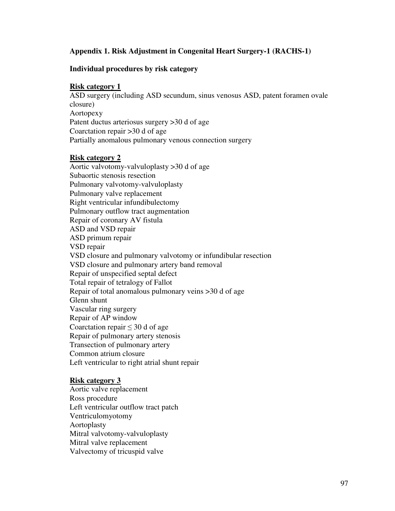## **Appendix 1. Risk Adjustment in Congenital Heart Surgery-1 (RACHS-1)**

#### **Individual procedures by risk category**

#### **Risk category 1**

ASD surgery (including ASD secundum, sinus venosus ASD, patent foramen ovale closure) Aortopexy Patent ductus arteriosus surgery >30 d of age Coarctation repair >30 d of age Partially anomalous pulmonary venous connection surgery

## **Risk category 2**

Aortic valvotomy-valvuloplasty >30 d of age Subaortic stenosis resection Pulmonary valvotomy-valvuloplasty Pulmonary valve replacement Right ventricular infundibulectomy Pulmonary outflow tract augmentation Repair of coronary AV fistula ASD and VSD repair ASD primum repair VSD repair VSD closure and pulmonary valvotomy or infundibular resection VSD closure and pulmonary artery band removal Repair of unspecified septal defect Total repair of tetralogy of Fallot Repair of total anomalous pulmonary veins >30 d of age Glenn shunt Vascular ring surgery Repair of AP window Coarctation repair  $\leq 30$  d of age Repair of pulmonary artery stenosis Transection of pulmonary artery Common atrium closure Left ventricular to right atrial shunt repair

## **Risk category 3**

Aortic valve replacement Ross procedure Left ventricular outflow tract patch Ventriculomyotomy Aortoplasty Mitral valvotomy-valvuloplasty Mitral valve replacement Valvectomy of tricuspid valve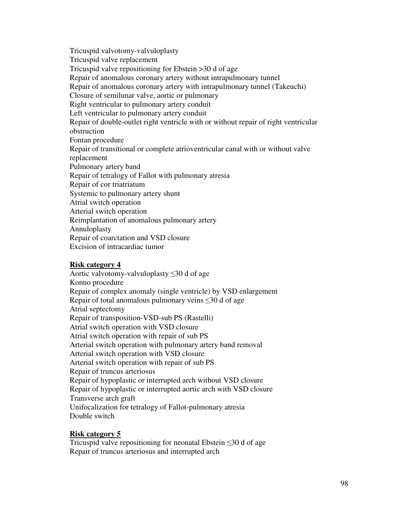Tricuspid valvotomy-valvuloplasty Tricuspid valve replacement Tricuspid valve repositioning for Ebstein >30 d of age Repair of anomalous coronary artery without intrapulmonary tunnel Repair of anomalous coronary artery with intrapulmonary tunnel (Takeuchi) Closure of semilunar valve, aortic or pulmonary Right ventricular to pulmonary artery conduit Left ventricular to pulmonary artery conduit Repair of double-outlet right ventricle with or without repair of right ventricular obstruction Fontan procedure Repair of transitional or complete atrioventricular canal with or without valve replacement Pulmonary artery band Repair of tetralogy of Fallot with pulmonary atresia Repair of cor triatriatum Systemic to pulmonary artery shunt Atrial switch operation Arterial switch operation Reimplantation of anomalous pulmonary artery Annuloplasty Repair of coarctation and VSD closure Excision of intracardiac tumor

## **Risk category 4**

Aortic valvotomy-valvuloplasty ≤30 d of age Konno procedure Repair of complex anomaly (single ventricle) by VSD enlargement Repair of total anomalous pulmonary veins  $\leq 30$  d of age Atrial septectomy Repair of transposition-VSD-sub PS (Rastelli) Atrial switch operation with VSD closure Atrial switch operation with repair of sub PS Arterial switch operation with pulmonary artery band removal Arterial switch operation with VSD closure Arterial switch operation with repair of sub PS Repair of truncus arteriosus Repair of hypoplastic or interrupted arch without VSD closure Repair of hypoplastic or interrupted aortic arch with VSD closure Transverse arch graft Unifocalization for tetralogy of Fallot-pulmonary atresia Double switch

## **Risk category 5**

Tricuspid valve repositioning for neonatal Ebstein ≤30 d of age Repair of truncus arteriosus and interrupted arch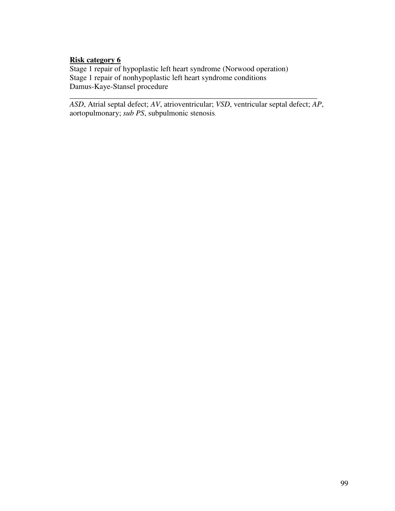# **Risk category 6**

Stage 1 repair of hypoplastic left heart syndrome (Norwood operation) Stage 1 repair of nonhypoplastic left heart syndrome conditions Damus-Kaye-Stansel procedure

*ASD*, Atrial septal defect; *AV*, atrioventricular; *VSD*, ventricular septal defect; *AP*, aortopulmonary; *sub PS*, subpulmonic stenosis.

*\_\_\_\_\_\_\_\_\_\_\_\_\_\_\_\_\_\_\_\_\_\_\_\_\_\_\_\_\_\_\_\_\_\_\_\_\_\_\_\_\_\_\_\_\_\_\_\_\_\_\_\_\_\_\_\_\_\_\_\_\_\_\_\_*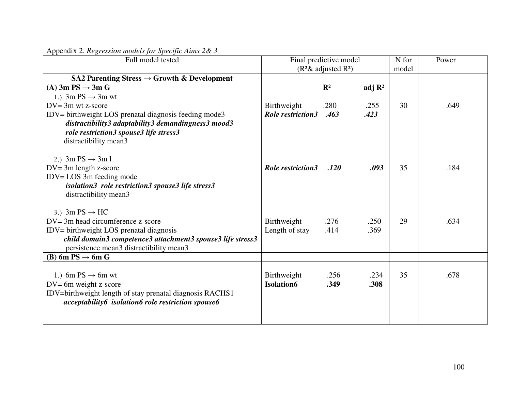| Full model tested                                          |                          | Final predictive model | N for              | Power |      |
|------------------------------------------------------------|--------------------------|------------------------|--------------------|-------|------|
|                                                            |                          | $(R2&$ adjusted $R2$ ) | model              |       |      |
| SA2 Parenting Stress $\rightarrow$ Growth & Development    |                          |                        |                    |       |      |
| (A) $3m PS \rightarrow 3m G$                               |                          | $\mathbf{R}^2$         | adj $\mathbb{R}^2$ |       |      |
| 1.) $3m PS \rightarrow 3m wt$                              |                          |                        |                    |       |      |
| $DV = 3m$ wt z-score                                       | Birthweight              | .280                   | .255               | 30    | .649 |
| IDV= birthweight LOS prenatal diagnosis feeding mode3      | <b>Role restriction3</b> | .463                   | .423               |       |      |
| distractibility3 adaptability3 demandingness3 mood3        |                          |                        |                    |       |      |
| role restriction3 spouse3 life stress3                     |                          |                        |                    |       |      |
| distractibility mean3                                      |                          |                        |                    |       |      |
|                                                            |                          |                        |                    |       |      |
| 2.) $3m PS \rightarrow 3m1$                                |                          |                        |                    |       |      |
| $DV = 3m$ length z-score                                   | <b>Role restriction3</b> | .120                   | .093               | 35    | .184 |
| $IDV = LOS 3m$ feeding mode                                |                          |                        |                    |       |      |
| isolation3 role restriction3 spouse3 life stress3          |                          |                        |                    |       |      |
| distractibility mean3                                      |                          |                        |                    |       |      |
|                                                            |                          |                        |                    |       |      |
| 3.) $3m PS \rightarrow HC$                                 |                          |                        |                    |       |      |
| $DV = 3m$ head circumference z-score                       | Birthweight              | .276                   | .250               | 29    | .634 |
| IDV= birthweight LOS prenatal diagnosis                    | Length of stay           | .414                   | .369               |       |      |
| child domain3 competence3 attachment3 spouse3 life stress3 |                          |                        |                    |       |      |
| persistence mean3 distractibility mean3                    |                          |                        |                    |       |      |
| (B) 6m PS $\rightarrow$ 6m G                               |                          |                        |                    |       |      |
|                                                            |                          |                        |                    |       |      |
| 1.) 6m PS $\rightarrow$ 6m wt                              | Birthweight              | .256                   | .234               | 35    | .678 |
| $DV = 6m$ weight z-score                                   | <b>Isolation6</b>        | .349                   | .308               |       |      |
| IDV=birthweight length of stay prenatal diagnosis RACHS1   |                          |                        |                    |       |      |
| acceptability6 isolation6 role restriction spouse6         |                          |                        |                    |       |      |
|                                                            |                          |                        |                    |       |      |
|                                                            |                          |                        |                    |       |      |

Appendix 2. *Regression models for Specific Aims 2& 3*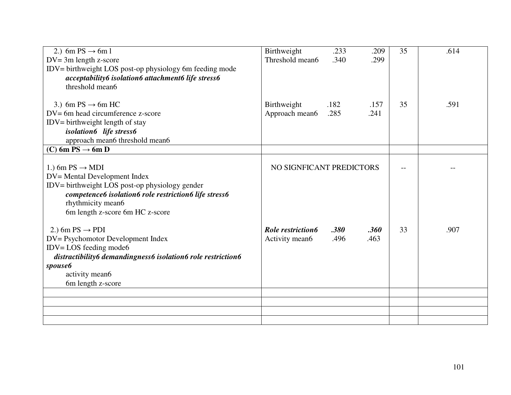| 2.) 6m PS $\rightarrow$ 6m l<br>$DV = 3m$ length z-score<br>IDV= birthweight LOS post-op physiology 6m feeding mode<br>acceptability6 isolation6 attachment6 life stress6                                                      | Birthweight<br>Threshold mean6      | .233<br>.340 | .209<br>.299 | 35 | .614 |
|--------------------------------------------------------------------------------------------------------------------------------------------------------------------------------------------------------------------------------|-------------------------------------|--------------|--------------|----|------|
| threshold mean6<br>3.) 6m PS $\rightarrow$ 6m HC<br>$DV = 6m$ head circumference z-score<br>IDV= birthweight length of stay<br>isolation6 life stress6<br>approach mean6 threshold mean6                                       | Birthweight<br>Approach mean6       | .182<br>.285 | .157<br>.241 | 35 | .591 |
| (C) 6m PS $\rightarrow$ 6m D                                                                                                                                                                                                   |                                     |              |              |    |      |
| 1.) 6m PS $\rightarrow$ MDI<br>DV= Mental Development Index<br>IDV= birthweight LOS post-op physiology gender<br>competence6 isolation6 role restriction6 life stress6<br>rhythmicity mean6<br>6m length z-score 6m HC z-score | NO SIGNFICANT PREDICTORS            |              |              |    |      |
| 2.) 6m PS $\rightarrow$ PDI<br>DV= Psychomotor Development Index<br>$IDV = LOS$ feeding mode6<br>distractibility6 demandingness6 isolation6 role restriction6<br><i>spouse6</i><br>activity mean6<br>6m length z-score         | Role restriction6<br>Activity mean6 | .380<br>.496 | .360<br>.463 | 33 | .907 |
|                                                                                                                                                                                                                                |                                     |              |              |    |      |
|                                                                                                                                                                                                                                |                                     |              |              |    |      |
|                                                                                                                                                                                                                                |                                     |              |              |    |      |
|                                                                                                                                                                                                                                |                                     |              |              |    |      |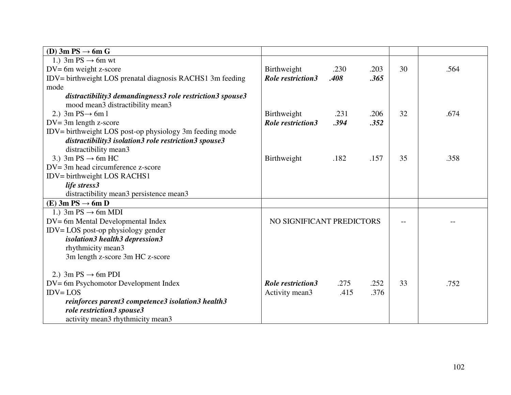| (D) 3m PS $\rightarrow$ 6m G                              |                           |      |      |     |      |
|-----------------------------------------------------------|---------------------------|------|------|-----|------|
| 1.) 3m PS $\rightarrow$ 6m wt                             |                           |      |      |     |      |
| $DV = 6m$ weight z-score                                  | Birthweight               | .230 | .203 | 30  | .564 |
| IDV= birthweight LOS prenatal diagnosis RACHS1 3m feeding | <b>Role restriction3</b>  | .408 | .365 |     |      |
| mode                                                      |                           |      |      |     |      |
| distractibility3 demandingness3 role restriction3 spouse3 |                           |      |      |     |      |
| mood mean3 distractibility mean3                          |                           |      |      |     |      |
| 2.) $3m PS \rightarrow 6m1$                               | Birthweight               | .231 | .206 | 32  | .674 |
| $DV = 3m$ length z-score                                  | <b>Role restriction3</b>  | .394 | .352 |     |      |
| IDV= birthweight LOS post-op physiology 3m feeding mode   |                           |      |      |     |      |
| distractibility3 isolation3 role restriction3 spouse3     |                           |      |      |     |      |
| distractibility mean3                                     |                           |      |      |     |      |
| 3.) 3m PS $\rightarrow$ 6m HC                             | Birthweight               | .182 | .157 | 35  | .358 |
| $DV = 3m$ head circumference z-score                      |                           |      |      |     |      |
| IDV= birthweight LOS RACHS1                               |                           |      |      |     |      |
| life stress3                                              |                           |      |      |     |      |
| distractibility mean3 persistence mean3                   |                           |      |      |     |      |
| (E) 3m PS $\rightarrow$ 6m D                              |                           |      |      |     |      |
| 1.) 3m $PS \rightarrow 6m$ MDI                            |                           |      |      |     |      |
| DV= 6m Mental Developmental Index                         | NO SIGNIFICANT PREDICTORS |      |      | $-$ |      |
| IDV=LOS post-op physiology gender                         |                           |      |      |     |      |
| isolation3 health3 depression3                            |                           |      |      |     |      |
| rhythmicity mean3                                         |                           |      |      |     |      |
| 3m length z-score 3m HC z-score                           |                           |      |      |     |      |
|                                                           |                           |      |      |     |      |
| 2.) 3m PS $\rightarrow$ 6m PDI                            |                           |      |      |     |      |
| DV= 6m Psychomotor Development Index                      | <b>Role restriction3</b>  | .275 | .252 | 33  | .752 |
| $IDV = LOS$                                               | Activity mean3            | .415 | .376 |     |      |
| reinforces parent3 competence3 isolation3 health3         |                           |      |      |     |      |
| role restriction3 spouse3                                 |                           |      |      |     |      |
| activity mean3 rhythmicity mean3                          |                           |      |      |     |      |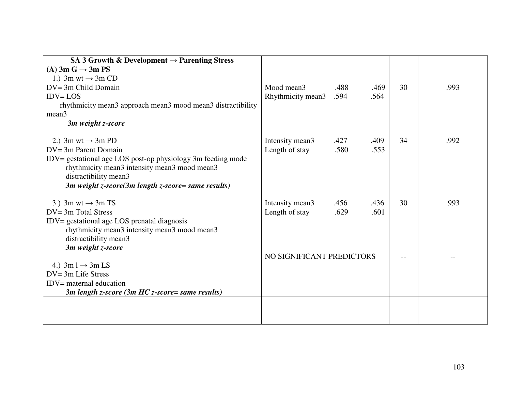| SA 3 Growth & Development $\rightarrow$ Parenting Stress    |                           |      |      |    |      |
|-------------------------------------------------------------|---------------------------|------|------|----|------|
| (A) $3m G \rightarrow 3m PS$                                |                           |      |      |    |      |
| 1.) 3m wt $\rightarrow$ 3m CD                               |                           |      |      |    |      |
| $DV = 3m$ Child Domain                                      | Mood mean3                | .488 | .469 | 30 | .993 |
| $IDV = LOS$                                                 | Rhythmicity mean3         | .594 | .564 |    |      |
| rhythmicity mean3 approach mean3 mood mean3 distractibility |                           |      |      |    |      |
| mean <sub>3</sub>                                           |                           |      |      |    |      |
| 3m weight z-score                                           |                           |      |      |    |      |
| 2.) 3m wt $\rightarrow$ 3m PD                               | Intensity mean3           | .427 | .409 | 34 | .992 |
| $DV = 3m$ Parent Domain                                     | Length of stay            | .580 | .553 |    |      |
| IDV= gestational age LOS post-op physiology 3m feeding mode |                           |      |      |    |      |
| rhythmicity mean3 intensity mean3 mood mean3                |                           |      |      |    |      |
| distractibility mean3                                       |                           |      |      |    |      |
| 3 $m$ weight z-score(3 $m$ length z-score= same results)    |                           |      |      |    |      |
|                                                             |                           |      |      |    |      |
| 3.) 3m wt $\rightarrow$ 3m TS                               | Intensity mean3           | .456 | .436 | 30 | .993 |
| $DV = 3m$ Total Stress                                      | Length of stay            | .629 | .601 |    |      |
| IDV= gestational age LOS prenatal diagnosis                 |                           |      |      |    |      |
| rhythmicity mean3 intensity mean3 mood mean3                |                           |      |      |    |      |
| distractibility mean3                                       |                           |      |      |    |      |
| 3m weight z-score                                           |                           |      |      |    |      |
|                                                             | NO SIGNIFICANT PREDICTORS |      |      |    |      |
| 4.) $3m l \rightarrow 3m LS$                                |                           |      |      |    |      |
| $DV = 3m$ Life Stress                                       |                           |      |      |    |      |
| $IDV =$ maternal education                                  |                           |      |      |    |      |
| 3m length z-score (3m HC z-score= same results)             |                           |      |      |    |      |
|                                                             |                           |      |      |    |      |
|                                                             |                           |      |      |    |      |
|                                                             |                           |      |      |    |      |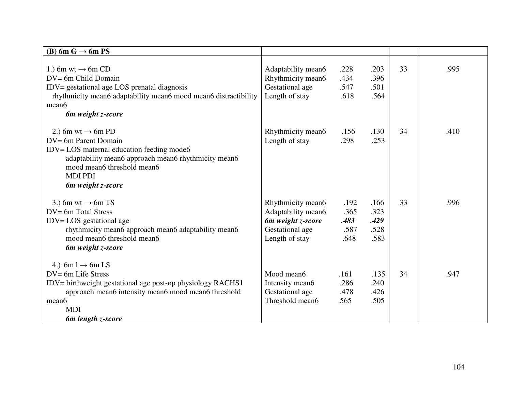| (B) 6m G $\rightarrow$ 6m PS                                                                                                                                                                                                      |                                                                                                   |                                      |                                      |    |      |
|-----------------------------------------------------------------------------------------------------------------------------------------------------------------------------------------------------------------------------------|---------------------------------------------------------------------------------------------------|--------------------------------------|--------------------------------------|----|------|
| 1.) 6m wt $\rightarrow$ 6m CD<br>DV= 6m Child Domain<br>IDV= gestational age LOS prenatal diagnosis<br>rhythmicity mean6 adaptability mean6 mood mean6 distractibility<br>mean6<br>6m weight z-score                              | Adaptability mean6<br>Rhythmicity mean6<br>Gestational age<br>Length of stay                      | .228<br>.434<br>.547<br>.618         | .203<br>.396<br>.501<br>.564         | 33 | .995 |
| 2.) 6m wt $\rightarrow$ 6m PD<br>$DV = 6m$ Parent Domain<br>IDV= LOS maternal education feeding mode6<br>adaptability mean6 approach mean6 rhythmicity mean6<br>mood mean6 threshold mean6<br><b>MDI PDI</b><br>6m weight z-score | Rhythmicity mean6<br>Length of stay                                                               | .156<br>.298                         | .130<br>.253                         | 34 | .410 |
| 3.) 6m wt $\rightarrow$ 6m TS<br>DV= 6m Total Stress<br>$IDV = LOS$ gestational age<br>rhythmicity mean6 approach mean6 adaptability mean6<br>mood mean6 threshold mean6<br>6 <i>m</i> weight <i>z</i> -score                     | Rhythmicity mean6<br>Adaptability mean6<br>6m weight z-score<br>Gestational age<br>Length of stay | .192<br>.365<br>.483<br>.587<br>.648 | .166<br>.323<br>.429<br>.528<br>.583 | 33 | .996 |
| 4.) 6m l $\rightarrow$ 6m LS<br>$DV = 6m$ Life Stress<br>IDV= birthweight gestational age post-op physiology RACHS1<br>approach mean6 intensity mean6 mood mean6 threshold<br>mean6<br><b>MDI</b><br>6m length z-score            | Mood mean6<br>Intensity mean6<br>Gestational age<br>Threshold mean6                               | .161<br>.286<br>.478<br>.565         | .135<br>.240<br>.426<br>.505         | 34 | .947 |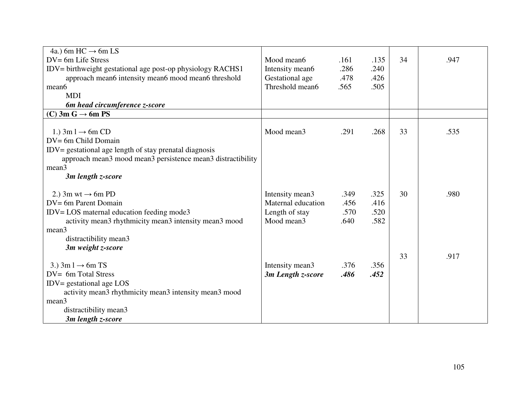| 4a.) 6m HC $\rightarrow$ 6m LS                                                                                                                                                                                     |                                                                       |                              |                              |    |      |
|--------------------------------------------------------------------------------------------------------------------------------------------------------------------------------------------------------------------|-----------------------------------------------------------------------|------------------------------|------------------------------|----|------|
| DV= 6m Life Stress                                                                                                                                                                                                 | Mood mean6                                                            | .161                         | .135                         | 34 | .947 |
| IDV= birthweight gestational age post-op physiology RACHS1                                                                                                                                                         | Intensity mean6                                                       | .286                         | .240                         |    |      |
| approach mean6 intensity mean6 mood mean6 threshold                                                                                                                                                                | Gestational age                                                       | .478                         | .426                         |    |      |
| mean6                                                                                                                                                                                                              | Threshold mean6                                                       | .565                         | .505                         |    |      |
| <b>MDI</b>                                                                                                                                                                                                         |                                                                       |                              |                              |    |      |
| 6m head circumference <i>z</i> -score                                                                                                                                                                              |                                                                       |                              |                              |    |      |
| $(C)$ 3m G $\rightarrow$ 6m PS                                                                                                                                                                                     |                                                                       |                              |                              |    |      |
| 1.) $3m l \rightarrow 6m CD$<br>DV= 6m Child Domain<br>IDV= gestational age length of stay prenatal diagnosis<br>approach mean3 mood mean3 persistence mean3 distractibility<br>mean3<br>3m length z-score         | Mood mean3                                                            | .291                         | .268                         | 33 | .535 |
| 2.) 3m wt $\rightarrow$ 6m PD<br>DV= 6m Parent Domain<br>IDV= LOS maternal education feeding mode3<br>activity mean3 rhythmicity mean3 intensity mean3 mood<br>mean3<br>distractibility mean3<br>3m weight z-score | Intensity mean3<br>Maternal education<br>Length of stay<br>Mood mean3 | .349<br>.456<br>.570<br>.640 | .325<br>.416<br>.520<br>.582 | 30 | .980 |
| 3.) $3m l \rightarrow 6m TS$<br>DV= 6m Total Stress<br>$IDV =$ gestational age $LOS$<br>activity mean3 rhythmicity mean3 intensity mean3 mood<br>mean3<br>distractibility mean3<br>3m length z-score               | Intensity mean3<br>3m Length z-score                                  | .376<br>.486                 | .356<br>.452                 | 33 | .917 |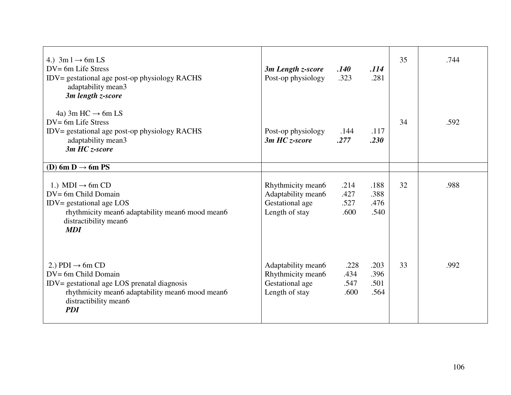| 4.) $3m l \rightarrow 6m LS$<br>$DV = 6m$ Life Stress<br>IDV= gestational age post-op physiology RACHS<br>adaptability mean3<br>3m length z-score                                           | 3m Length z-score<br>Post-op physiology                                      | .140<br>.323                 | .114<br>.281                 | 35 | .744 |
|---------------------------------------------------------------------------------------------------------------------------------------------------------------------------------------------|------------------------------------------------------------------------------|------------------------------|------------------------------|----|------|
| 4a) 3m HC $\rightarrow$ 6m LS<br>$DV = 6m$ Life Stress<br>IDV= gestational age post-op physiology RACHS<br>adaptability mean3<br>3m HC z-score                                              | Post-op physiology<br>$3m$ HC <i>z</i> -score                                | .144<br>.277                 | .117<br>.230                 | 34 | .592 |
| (D) 6m D $\rightarrow$ 6m PS                                                                                                                                                                |                                                                              |                              |                              |    |      |
| 1.) MDI $\rightarrow$ 6m CD<br>DV= 6m Child Domain<br>$IDV = gestational age LOS$<br>rhythmicity mean6 adaptability mean6 mood mean6<br>distractibility mean6<br><b>MDI</b>                 | Rhythmicity mean6<br>Adaptability mean6<br>Gestational age<br>Length of stay | .214<br>.427<br>.527<br>.600 | .188<br>.388<br>.476<br>.540 | 32 | .988 |
| 2.) PDI $\rightarrow$ 6m CD<br>DV= 6m Child Domain<br>IDV= gestational age LOS prenatal diagnosis<br>rhythmicity mean6 adaptability mean6 mood mean6<br>distractibility mean6<br><b>PDI</b> | Adaptability mean6<br>Rhythmicity mean6<br>Gestational age<br>Length of stay | .228<br>.434<br>.547<br>.600 | .203<br>.396<br>.501<br>.564 | 33 | .992 |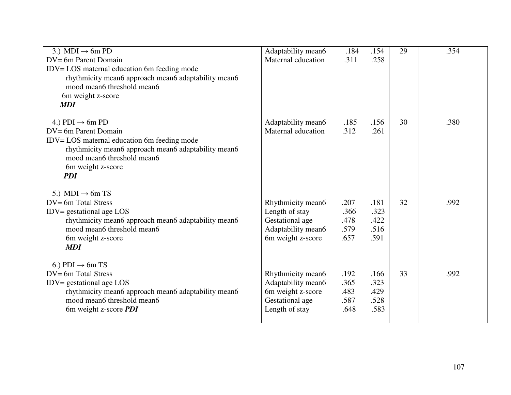| 3.) MDI $\rightarrow$ 6m PD                         | Adaptability mean6 | .184 | .154 | 29 | .354 |
|-----------------------------------------------------|--------------------|------|------|----|------|
| DV= 6m Parent Domain                                | Maternal education | .311 | .258 |    |      |
| IDV= LOS maternal education 6m feeding mode         |                    |      |      |    |      |
| rhythmicity mean6 approach mean6 adaptability mean6 |                    |      |      |    |      |
| mood mean6 threshold mean6                          |                    |      |      |    |      |
| 6m weight z-score                                   |                    |      |      |    |      |
| <b>MDI</b>                                          |                    |      |      |    |      |
|                                                     |                    |      |      |    |      |
| 4.) PDI $\rightarrow$ 6m PD                         | Adaptability mean6 | .185 | .156 | 30 | .380 |
| DV= 6m Parent Domain                                | Maternal education | .312 | .261 |    |      |
| IDV= LOS maternal education 6m feeding mode         |                    |      |      |    |      |
| rhythmicity mean6 approach mean6 adaptability mean6 |                    |      |      |    |      |
| mood mean6 threshold mean6                          |                    |      |      |    |      |
| 6m weight z-score                                   |                    |      |      |    |      |
| <b>PDI</b>                                          |                    |      |      |    |      |
| 5.) MDI $\rightarrow$ 6m TS                         |                    |      |      |    |      |
| $DV = 6m$ Total Stress                              | Rhythmicity mean6  | .207 | .181 | 32 | .992 |
| $IDV =$ gestational age $LOS$                       | Length of stay     | .366 | .323 |    |      |
| rhythmicity mean6 approach mean6 adaptability mean6 | Gestational age    | .478 | .422 |    |      |
| mood mean6 threshold mean6                          | Adaptability mean6 | .579 | .516 |    |      |
| 6m weight z-score                                   | 6m weight z-score  | .657 | .591 |    |      |
| <b>MDI</b>                                          |                    |      |      |    |      |
|                                                     |                    |      |      |    |      |
| 6.) PDI $\rightarrow$ 6m TS                         |                    |      |      |    |      |
| $DV = 6m$ Total Stress                              | Rhythmicity mean6  | .192 | .166 | 33 | .992 |
| $IDV =$ gestational age $LOS$                       | Adaptability mean6 | .365 | .323 |    |      |
| rhythmicity mean6 approach mean6 adaptability mean6 | 6m weight z-score  | .483 | .429 |    |      |
| mood mean6 threshold mean6                          | Gestational age    | .587 | .528 |    |      |
| 6m weight z-score <i>PDI</i>                        | Length of stay     | .648 | .583 |    |      |
|                                                     |                    |      |      |    |      |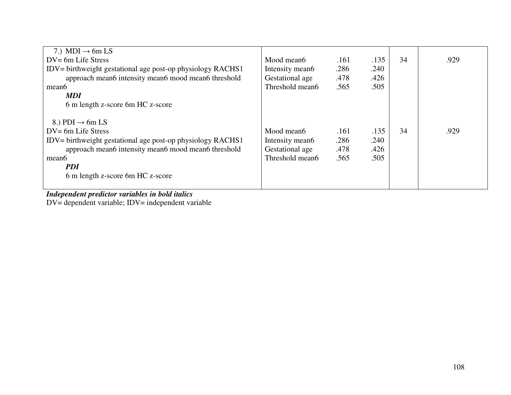| 7.) MDI $\rightarrow$ 6m LS                                |                 |      |      |    |      |
|------------------------------------------------------------|-----------------|------|------|----|------|
| $DV = 6m$ Life Stress                                      | Mood mean6      | .161 | .135 | 34 | .929 |
| IDV= birthweight gestational age post-op physiology RACHS1 | Intensity mean6 | .286 | .240 |    |      |
| approach mean6 intensity mean6 mood mean6 threshold        | Gestational age | .478 | .426 |    |      |
| mean <sub>6</sub>                                          | Threshold mean6 | .565 | .505 |    |      |
| <b>MDI</b>                                                 |                 |      |      |    |      |
| 6 m length z-score 6m HC z-score                           |                 |      |      |    |      |
|                                                            |                 |      |      |    |      |
| 8.) PDI $\rightarrow$ 6m LS                                |                 |      |      |    |      |
| $DV = 6m$ Life Stress                                      | Mood mean6      | .161 | .135 | 34 | .929 |
| IDV= birthweight gestational age post-op physiology RACHS1 | Intensity mean6 | .286 | .240 |    |      |
| approach mean6 intensity mean6 mood mean6 threshold        | Gestational age | .478 | .426 |    |      |
| mean <sub>6</sub>                                          | Threshold mean6 | .565 | .505 |    |      |
| <i>PDI</i>                                                 |                 |      |      |    |      |
| 6 m length z-score 6m HC z-score                           |                 |      |      |    |      |
|                                                            |                 |      |      |    |      |

*Independent predictor variables in bold italics*  DV= dependent variable; IDV= independent variable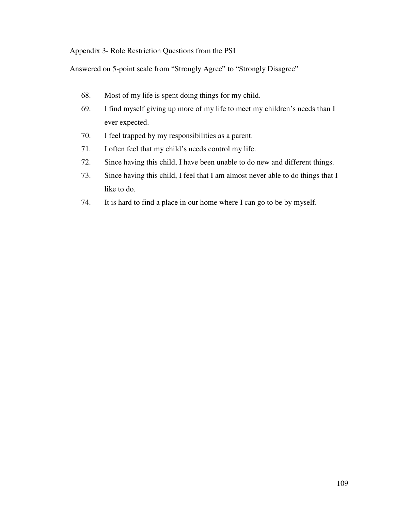Appendix 3- Role Restriction Questions from the PSI

Answered on 5-point scale from "Strongly Agree" to "Strongly Disagree"

- 68. Most of my life is spent doing things for my child.
- 69. I find myself giving up more of my life to meet my children's needs than I ever expected.
- 70. I feel trapped by my responsibilities as a parent.
- 71. I often feel that my child's needs control my life.
- 72. Since having this child, I have been unable to do new and different things.
- 73. Since having this child, I feel that I am almost never able to do things that I like to do.
- 74. It is hard to find a place in our home where I can go to be by myself.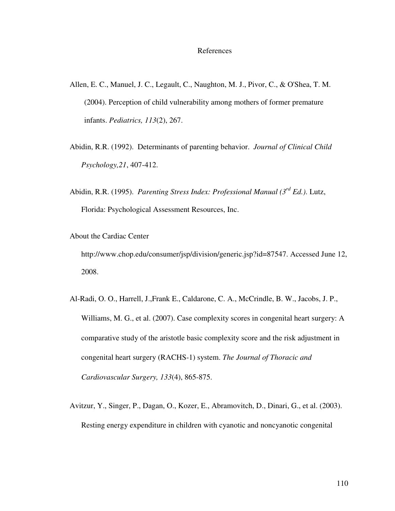#### References

- Allen, E. C., Manuel, J. C., Legault, C., Naughton, M. J., Pivor, C., & O'Shea, T. M. (2004). Perception of child vulnerability among mothers of former premature infants. *Pediatrics, 113*(2), 267.
- Abidin, R.R. (1992). Determinants of parenting behavior. *Journal of Clinical Child Psychology,21*, 407-412.
- Abidin, R.R. (1995). *Parenting Stress Index: Professional Manual (3rd Ed.)*. Lutz, Florida: Psychological Assessment Resources, Inc.
- About the Cardiac Center

http://www.chop.edu/consumer/jsp/division/generic.jsp?id=87547. Accessed June 12, 2008.

- Al-Radi, O. O., Harrell, J.,Frank E., Caldarone, C. A., McCrindle, B. W., Jacobs, J. P., Williams, M. G., et al. (2007). Case complexity scores in congenital heart surgery: A comparative study of the aristotle basic complexity score and the risk adjustment in congenital heart surgery (RACHS-1) system. *The Journal of Thoracic and Cardiovascular Surgery, 133*(4), 865-875.
- Avitzur, Y., Singer, P., Dagan, O., Kozer, E., Abramovitch, D., Dinari, G., et al. (2003). Resting energy expenditure in children with cyanotic and noncyanotic congenital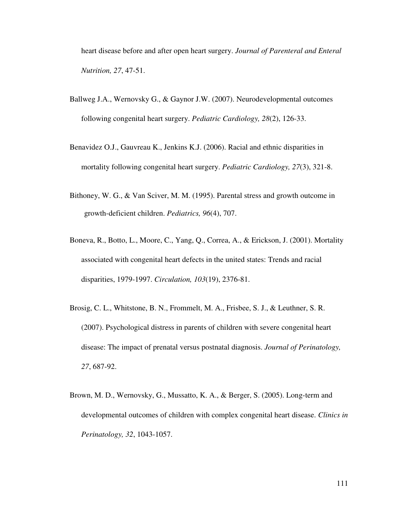heart disease before and after open heart surgery. *Journal of Parenteral and Enteral Nutrition, 27*, 47-51.

- Ballweg J.A., Wernovsky G., & Gaynor J.W. (2007). Neurodevelopmental outcomes following congenital heart surgery. *Pediatric Cardiology, 28*(2), 126-33.
- Benavidez O.J., Gauvreau K., Jenkins K.J. (2006). Racial and ethnic disparities in mortality following congenital heart surgery. *Pediatric Cardiology, 27*(3), 321-8.
- Bithoney, W. G., & Van Sciver, M. M. (1995). Parental stress and growth outcome in growth-deficient children. *Pediatrics, 96*(4), 707.
- Boneva, R., Botto, L., Moore, C., Yang, Q., Correa, A., & Erickson, J. (2001). Mortality associated with congenital heart defects in the united states: Trends and racial disparities, 1979-1997. *Circulation, 103*(19), 2376-81.
- Brosig, C. L., Whitstone, B. N., Frommelt, M. A., Frisbee, S. J., & Leuthner, S. R. (2007). Psychological distress in parents of children with severe congenital heart disease: The impact of prenatal versus postnatal diagnosis. *Journal of Perinatology, 27*, 687-92.
- Brown, M. D., Wernovsky, G., Mussatto, K. A., & Berger, S. (2005). Long-term and developmental outcomes of children with complex congenital heart disease. *Clinics in Perinatology, 32*, 1043-1057.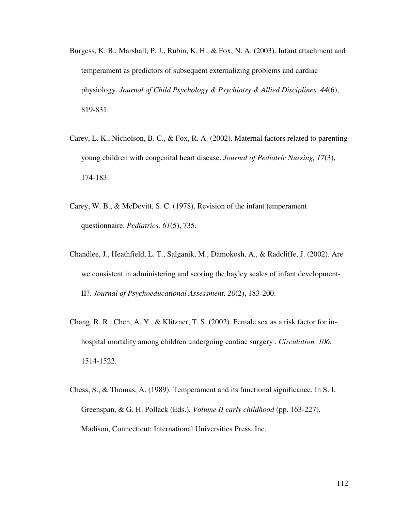- Burgess, K. B., Marshall, P. J., Rubin, K. H., & Fox, N. A. (2003). Infant attachment and temperament as predictors of subsequent externalizing problems and cardiac physiology. *Journal of Child Psychology & Psychiatry & Allied Disciplines, 44*(6), 819-831.
- Carey, L. K., Nicholson, B. C., & Fox, R. A. (2002). Maternal factors related to parenting young children with congenital heart disease. *Journal of Pediatric Nursing, 17*(3), 174-183.
- Carey, W. B., & McDevitt, S. C. (1978). Revision of the infant temperament questionnaire. *Pediatrics, 61*(5), 735.
- Chandlee, J., Heathfield, L. T., Salganik, M., Damokosh, A., & Radcliffe, J. (2002). Are we consistent in administering and scoring the bayley scales of infant development-II?. *Journal of Psychoeducational Assessment, 20*(2), 183-200.
- Chang, R. R., Chen, A. Y., & Klitzner, T. S. (2002). Female sex as a risk factor for inhospital mortality among children undergoing cardiac surgery . *Circulation, 106*, 1514-1522.
- Chess, S., & Thomas, A. (1989). Temperament and its functional significance. In S. I. Greenspan, & G. H. Pollack (Eds.), *Volume II early childhood* (pp. 163-227). Madison, Connecticut: International Universities Press, Inc.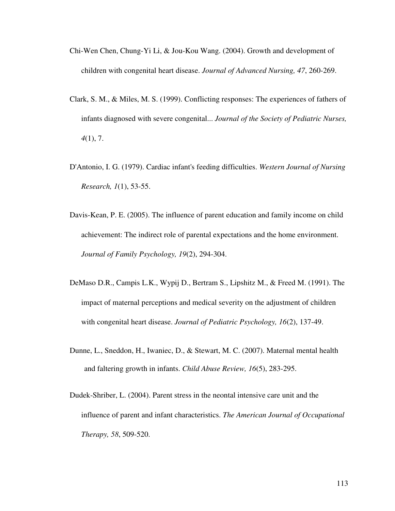- Chi-Wen Chen, Chung-Yi Li, & Jou-Kou Wang. (2004). Growth and development of children with congenital heart disease. *Journal of Advanced Nursing, 47*, 260-269.
- Clark, S. M., & Miles, M. S. (1999). Conflicting responses: The experiences of fathers of infants diagnosed with severe congenital... *Journal of the Society of Pediatric Nurses, 4*(1), 7.
- D'Antonio, I. G. (1979). Cardiac infant's feeding difficulties. *Western Journal of Nursing Research, 1*(1), 53-55.
- Davis-Kean, P. E. (2005). The influence of parent education and family income on child achievement: The indirect role of parental expectations and the home environment. *Journal of Family Psychology, 19*(2), 294-304.
- DeMaso D.R., Campis L.K., Wypij D., Bertram S., Lipshitz M., & Freed M. (1991). The impact of maternal perceptions and medical severity on the adjustment of children with congenital heart disease. *Journal of Pediatric Psychology, 16*(2), 137-49.
- Dunne, L., Sneddon, H., Iwaniec, D., & Stewart, M. C. (2007). Maternal mental health and faltering growth in infants. *Child Abuse Review, 16*(5), 283-295.
- Dudek-Shriber, L. (2004). Parent stress in the neontal intensive care unit and the influence of parent and infant characteristics. *The American Journal of Occupational Therapy, 58*, 509-520.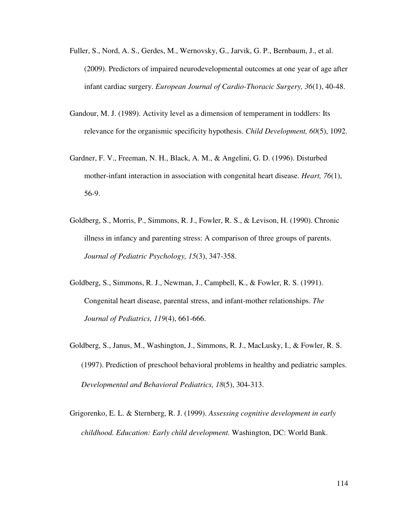- Fuller, S., Nord, A. S., Gerdes, M., Wernovsky, G., Jarvik, G. P., Bernbaum, J., et al. (2009). Predictors of impaired neurodevelopmental outcomes at one year of age after infant cardiac surgery. *European Journal of Cardio-Thoracic Surgery, 36*(1), 40-48.
- Gandour, M. J. (1989). Activity level as a dimension of temperament in toddlers: Its relevance for the organismic specificity hypothesis. *Child Development, 60*(5), 1092.
- Gardner, F. V., Freeman, N. H., Black, A. M., & Angelini, G. D. (1996). Disturbed mother-infant interaction in association with congenital heart disease. *Heart, 76*(1), 56-9.
- Goldberg, S., Morris, P., Simmons, R. J., Fowler, R. S., & Levison, H. (1990). Chronic illness in infancy and parenting stress: A comparison of three groups of parents. *Journal of Pediatric Psychology, 15*(3), 347-358.
- Goldberg, S., Simmons, R. J., Newman, J., Campbell, K., & Fowler, R. S. (1991). Congenital heart disease, parental stress, and infant-mother relationships. *The Journal of Pediatrics, 119*(4), 661-666.
- Goldberg, S., Janus, M., Washington, J., Simmons, R. J., MacLusky, I., & Fowler, R. S. (1997). Prediction of preschool behavioral problems in healthy and pediatric samples. *Developmental and Behavioral Pediatrics, 18*(5), 304-313.
- Grigorenko, E. L. & Sternberg, R. J. (1999). *Assessing cognitive development in early childhood. Education: Early child development.* Washington, DC: World Bank.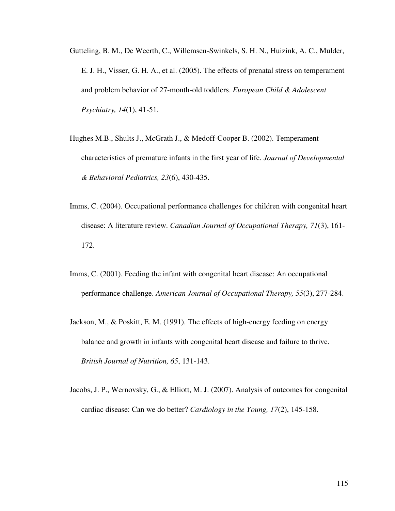- Gutteling, B. M., De Weerth, C., Willemsen-Swinkels, S. H. N., Huizink, A. C., Mulder, E. J. H., Visser, G. H. A., et al. (2005). The effects of prenatal stress on temperament and problem behavior of 27-month-old toddlers. *European Child & Adolescent Psychiatry, 14*(1), 41-51.
- Hughes M.B., Shults J., McGrath J., & Medoff-Cooper B. (2002). Temperament characteristics of premature infants in the first year of life. *Journal of Developmental & Behavioral Pediatrics, 23*(6), 430-435.
- Imms, C. (2004). Occupational performance challenges for children with congenital heart disease: A literature review. *Canadian Journal of Occupational Therapy, 71*(3), 161- 172.
- Imms, C. (2001). Feeding the infant with congenital heart disease: An occupational performance challenge. *American Journal of Occupational Therapy, 55*(3), 277-284.
- Jackson, M., & Poskitt, E. M. (1991). The effects of high-energy feeding on energy balance and growth in infants with congenital heart disease and failure to thrive. *British Journal of Nutrition, 65*, 131-143.
- Jacobs, J. P., Wernovsky, G., & Elliott, M. J. (2007). Analysis of outcomes for congenital cardiac disease: Can we do better? *Cardiology in the Young, 17*(2), 145-158.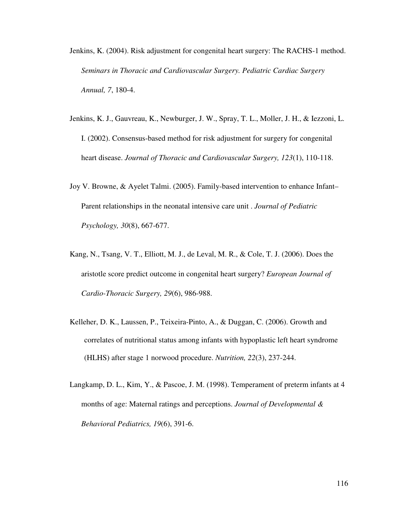- Jenkins, K. (2004). Risk adjustment for congenital heart surgery: The RACHS-1 method. *Seminars in Thoracic and Cardiovascular Surgery. Pediatric Cardiac Surgery Annual, 7*, 180-4.
- Jenkins, K. J., Gauvreau, K., Newburger, J. W., Spray, T. L., Moller, J. H., & Iezzoni, L. I. (2002). Consensus-based method for risk adjustment for surgery for congenital heart disease. *Journal of Thoracic and Cardiovascular Surgery, 123*(1), 110-118.
- Joy V. Browne, & Ayelet Talmi. (2005). Family-based intervention to enhance Infant– Parent relationships in the neonatal intensive care unit . *Journal of Pediatric Psychology, 30*(8), 667-677.
- Kang, N., Tsang, V. T., Elliott, M. J., de Leval, M. R., & Cole, T. J. (2006). Does the aristotle score predict outcome in congenital heart surgery? *European Journal of Cardio-Thoracic Surgery, 29*(6), 986-988.
- Kelleher, D. K., Laussen, P., Teixeira-Pinto, A., & Duggan, C. (2006). Growth and correlates of nutritional status among infants with hypoplastic left heart syndrome (HLHS) after stage 1 norwood procedure. *Nutrition, 22*(3), 237-244.
- Langkamp, D. L., Kim, Y., & Pascoe, J. M. (1998). Temperament of preterm infants at 4 months of age: Maternal ratings and perceptions. *Journal of Developmental & Behavioral Pediatrics, 19*(6), 391-6.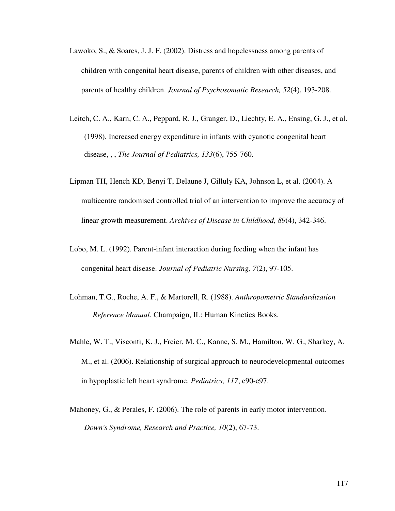- Lawoko, S., & Soares, J. J. F. (2002). Distress and hopelessness among parents of children with congenital heart disease, parents of children with other diseases, and parents of healthy children. *Journal of Psychosomatic Research, 52*(4), 193-208.
- Leitch, C. A., Karn, C. A., Peppard, R. J., Granger, D., Liechty, E. A., Ensing, G. J., et al. (1998). Increased energy expenditure in infants with cyanotic congenital heart disease, , , *The Journal of Pediatrics, 133*(6), 755-760.
- Lipman TH, Hench KD, Benyi T, Delaune J, Gilluly KA, Johnson L, et al. (2004). A multicentre randomised controlled trial of an intervention to improve the accuracy of linear growth measurement. *Archives of Disease in Childhood, 89*(4), 342-346.
- Lobo, M. L. (1992). Parent-infant interaction during feeding when the infant has congenital heart disease. *Journal of Pediatric Nursing, 7*(2), 97-105.
- Lohman, T.G., Roche, A. F., & Martorell, R. (1988). *Anthropometric Standardization Reference Manual*. Champaign, IL: Human Kinetics Books.
- Mahle, W. T., Visconti, K. J., Freier, M. C., Kanne, S. M., Hamilton, W. G., Sharkey, A. M., et al. (2006). Relationship of surgical approach to neurodevelopmental outcomes in hypoplastic left heart syndrome. *Pediatrics, 117*, e90-e97.
- Mahoney, G., & Perales, F. (2006). The role of parents in early motor intervention. *Down's Syndrome, Research and Practice, 10*(2), 67-73.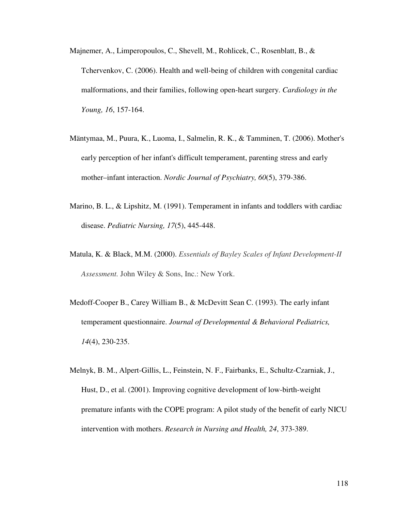- Majnemer, A., Limperopoulos, C., Shevell, M., Rohlicek, C., Rosenblatt, B., & Tchervenkov, C. (2006). Health and well-being of children with congenital cardiac malformations, and their families, following open-heart surgery. *Cardiology in the Young, 16*, 157-164.
- Mäntymaa, M., Puura, K., Luoma, I., Salmelin, R. K., & Tamminen, T. (2006). Mother's early perception of her infant's difficult temperament, parenting stress and early mother–infant interaction. *Nordic Journal of Psychiatry, 60*(5), 379-386.
- Marino, B. L., & Lipshitz, M. (1991). Temperament in infants and toddlers with cardiac disease. *Pediatric Nursing, 17*(5), 445-448.
- Matula, K. & Black, M.M. (2000). *Essentials of Bayley Scales of Infant Development-II Assessment.* John Wiley & Sons, Inc.: New York.
- Medoff-Cooper B., Carey William B., & McDevitt Sean C. (1993). The early infant temperament questionnaire. *Journal of Developmental & Behavioral Pediatrics, 14*(4), 230-235.
- Melnyk, B. M., Alpert-Gillis, L., Feinstein, N. F., Fairbanks, E., Schultz-Czarniak, J., Hust, D., et al. (2001). Improving cognitive development of low-birth-weight premature infants with the COPE program: A pilot study of the benefit of early NICU intervention with mothers. *Research in Nursing and Health, 24*, 373-389.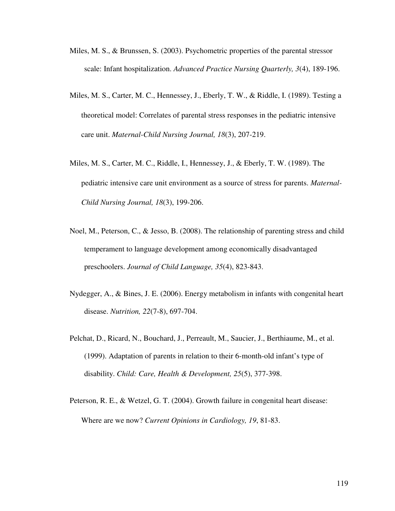- Miles, M. S., & Brunssen, S. (2003). Psychometric properties of the parental stressor scale: Infant hospitalization. *Advanced Practice Nursing Quarterly, 3*(4), 189-196.
- Miles, M. S., Carter, M. C., Hennessey, J., Eberly, T. W., & Riddle, I. (1989). Testing a theoretical model: Correlates of parental stress responses in the pediatric intensive care unit. *Maternal-Child Nursing Journal, 18*(3), 207-219.
- Miles, M. S., Carter, M. C., Riddle, I., Hennessey, J., & Eberly, T. W. (1989). The pediatric intensive care unit environment as a source of stress for parents. *Maternal-Child Nursing Journal, 18*(3), 199-206.
- Noel, M., Peterson, C., & Jesso, B. (2008). The relationship of parenting stress and child temperament to language development among economically disadvantaged preschoolers. *Journal of Child Language, 35*(4), 823-843.
- Nydegger, A., & Bines, J. E. (2006). Energy metabolism in infants with congenital heart disease. *Nutrition, 22*(7-8), 697-704.
- Pelchat, D., Ricard, N., Bouchard, J., Perreault, M., Saucier, J., Berthiaume, M., et al. (1999). Adaptation of parents in relation to their 6-month-old infant's type of disability. *Child: Care, Health & Development, 25*(5), 377-398.
- Peterson, R. E., & Wetzel, G. T. (2004). Growth failure in congenital heart disease: Where are we now? *Current Opinions in Cardiology, 19*, 81-83.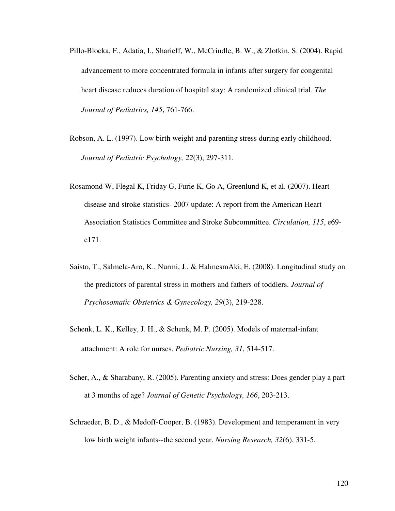- Pillo-Blocka, F., Adatia, I., Sharieff, W., McCrindle, B. W., & Zlotkin, S. (2004). Rapid advancement to more concentrated formula in infants after surgery for congenital heart disease reduces duration of hospital stay: A randomized clinical trial. *The Journal of Pediatrics, 145*, 761-766.
- Robson, A. L. (1997). Low birth weight and parenting stress during early childhood. *Journal of Pediatric Psychology, 22*(3), 297-311.
- Rosamond W, Flegal K, Friday G, Furie K, Go A, Greenlund K, et al. (2007). Heart disease and stroke statistics- 2007 update: A report from the American Heart Association Statistics Committee and Stroke Subcommittee. *Circulation, 115*, e69 e171.
- Saisto, T., Salmela-Aro, K., Nurmi, J., & HalmesmAki, E. (2008). Longitudinal study on the predictors of parental stress in mothers and fathers of toddlers. *Journal of Psychosomatic Obstetrics & Gynecology, 29*(3), 219-228.
- Schenk, L. K., Kelley, J. H., & Schenk, M. P. (2005). Models of maternal-infant attachment: A role for nurses. *Pediatric Nursing, 31*, 514-517.
- Scher, A., & Sharabany, R. (2005). Parenting anxiety and stress: Does gender play a part at 3 months of age? *Journal of Genetic Psychology, 166*, 203-213.
- Schraeder, B. D., & Medoff-Cooper, B. (1983). Development and temperament in very low birth weight infants--the second year. *Nursing Research, 32*(6), 331-5.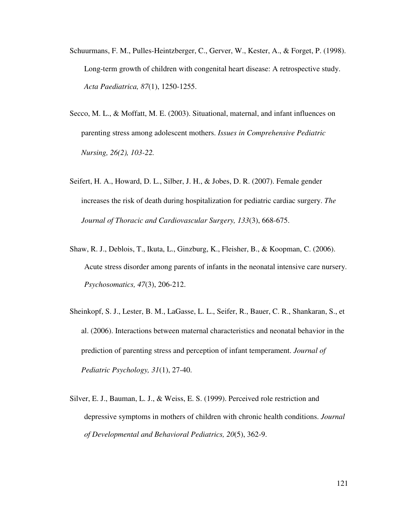- Schuurmans, F. M., Pulles-Heintzberger, C., Gerver, W., Kester, A., & Forget, P. (1998). Long-term growth of children with congenital heart disease: A retrospective study. *Acta Paediatrica, 87*(1), 1250-1255.
- Secco, M. L., & Moffatt, M. E. (2003). Situational, maternal, and infant influences on parenting stress among adolescent mothers. *Issues in Comprehensive Pediatric Nursing, 26(2), 103-22.*
- Seifert, H. A., Howard, D. L., Silber, J. H., & Jobes, D. R. (2007). Female gender increases the risk of death during hospitalization for pediatric cardiac surgery. *The Journal of Thoracic and Cardiovascular Surgery, 133*(3), 668-675.
- Shaw, R. J., Deblois, T., Ikuta, L., Ginzburg, K., Fleisher, B., & Koopman, C. (2006). Acute stress disorder among parents of infants in the neonatal intensive care nursery. *Psychosomatics, 47*(3), 206-212.
- Sheinkopf, S. J., Lester, B. M., LaGasse, L. L., Seifer, R., Bauer, C. R., Shankaran, S., et al. (2006). Interactions between maternal characteristics and neonatal behavior in the prediction of parenting stress and perception of infant temperament. *Journal of Pediatric Psychology, 31*(1), 27-40.
- Silver, E. J., Bauman, L. J., & Weiss, E. S. (1999). Perceived role restriction and depressive symptoms in mothers of children with chronic health conditions. *Journal of Developmental and Behavioral Pediatrics, 20*(5), 362-9.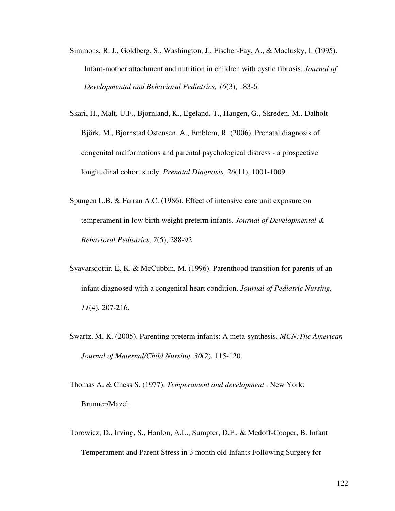- Simmons, R. J., Goldberg, S., Washington, J., Fischer-Fay, A., & Maclusky, I. (1995). Infant-mother attachment and nutrition in children with cystic fibrosis. *Journal of Developmental and Behavioral Pediatrics, 16*(3), 183-6.
- Skari, H., Malt, U.F., Bjornland, K., Egeland, T., Haugen, G., Skreden, M., Dalholt Björk, M., Bjornstad Ostensen, A., Emblem, R. (2006). Prenatal diagnosis of congenital malformations and parental psychological distress - a prospective longitudinal cohort study. *Prenatal Diagnosis, 26*(11), 1001-1009.
- Spungen L.B. & Farran A.C. (1986). Effect of intensive care unit exposure on temperament in low birth weight preterm infants. *Journal of Developmental & Behavioral Pediatrics, 7*(5), 288-92.
- Svavarsdottir, E. K. & McCubbin, M. (1996). Parenthood transition for parents of an infant diagnosed with a congenital heart condition. *Journal of Pediatric Nursing, 11*(4), 207-216.
- Swartz, M. K. (2005). Parenting preterm infants: A meta-synthesis. *MCN:The American Journal of Maternal/Child Nursing, 30*(2), 115-120.
- Thomas A. & Chess S. (1977). *Temperament and development* . New York: Brunner/Mazel.
- Torowicz, D., Irving, S., Hanlon, A.L., Sumpter, D.F., & Medoff-Cooper, B. Infant Temperament and Parent Stress in 3 month old Infants Following Surgery for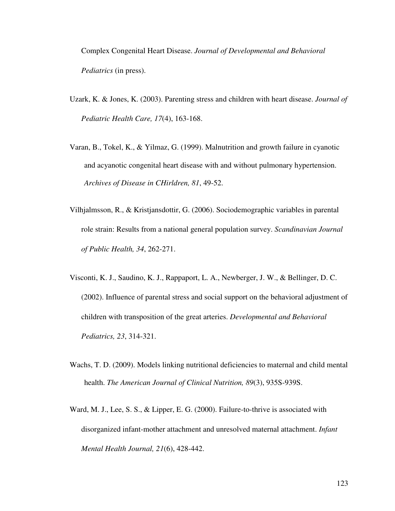Complex Congenital Heart Disease. *Journal of Developmental and Behavioral Pediatrics* (in press).

- Uzark, K. & Jones, K. (2003). Parenting stress and children with heart disease. *Journal of Pediatric Health Care, 17*(4), 163-168.
- Varan, B., Tokel, K., & Yilmaz, G. (1999). Malnutrition and growth failure in cyanotic and acyanotic congenital heart disease with and without pulmonary hypertension. *Archives of Disease in CHirldren, 81*, 49-52.
- Vilhjalmsson, R., & Kristjansdottir, G. (2006). Sociodemographic variables in parental role strain: Results from a national general population survey. *Scandinavian Journal of Public Health, 34*, 262-271.
- Visconti, K. J., Saudino, K. J., Rappaport, L. A., Newberger, J. W., & Bellinger, D. C. (2002). Influence of parental stress and social support on the behavioral adjustment of children with transposition of the great arteries. *Developmental and Behavioral Pediatrics, 23*, 314-321.
- Wachs, T. D. (2009). Models linking nutritional deficiencies to maternal and child mental health. *The American Journal of Clinical Nutrition, 89*(3), 935S-939S.
- Ward, M. J., Lee, S. S., & Lipper, E. G. (2000). Failure-to-thrive is associated with disorganized infant-mother attachment and unresolved maternal attachment. *Infant Mental Health Journal, 21*(6), 428-442.